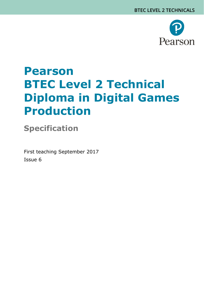

# **Pearson BTEC Level 2 Technical Diploma in Digital Games Production**

**Specification**

First teaching September 2017 Issue 6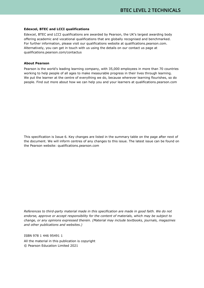#### **Edexcel, BTEC and LCCI qualifications**

Edexcel, BTEC and LCCI qualifications are awarded by Pearson, the UK's largest awarding body offering academic and vocational qualifications that are globally recognised and benchmarked. For further information, please visit our qualifications website at qualifications.pearson.com. Alternatively, you can get in touch with us using the details on our contact us page at qualifications.pearson.com/contactus

#### **About Pearson**

Pearson is the world's leading learning company, with 35,000 employees in more than 70 countries working to help people of all ages to make measurable progress in their lives through learning. We put the learner at the centre of everything we do, because wherever learning flourishes, so do people. Find out more about how we can help you and your learners at qualifications.pearson.com

This specification is Issue 6. Key changes are listed in the summary table on the page after next of the document. We will inform centres of any changes to this issue. The latest issue can be found on the Pearson website: qualifications.pearson.com

*References to third-party material made in this specification are made in good faith. We do not endorse, approve or accept responsibility for the content of materials, which may be subject to change, or any opinions expressed therein. (Material may include textbooks, journals, magazines and other publications and websites.)*

ISBN 978 1 446 95491 1

All the material in this publication is copyright © Pearson Education Limited 2021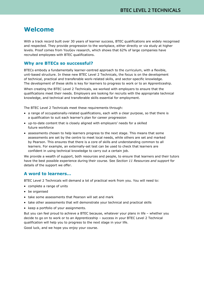# **Welcome**

With a track record built over 30 years of learner success, BTEC qualifications are widely recognised and respected. They provide progression to the workplace, either directly or via study at higher levels. Proof comes from YouGov research, which shows that 62% of large companies have recruited employees with BTEC qualifications.

### **Why are BTECs so successful?**

BTECs embody a fundamentally learner-centred approach to the curriculum, with a flexible, unit-based structure. In these new BTEC Level 2 Technicals, the focus is on the development of technical, practical and transferable work-related skills, and sector-specific knowledge. The development of these skills is key for learners to progress to work or to an Apprenticeship. When creating the BTEC Level 2 Technicals, we worked with employers to ensure that the qualifications meet their needs. Employers are looking for recruits with the appropriate technical knowledge, and technical and transferable skills essential for employment.

The BTEC Level 2 Technicals meet these requirements through:

- a range of occupationally-related qualifications, each with a clear purpose, so that there is a qualification to suit each learner's plan for career progression
- up-to-date content that is closely aligned with employers' needs for a skilled future workforce
- assessments chosen to help learners progress to the next stage. This means that some assessments are set by the centre to meet local needs, while others are set and marked by Pearson. This ensures that there is a core of skills and understanding common to all learners. For example, an externally-set test can be used to check that learners are confident in using technical knowledge to carry out a certain job.

We provide a wealth of support, both resources and people, to ensure that learners and their tutors have the best possible experience during their course. See *Section 11 Resources and support* for details of the support we offer.

#### **A word to learners…**

BTEC Level 2 Technicals will demand a lot of practical work from you. You will need to:

- complete a range of units
- be organised
- take some assessments that Pearson will set and mark
- take other assessments that will demonstrate your technical and practical skills
- keep a portfolio of your assignments.

But you can feel proud to achieve a BTEC because, whatever your plans in life – whether you decide to go on to work or to an Apprenticeship – success in your BTEC Level 2 Technical qualification will help you to progress to the next stage in your life.

Good luck, and we hope you enjoy your course.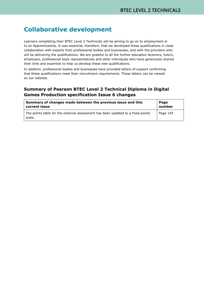# **Collaborative development**

Learners completing their BTEC Level 2 Technicals will be aiming to go on to employment or to an Apprenticeship. It was essential, therefore, that we developed these qualifications in close collaboration with experts from professional bodies and businesses, and with the providers who will be delivering the qualifications. We are grateful to all the further education lecturers, tutors, employers, professional body representatives and other individuals who have generously shared their time and expertise to help us develop these new qualifications.

In addition, professional bodies and businesses have provided letters of support confirming that these qualifications meet their recruitment requirements. These letters can be viewed on our website.

### **Summary of Pearson BTEC Level 2 Technical Diploma in Digital Games Production specification Issue 6 changes**

| Summary of changes made between the previous issue and this                               | Page     |
|-------------------------------------------------------------------------------------------|----------|
| current issue                                                                             | number   |
| The points table for the external assessment has been updated to a fixed points<br>scale. | Page 145 |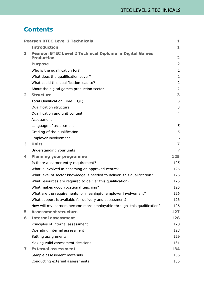# **Contents**

|                | <b>Pearson BTEC Level 2 Technicals</b>                                              | 1                       |
|----------------|-------------------------------------------------------------------------------------|-------------------------|
|                | <b>Introduction</b>                                                                 | 1                       |
| 1              | <b>Pearson BTEC Level 2 Technical Diploma in Digital Games</b><br><b>Production</b> | $\overline{\mathbf{2}}$ |
|                | <b>Purpose</b>                                                                      | $\overline{\mathbf{2}}$ |
|                | Who is the qualification for?                                                       | $\overline{2}$          |
|                | What does the qualification cover?                                                  | 2                       |
|                | What could this qualification lead to?                                              | $\overline{2}$          |
|                | About the digital games production sector                                           | $\overline{2}$          |
| $\overline{2}$ | <b>Structure</b>                                                                    | 3                       |
|                | Total Qualification Time (TQT)                                                      | 3                       |
|                | Qualification structure                                                             | 3                       |
|                | Qualification and unit content                                                      | 4                       |
|                | Assessment                                                                          | $\overline{4}$          |
|                | Language of assessment                                                              | 5                       |
|                | Grading of the qualification                                                        | 5                       |
|                | Employer involvement                                                                | 6                       |
| 3              | <b>Units</b>                                                                        | 7                       |
|                | Understanding your units                                                            | 7                       |
| 4              | <b>Planning your programme</b>                                                      | 125                     |
|                | Is there a learner entry requirement?                                               | 125                     |
|                | What is involved in becoming an approved centre?                                    | 125                     |
|                | What level of sector knowledge is needed to deliver this qualification?             | 125                     |
|                | What resources are required to deliver this qualification?                          | 125                     |
|                | What makes good vocational teaching?                                                | 125                     |
|                | What are the requirements for meaningful employer involvement?                      | 126                     |
|                | What support is available for delivery and assessment?                              | 126                     |
|                | How will my learners become more employable through this qualification?             | 126                     |
| 5              | <b>Assessment structure</b>                                                         | 127                     |
| 6              | <b>Internal assessment</b>                                                          | 128                     |
|                | Principles of internal assessment                                                   | 128                     |
|                | Operating internal assessment                                                       | 128                     |
|                | Setting assignments                                                                 | 129                     |
|                | Making valid assessment decisions                                                   | 131                     |
| 7              | <b>External assessment</b>                                                          | 134                     |
|                | Sample assessment materials                                                         | 135                     |
|                | Conducting external assessments                                                     | 135                     |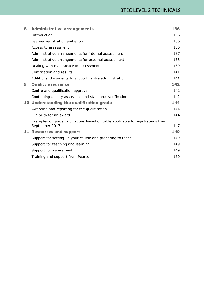| 8 | <b>Administrative arrangements</b>                                                               | 136 |
|---|--------------------------------------------------------------------------------------------------|-----|
|   | Introduction                                                                                     | 136 |
|   | Learner registration and entry                                                                   | 136 |
|   | Access to assessment                                                                             | 136 |
|   | Administrative arrangements for internal assessment                                              | 137 |
|   | Administrative arrangements for external assessment                                              | 138 |
|   | Dealing with malpractice in assessment                                                           | 139 |
|   | Certification and results                                                                        | 141 |
|   | Additional documents to support centre administration                                            | 141 |
| 9 | <b>Quality assurance</b>                                                                         | 142 |
|   | Centre and qualification approval                                                                | 142 |
|   | Continuing quality assurance and standards verification                                          | 142 |
|   | 10 Understanding the qualification grade                                                         | 144 |
|   | Awarding and reporting for the qualification                                                     | 144 |
|   | Eligibility for an award                                                                         | 144 |
|   | Examples of grade calculations based on table applicable to registrations from<br>September 2017 | 147 |
|   | 11 Resources and support                                                                         | 149 |
|   | Support for setting up your course and preparing to teach                                        | 149 |
|   | Support for teaching and learning                                                                | 149 |
|   | Support for assessment                                                                           | 149 |
|   | Training and support from Pearson                                                                | 150 |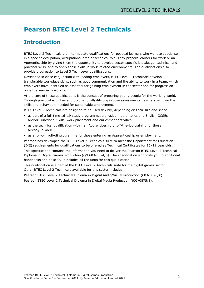# <span id="page-6-0"></span>**Pearson BTEC Level 2 Technicals**

# <span id="page-6-1"></span>**Introduction**

BTEC Level 2 Technicals are intermediate qualifications for post-16 learners who want to specialise in a specific occupation, occupational area or technical role. They prepare learners for work or an Apprenticeship by giving them the opportunity to develop sector-specific knowledge, technical and practical skills, and to apply these skills in work-related environments. The qualifications also provide progression to Level 3 Tech Level qualifications.

Developed in close conjunction with leading employers, BTEC Level 2 Technicals develop transferable workplace skills, such as good communication and the ability to work in a team, which employers have identified as essential for gaining employment in the sector and for progression once the learner is working.

At the core of these qualifications is the concept of preparing young people for the working world. Through practical activities and occupationally-fit-for-purpose assessments, learners will gain the skills and behaviours needed for sustainable employment.

BTEC Level 2 Technicals are designed to be used flexibly, depending on their size and scope:

- as part of a full-time 16–19 study programme, alongside mathematics and English GCSEs and/or Functional Skills, work placement and enrichment activities
- as the technical qualification within an Apprenticeship or off-the-job training for those already in work
- as a roll-on, roll-off programme for those entering an Apprenticeship or employment.

Pearson has developed the BTEC Level 2 Technicals suite to meet the Department for Education (DfE) requirements for qualifications to be offered as Technical Certificates for 16–19 year olds.

This specification contains the information you need to deliver the Pearson BTEC Level 2 Technical Diploma in Digital Games Production (QN 603/0874/6). The specification signposts you to additional handbooks and policies. It includes all the units for this qualification.

This qualification is a part of the BTEC Level 2 Technicals suite for the digital games sector. Other BTEC Level 2 Technicals available for this sector include:

Pearson BTEC Level 2 Technical Diploma in Digital Audio/Visual Production (603/0876/X)

Pearson BTEC Level 2 Technical Diploma in Digital Media Production (603/0875/8).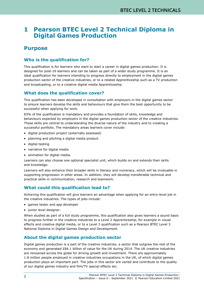# <span id="page-7-0"></span>**1 Pearson BTEC Level 2 Technical Diploma in Digital Games Production**

# <span id="page-7-1"></span>**Purpose**

# <span id="page-7-2"></span>**Who is the qualification for?**

This qualification is for learners who want to start a career in digital games production. It is designed for post-16 learners and can be taken as part of a wider study programme. It is an ideal qualification for learners intending to progress directly to employment in the digital games production sector of the creative industries, or to a related Apprenticeship such as a TV production and broadcasting, or to a creative digital media Apprenticeship.

# <span id="page-7-3"></span>**What does the qualification cover?**

This qualification has been developed in consultation with employers in the digital games sector to ensure learners develop the skills and behaviours that give them the best opportunity to be successful when applying for work.

83% of the qualification is mandatory and provides a foundation of skills, knowledge and behaviours expected by employers in the digital games production sector of the creative industries. These skills are central to understanding the diverse nature of the industry and to creating a successful portfolio. The mandatory areas learners cover include:

- digital production project (externally assessed)
- planning and pitching a digital media product
- digital testing
- narrative for digital media
- animation for digital media.

Learners can also choose one optional specialist unit, which builds on and extends their skills and knowledge.

Learners will also enhance their broader skills in literacy and numeracy, which will be invaluable in supporting progression in other areas. In addition, they will develop transferable technical and practical skills in communication, research and teamwork.

# <span id="page-7-4"></span>**What could this qualification lead to?**

Achieving this qualification will give learners an advantage when applying for an entry-level job in the creative industries. The types of jobs include:

- games tester and app developer
- junior level designer.

When studied as part of a full study programme, this qualification also gives learners a sound basis to progress further in the creative industries to a Level 2 Apprenticeship, for example in visual effects and creative digital media, or to a Level 3 qualification such as a Pearson BTEC Level 3 National Diploma in Digital Games Design and Development.

# <span id="page-7-5"></span>**About the digital games production sector**

Digital games production is a part of the creative industries, a sector that outgrew the rest of the economy and generated £84.1 billion of value for the UK during 2014. The UK creative industries are renowned across the globe for driving growth and investment. There are approximately 1.8 million people employed in creative industries occupations in the UK, of which digital games production plays an important part. The jobs in this sector are varied and contribute to the quality of our digital games industry and film/TV special effects etc.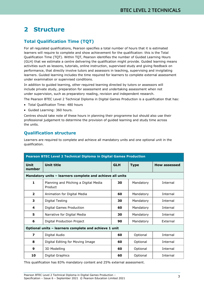# <span id="page-8-0"></span>**2 Structure**

# <span id="page-8-1"></span>**Total Qualification Time (TQT)**

For all regulated qualifications, Pearson specifies a total number of hours that it is estimated learners will require to complete and show achievement for the qualification: this is the Total Qualification Time (TQT). Within TQT, Pearson identifies the number of Guided Learning Hours (GLH) that we estimate a centre delivering the qualification might provide. Guided learning means activities such as lessons, tutorials, online instruction, supervised study and giving feedback on performance, that directly involve tutors and assessors in teaching, supervising and invigilating learners. Guided learning includes the time required for learners to complete external assessment under examination or supervised conditions.

In addition to guided learning, other required learning directed by tutors or assessors will include private study, preparation for assessment and undertaking assessment when not under supervision, such as preparatory reading, revision and independent research.

The Pearson BTEC Level 2 Technical Diploma in Digital Games Production is a qualification that has:

- Total Qualification Time: 480 hours
- Guided Learning: 360 hours.

Centres should take note of these hours in planning their programme but should also use their professional judgement to determine the provision of guided learning and study time across the units.

# <span id="page-8-2"></span>**Qualification structure**

Learners are required to complete and achieve all mandatory units and one optional unit in the qualification.

| Pearson BTEC Level 2 Technical Diploma in Digital Games Production |                                                           |            |             |                     |
|--------------------------------------------------------------------|-----------------------------------------------------------|------------|-------------|---------------------|
| Unit<br>number                                                     | <b>Unit title</b>                                         | <b>GLH</b> | <b>Type</b> | <b>How assessed</b> |
|                                                                    | Mandatory units - learners complete and achieve all units |            |             |                     |
| $\mathbf{1}$                                                       | Planning and Pitching a Digital Media<br>Product          | 30         | Mandatory   | Internal            |
| $\overline{2}$                                                     | Animation for Digital Media                               | 60         | Mandatory   | Internal            |
| 3                                                                  | Digital Testing                                           | 30         | Mandatory   | Internal            |
| 4                                                                  | Digital Games Production                                  | 60         | Mandatory   | Internal            |
| 5                                                                  | Narrative for Digital Media                               | 30         | Mandatory   | Internal            |
| 6                                                                  | Digital Production Project                                | 90         | Mandatory   | External            |
|                                                                    | Optional units - learners complete and achieve 1 unit     |            |             |                     |
| $\overline{\mathbf{z}}$                                            | Digital Audio                                             | 60         | Optional    | Internal            |
| 8                                                                  | Digital Editing for Moving Image                          | 60         | Optional    | Internal            |
| 9                                                                  | 3D Modelling                                              | 60         | Optional    | Internal            |
| 10                                                                 | Digital Graphics                                          | 60         | Optional    | Internal            |

This qualification has 83% mandatory content and 25% external assessment.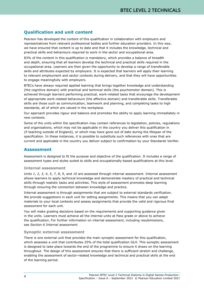# <span id="page-9-0"></span>**Qualification and unit content**

Pearson has developed the content of this qualification in collaboration with employers and representatives from relevant professional bodies and further education providers. In this way, we have ensured that content is up to date and that it includes the knowledge, technical and practical skills and behaviours required to work in the sector and occupational area.

83% of the content in this qualification is mandatory, which provides a balance of breadth and depth, ensuring that all learners develop the technical and practical skills required in the occupational area. Learners are then given the opportunity to develop a range of transferable skills and attributes expected by employers. It is expected that learners will apply their learning to relevant employment and sector contexts during delivery, and that they will have opportunities to engage meaningfully with employers.

BTECs have always required applied learning that brings together knowledge and understanding (the cognitive domain) with practical and technical skills (the psychomotor domain). This is achieved through learners performing practical, work-related tasks that encourage the development of appropriate work-related behaviours (the affective domain) and transferable skills. Transferable skills are those such as communication, teamwork and planning, and completing tasks to high standards, all of which are valued in the workplace.

Our approach provides rigour and balance and promotes the ability to apply learning immediately in new contexts.

Some of the units within the specification may contain references to legislation, policies, regulations and organisations, which may not be applicable in the country you deliver this qualification in (if teaching outside of England), or which may have gone out of date during the lifespan of the specification. In these instances, it is possible to substitute such references with ones that are current and applicable in the country you deliver subject to confirmation by your Standards Verifier.

### <span id="page-9-1"></span>**Assessment**

Assessment is designed to fit the purpose and objective of the qualification. It includes a range of assessment types and styles suited to skills and occupationally-based qualifications at this level.

#### **Internal assessment**

*Units 1*, *2*, *3*, *4*, *5*, *7*, *8*, *9*, and *10* are assessed through internal assessment. Internal assessment allows learners to apply technical knowledge and demonstrate mastery of practical and technical skills through realistic tasks and activities. This style of assessment promotes deep learning through ensuring the connection between knowledge and practice.

Internal assessment is through assignments that are subject to external standards verification. We provide suggestions in each unit for setting assignments. This means that you can adapt materials to your local contexts and assess assignments that provide the valid and rigorous final assessment for each unit.

You will make grading decisions based on the requirements and supporting guidance given in the units. Learners must achieve all the internal units at Pass grade or above to achieve the qualification. For further information on internal assessment, including resubmissions, see *Section 6 Internal assessment*.

#### **Synoptic external assessment**

There is one external unit that provides the main synoptic assessment for this qualification, which assesses a unit that contributes 25% of the total qualification GLH. This synoptic assessment is designed to take place towards the end of the programme to ensure it draws on the learning throughout. The design of this assessment ensures that there is sufficient stretch and challenge, enabling the assessment of sector-related knowledge and technical and practical skills at the end of the learning period.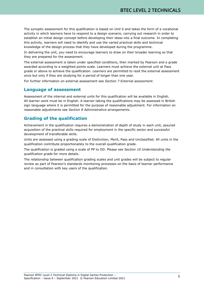The synoptic assessment for this qualification is based on *Unit 6* and takes the form of a vocational activity in which learners have to respond to a design scenario, carrying out research in order to establish an initial design concept before developing their ideas into a final outcome. In completing this activity, learners will need to identify and use the varied practical skills and technical knowledge of the design process that they have developed during the programme.

In delivering the unit, you need to encourage learners to draw on their broader learning so that they are prepared for the assessment.

The external assessment is taken under specified conditions, then marked by Pearson and a grade awarded according to a weighted points scale. Learners must achieve the external unit at Pass grade or above to achieve the qualification. Learners are permitted to resit the external assessment once but only if they are studying for a period of longer than one year.

For further information on external assessment see *Section 7 External assessment*.

#### <span id="page-10-0"></span>**Language of assessment**

Assessment of the internal and external units for this qualification will be available in English. All learner work must be in English. A learner taking the qualifications may be assessed in British sign language where it is permitted for the purpose of reasonable adjustment. For information on reasonable adjustments see *Section 8 Administrative arrangements*.

### <span id="page-10-1"></span>**Grading of the qualification**

Achievement in the qualification requires a demonstration of depth of study in each unit, assured acquisition of the practical skills required for employment in the specific sector and successful development of transferable skills.

Units are assessed using a grading scale of Distinction, Merit, Pass and Unclassified. All units in the qualification contribute proportionately to the overall qualification grade.

The qualification is graded using a scale of PP to DD. Please see *Section 10 Understanding the qualification grade* for more details.

The relationship between qualification grading scales and unit grades will be subject to regular review as part of Pearson's standards monitoring processes on the basis of learner performance and in consultation with key users of the qualification.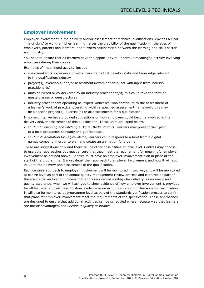# <span id="page-11-0"></span>**Employer involvement**

Employer involvement in the delivery and/or assessment of technical qualifications provides a clear 'line of sight' to work, enriches learning, raises the credibility of the qualification in the eyes of employers, parents and learners, and furthers collaboration between the learning and skills sector and industry.

You need to ensure that all learners have the opportunity to undertake meaningful activity involving employers during their course.

Examples of 'meaningful activity' include:

- structured work experience or work placements that develop skills and knowledge relevant to the qualification/industry
- project(s), exercise(s) and/or assessments/examination(s) set with input from industry practitioner(s)
- units delivered or co-delivered by an industry practitioner(s); this could take the form of masterclasses or guest lectures
- industry practitioners operating as 'expert witnesses' who contribute to the assessment of a learner's work of practice, operating within a specified assessment framework; this may be a specific project(s), exercise(s) or all assessments for a qualification.

In some units, we have provided suggestions on how employers could become involved in the delivery and/or assessment of this qualification. These units are listed below.

- In *Unit 1: Planning and Pitching a Digital Media Product*, learners may present their pitch to a local production company and get feedback.
- In *Unit 2: Animation for Digital Media*, learners could respond to a brief from a digital games company in order to plan and create an animation for a game.

These are suggestions only and there will be other possibilities at local level. Centres may choose to use other approaches but must ensure that they meet the requirement for meaningful employer involvement as defined above. Centres must have an employer involvement plan in place at the start of the programme. It must detail their approach to employer involvement and how it will add value to the delivery and assessment of the qualification.

Each centre's approach to employer involvement will be monitored in two ways. It will be monitored at centre level as part of the annual quality-management review process and captured as part of the standards verification process that addresses centre strategy for delivery, assessment and quality assurance, when we will ask you to show evidence of how employer involvement is provided for all learners. You will need to show evidence in order to gain reporting clearance for certification. It will also be monitored at programme level as part of the standards verification process to confirm that plans for employer involvement meet the requirements of the specification. These approaches are designed to ensure that additional activities can be scheduled where necessary so that learners are not disadvantaged, see *Section 9 Quality assurance*.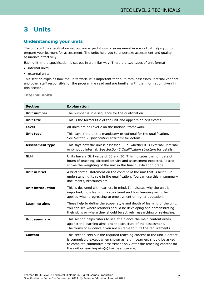# <span id="page-12-0"></span>**3 Units**

# <span id="page-12-1"></span>**Understanding your units**

The units in this specification set out our expectations of assessment in a way that helps you to prepare your learners for assessment. The units help you to undertake assessment and quality assurance effectively.

Each unit in the specification is set out in a similar way. There are two types of unit format:

- internal units
- external units.

This section explains how the units work. It is important that all tutors, assessors, internal verifiers and other staff responsible for the programme read and are familiar with the information given in this section.

| <b>Section</b>           | <b>Explanation</b>                                                                                                                                                                                                                                                       |  |
|--------------------------|--------------------------------------------------------------------------------------------------------------------------------------------------------------------------------------------------------------------------------------------------------------------------|--|
| <b>Unit number</b>       | The number is in a sequence for the qualification.                                                                                                                                                                                                                       |  |
| <b>Unit title</b>        | This is the formal title of the unit and appears on certificates.                                                                                                                                                                                                        |  |
| Level                    | All units are at Level 2 on the national framework.                                                                                                                                                                                                                      |  |
| Unit type                | This says if the unit is mandatory or optional for the qualification.<br>See Section 2 Qualification structure for details.                                                                                                                                              |  |
| <b>Assessment type</b>   | This says how the unit is assessed $-$ i.e. whether it is external, internal<br>or synoptic internal. See Section 2 Qualification structure for details.                                                                                                                 |  |
| <b>GLH</b>               | Units have a GLH value of 60 and 30. This indicates the numbers of<br>hours of teaching, directed activity and assessment expected. It also<br>shows the weighting of the unit in the final qualification grade.                                                         |  |
| <b>Unit in brief</b>     | A brief formal statement on the content of the unit that is helpful in<br>understanding its role in the qualification. You can use this in summary<br>documents, brochures etc.                                                                                          |  |
| <b>Unit introduction</b> | This is designed with learners in mind. It indicates why the unit is<br>important, how learning is structured and how learning might be<br>applied when progressing to employment or higher education.                                                                   |  |
| <b>Learning aims</b>     | These help to define the scope, style and depth of learning of the unit.<br>You can see where learners should be developing and demonstrating<br>their skills or where they should be actively researching or reviewing.                                                 |  |
| <b>Unit summary</b>      | This section helps tutors to see at a glance the main content areas<br>against the learning aims and the structure of the assessment.<br>The forms of evidence given are suitable to fulfil the requirements.                                                            |  |
| Content                  | This section sets out the required teaching content of the unit. Content<br>is compulsory except when shown as 'e.g.'. Learners should be asked<br>to complete summative assessment only after the teaching content for<br>the unit or learning aim(s) has been covered. |  |

#### **Internal units**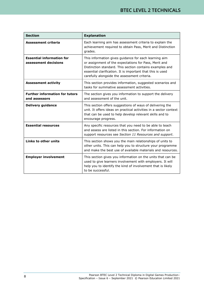| <b>Section</b>                                           | <b>Explanation</b>                                                                                                                                                                                                                                                                       |
|----------------------------------------------------------|------------------------------------------------------------------------------------------------------------------------------------------------------------------------------------------------------------------------------------------------------------------------------------------|
| Assessment criteria                                      | Each learning aim has assessment criteria to explain the<br>achievement required to obtain Pass, Merit and Distinction<br>grades.                                                                                                                                                        |
| <b>Essential information for</b><br>assessment decisions | This information gives guidance for each learning aim<br>or assignment of the expectations for Pass, Merit and<br>Distinction standard. This section contains examples and<br>essential clarification. It is important that this is used<br>carefully alongside the assessment criteria. |
| <b>Assessment activity</b>                               | This section provides information, suggested scenarios and<br>tasks for summative assessment activities.                                                                                                                                                                                 |
| <b>Further information for tutors</b><br>and assessors   | The section gives you information to support the delivery<br>and assessment of the unit.                                                                                                                                                                                                 |
| <b>Delivery guidance</b>                                 | This section offers suggestions of ways of delivering the<br>unit. It offers ideas on practical activities in a sector context<br>that can be used to help develop relevant skills and to<br>encourage progress.                                                                         |
| <b>Essential resources</b>                               | Any specific resources that you need to be able to teach<br>and assess are listed in this section. For information on<br>support resources see Section 11 Resources and support.                                                                                                         |
| Links to other units                                     | This section shows you the main relationships of units to<br>other units. This can help you to structure your programme<br>and make the best use of available materials and resources.                                                                                                   |
| <b>Employer involvement</b>                              | This section gives you information on the units that can be<br>used to give learners involvement with employers. It will<br>help you to identify the kind of involvement that is likely<br>to be successful.                                                                             |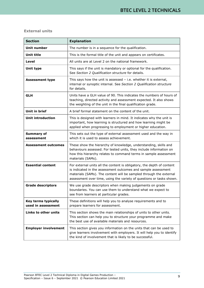#### **External units**

| <b>Section</b>                            | <b>Explanation</b>                                                                                                                                                                                                                                                                    |
|-------------------------------------------|---------------------------------------------------------------------------------------------------------------------------------------------------------------------------------------------------------------------------------------------------------------------------------------|
| <b>Unit number</b>                        | The number is in a sequence for the qualification.                                                                                                                                                                                                                                    |
| <b>Unit title</b>                         | This is the formal title of the unit and appears on certificates.                                                                                                                                                                                                                     |
| Level                                     | All units are at Level 2 on the national framework.                                                                                                                                                                                                                                   |
| Unit type                                 | This says if the unit is mandatory or optional for the qualification.<br>See Section 2 Qualification structure for details.                                                                                                                                                           |
| <b>Assessment type</b>                    | This says how the unit is assessed $-$ i.e. whether it is external,<br>internal or synoptic internal. See Section 2 Qualification structure<br>for details.                                                                                                                           |
| <b>GLH</b>                                | Units have a GLH value of 90. This indicates the numbers of hours of<br>teaching, directed activity and assessment expected. It also shows<br>the weighting of the unit in the final qualification grade.                                                                             |
| <b>Unit in brief</b>                      | A brief formal statement on the content of the unit.                                                                                                                                                                                                                                  |
| Unit introduction                         | This is designed with learners in mind. It indicates why the unit is<br>important, how learning is structured and how learning might be<br>applied when progressing to employment or higher education.                                                                                |
| <b>Summary of</b><br>assessment           | This sets out the type of external assessment used and the way in<br>which it is used to assess achievement.                                                                                                                                                                          |
| <b>Assessment outcomes</b>                | These show the hierarchy of knowledge, understanding, skills and<br>behaviours assessed. For tested units, they include information on<br>how this hierarchy relates to command terms in sample assessment<br>materials (SAMs).                                                       |
| <b>Essential content</b>                  | For external units all the content is obligatory, the depth of content<br>is indicated in the assessment outcomes and sample assessment<br>materials (SAMs). The content will be sampled through the external<br>assessment over time, using the variety of questions or tasks shown. |
| <b>Grade descriptors</b>                  | We use grade descriptors when making judgements on grade<br>boundaries. You can use them to understand what we expect to<br>see from learners at particular grades.                                                                                                                   |
| Key terms typically<br>used in assessment | These definitions will help you to analyse requirements and to<br>prepare learners for assessment.                                                                                                                                                                                    |
| Links to other units                      | This section shows the main relationships of units to other units.<br>This section can help you to structure your programme and make<br>the best use of available materials and resources.                                                                                            |
| <b>Employer involvement</b>               | This section gives you information on the units that can be used to<br>give learners involvement with employers. It will help you to identify<br>the kind of involvement that is likely to be successful.                                                                             |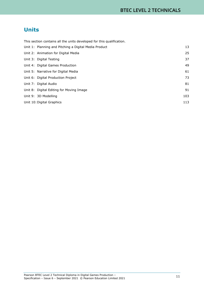# **Units**

| This section contains all the units developed for this qualification. |     |
|-----------------------------------------------------------------------|-----|
| Unit 1: Planning and Pitching a Digital Media Product                 | 13  |
| Unit 2: Animation for Digital Media                                   | 25  |
| Unit 3: Digital Testing                                               | 37  |
| Unit 4: Digital Games Production                                      | 49  |
| Unit 5: Narrative for Digital Media                                   | 61  |
| Unit 6: Digital Production Project                                    | 73  |
| Unit 7: Digital Audio                                                 | 81  |
| Unit 8: Digital Editing for Moving Image                              | 91  |
| Unit 9: 3D Modelling                                                  | 103 |
| Unit 10: Digital Graphics                                             | 113 |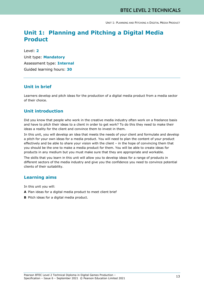# **Unit 1: Planning and Pitching a Digital Media Product**

Level: **2** Unit type: **Mandatory** Assessment type: **Internal** Guided learning hours: **30**

### **Unit in brief**

Learners develop and pitch ideas for the production of a digital media product from a media sector of their choice.

# **Unit introduction**

Did you know that people who work in the creative media industry often work on a freelance basis and have to pitch their ideas to a client in order to get work? To do this they need to make their ideas a reality for the client and convince them to invest in them.

In this unit, you will develop an idea that meets the needs of your client and formulate and develop a pitch for your own ideas for a media product. You will need to plan the content of your product effectively and be able to share your vision with the client – in the hope of convincing them that you should be the one to make a media product for them. You will be able to create ideas for products in any medium but you must make sure that they are appropriate and workable.

The skills that you learn in this unit will allow you to develop ideas for a range of products in different sectors of the media industry and give you the confidence you need to convince potential clients of their suitability.

### **Learning aims**

In this unit you will:

- **A** Plan ideas for a digital media product to meet client brief
- **B** Pitch ideas for a digital media product.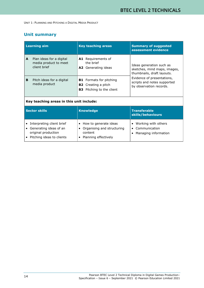# **Unit summary**

| <b>Learning aim</b>                                                    | <b>Key teaching areas</b>                                                                        | <b>Summary of suggested</b><br>assessment evidence                                     |  |
|------------------------------------------------------------------------|--------------------------------------------------------------------------------------------------|----------------------------------------------------------------------------------------|--|
| Plan ideas for a digital<br>A<br>media product to meet<br>client brief | A1 Requirements of<br>the brief<br><b>A2</b> Generating ideas                                    | Ideas generation such as<br>sketches, mind maps, images,<br>thumbnails, draft layouts. |  |
| B<br>Pitch ideas for a digital<br>media product                        | <b>B1</b> Formats for pitching<br><b>B2</b> Creating a pitch<br><b>B3</b> Pitching to the client | Evidence of presentations,<br>scripts and notes supported<br>by observation records.   |  |
| Key teaching areas in this unit include:                               |                                                                                                  |                                                                                        |  |
|                                                                        |                                                                                                  |                                                                                        |  |

| Sector skills                                                                                                        | <b>Knowledge</b>                                                                         | <b>Transferable</b><br>skills/behaviours                           |
|----------------------------------------------------------------------------------------------------------------------|------------------------------------------------------------------------------------------|--------------------------------------------------------------------|
| Interpreting client brief<br>l e<br>Generating ideas of an<br>۱.<br>original production<br>Pitching ideas to clients | • How to generate ideas<br>Organising and structuring<br>content<br>Planning effectively | • Working with others<br>• Communication<br>• Managing information |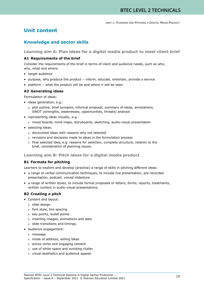# **Unit content**

# **Knowledge and sector skills**

**Learning aim A: Plan ideas for a digital media product to meet client brief**

#### **A1 Requirements of the brief**

Consider the requirements of the brief in terms of client and audience needs, such as who, why, what and where:

- target audience
- purpose, why produce the product inform, educate, entertain, provide a service
- platform what the product will be and where it will be seen.

#### **A2 Generating ideas**

Formulation of ideas:

- ideas generation, e.g.:
	- o plot outline, brief synopsis, informal proposal, summary of ideas, annotations, SWOT (strengths, weaknesses, opportunities, threats) analysis
- representing ideas visually, e.g.:
	- o mood boards, mind maps, storyboards, sketching, audio-visual presentation
- selecting ideas:
	- o discounted ideas with reasons why not selected
	- o revisions and decisions made to ideas in the formulation process
	- o final selected idea, e.g. reasons for selection, complete structure, relation to the brief, consideration of planning issues.

#### **Learning aim B: Pitch ideas for a digital media product**

#### **B1 Formats for pitching**

Learners to explore and develop (practise) a range of skills in pitching different ideas:

- a range of verbal communication techniques, to include live presentation, pre-recorded presentation, podcast, voiced slideshow
- a range of written styles, to include formal proposals or letters, forms, reports, treatments, written content in audio-visual presentations.

#### **B2 Creating a pitch**

- Content and layout:
	- o slide design
	- o font style, line spacing
	- o key points, bullet points
	- o inserting images, animations and data
	- o slide transitions and timings.
- Audience engagement:
	- o message
	- o mode of address, selling ideas
	- o active verbs and engaging content
	- o use of white space and avoiding clutter
	- o visual aesthetics and audience appeal.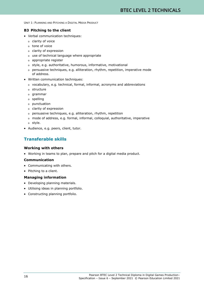#### **B3 Pitching to the client**

- Verbal communication techniques:
	- o clarity of voice
	- o tone of voice
	- o clarity of expression
	- o use of technical language where appropriate
	- o appropriate register
	- o style, e.g. authoritative, humorous, informative, motivational
	- o persuasive techniques, e.g. alliteration, rhythm, repetition, imperative mode of address.
- Written communication techniques:
	- o vocabulary, e.g. technical, formal, informal, acronyms and abbreviations
	- o structure
	- o grammar
	- o spelling
	- o punctuation
	- o clarity of expression
	- o persuasive techniques, e.g. alliteration, rhythm, repetition
	- o mode of address, e.g. formal, informal, colloquial, authoritative, imperative
	- o style.
- Audience, e.g. peers, client, tutor.

# **Transferable skills**

#### **Working with others**

• Working in teams to plan, prepare and pitch for a digital media product.

#### **Communication**

- Communicating with others.
- Pitching to a client.

#### **Managing information**

- Developing planning materials.
- Utilising ideas in planning portfolio.
- Constructing planning portfolio.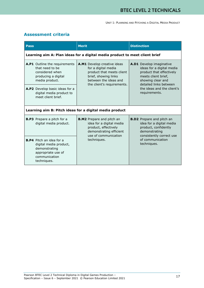# **Assessment criteria**

| <b>Pass</b>                                                                                                                                                                                      | <b>Merit</b>                                                                                                                                                   | <b>Distinction</b>                                                                                                                                                                                     |  |  |
|--------------------------------------------------------------------------------------------------------------------------------------------------------------------------------------------------|----------------------------------------------------------------------------------------------------------------------------------------------------------------|--------------------------------------------------------------------------------------------------------------------------------------------------------------------------------------------------------|--|--|
|                                                                                                                                                                                                  | Learning aim A: Plan ideas for a digital media product to meet client brief                                                                                    |                                                                                                                                                                                                        |  |  |
| A.P1 Outline the requirements<br>that need to be<br>considered when<br>producing a digital<br>media product.<br>A.P2 Develop basic ideas for a<br>digital media product to<br>meet client brief. | A.M1 Develop creative ideas<br>for a digital media<br>product that meets client<br>brief, showing links<br>between the ideas and<br>the client's requirements. | A.D1 Develop imaginative<br>ideas for a digital media<br>product that effectively<br>meets client brief,<br>showing clear and<br>detailed links between<br>the ideas and the client's<br>requirements. |  |  |
|                                                                                                                                                                                                  | Learning aim B: Pitch ideas for a digital media product                                                                                                        |                                                                                                                                                                                                        |  |  |
| <b>B.P3</b> Prepare a pitch for a<br>digital media product.                                                                                                                                      | <b>B.M2</b> Prepare and pitch an<br>idea for a digital media<br>product, effectively<br>demonstrating efficient<br>use of communication                        | <b>B.D2</b> Prepare and pitch an<br>idea for a digital media<br>product, confidently<br>demonstrating<br>consistently correct use                                                                      |  |  |
| <b>B.P4</b> Pitch an idea for a<br>digital media product,<br>demonstrating<br>appropriate use of<br>communication<br>techniques.                                                                 | techniques.                                                                                                                                                    | of communication<br>techniques.                                                                                                                                                                        |  |  |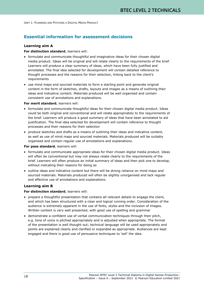### **Essential information for assessment decisions**

#### **Learning aim A**

#### **For distinction standard**, learners will:

- formulate and communicate thoughtful and imaginative ideas for their chosen digital media product. Ideas will be original and will relate clearly to the requirements of the brief. Learners will produce a clear summary of ideas, which have been fully justified and annotated. The final idea selected for development will contain detailed reference to thought processes and the reasons for their selection, linking back to the client's requirements
- use mind maps and sourced materials to form a starting point and generate original content in the form of sketches, drafts, layouts and images as a means of outlining their ideas and indicative content. Materials produced will be well organised and contain consistent use of annotations and explanations.

#### **For merit standard**, learners will:

- formulate and communicate thoughtful ideas for their chosen digital media product. Ideas could be both original and conventional and will relate appropriately to the requirements of the brief. Learners will produce a good summary of ideas that have been annotated to aid justification. The final idea selected for development will contain reference to thought processes and their reasons for their selection
- produce sketches and drafts as a means of outlining their ideas and indicative content, as well as use of mind maps and sourced materials. Materials produced will be suitably organised and contain regular use of annotations and explanations.

#### **For pass standard**, learners will:

- formulate and communicate appropriate ideas for their chosen digital media product. Ideas will often be conventional but may not always relate clearly to the requirements of the brief. Learners will often produce an initial summary of ideas and then pick one to develop, without indicating their reasons for doing so
- outline ideas and indicative content but there will be strong reliance on mind maps and sourced materials. Materials produced will often be slightly unorganised and lack regular and effective use of annotations and explanations.

#### **Learning aim B**

#### **For distinction standard**, learners will:

- prepare a thoughtful presentation that contains all relevant details to engage the client, and which has been structured with a clear and logical running order. Consideration of the audience is extremely apparent in the use of fonts, styles and the inclusion of images. Written content is very well presented, with good use of spelling and grammar
- demonstrate a confident use of verbal communication techniques through their pitch, e.g. tone of voice is pitched appropriately and is adjusted when appropriate. The format of the presentation is well thought out; technical language will be used appropriately and points are explained clearly and clarified or expanded as appropriate. Audiences are kept engaged and there is good use of persuasive techniques to 'sell' the idea.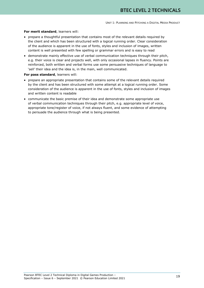#### **For merit standard**, learners will:

- prepare a thoughtful presentation that contains most of the relevant details required by the client and which has been structured with a logical running order. Clear consideration of the audience is apparent in the use of fonts, styles and inclusion of images, written content is well presented with few spelling or grammar errors and is easy to read
- demonstrate mainly effective use of verbal communication techniques through their pitch, e.g. their voice is clear and projects well, with only occasional lapses in fluency. Points are reinforced, both written and verbal forms use some persuasive techniques of language to 'sell' their idea and the idea is, in the main, well communicated.

#### **For pass standard**, learners will:

- prepare an appropriate presentation that contains some of the relevant details required by the client and has been structured with some attempt at a logical running order. Some consideration of the audience is apparent in the use of fonts, styles and inclusion of images and written content is readable
- communicate the basic premise of their idea and demonstrate some appropriate use of verbal communication techniques through their pitch, e.g. appropriate level of voice, appropriate tone/register of voice, if not always fluent, and some evidence of attempting to persuade the audience through what is being presented.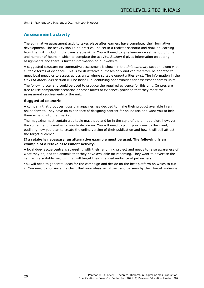### **Assessment activity**

The summative assessment activity takes place after learners have completed their formative development. The activity should be practical, be set in a realistic scenario and draw on learning from the unit, including the transferable skills. You will need to give learners a set period of time and number of hours in which to complete the activity. *Section 6* gives information on setting assignments and there is further information on our website.

A suggested structure for summative assessment is shown in the *Unit summary* section, along with suitable forms of evidence. This is for illustrative purposes only and can therefore be adapted to meet local needs or to assess across units where suitable opportunities exist. The information in the *Links to other units* section will be helpful in identifying opportunities for assessment across units.

The following scenario could be used to produce the required evidence for this unit. Centres are free to use comparable scenarios or other forms of evidence, provided that they meet the assessment requirements of the unit.

#### **Suggested scenario**

A company that produces 'gossip' magazines has decided to make their product available in an online format. They have no experience of designing content for online use and want you to help them expand into that market.

The magazine must contain a suitable masthead and be in the style of the print version, however the content and layout is for you to decide on. You will need to pitch your ideas to the client, outlining how you plan to create the online version of their publication and how it will still attract the target audience.

#### **If a retake is necessary, an alternative example must be used. The following is an example of a retake assessment activity.**

A local dog-rescue centre is struggling with their rehoming project and needs to raise awareness of what they do, and the animals that they have available for rehoming. They want to advertise the centre in a suitable medium that will target their intended audience of pet owners.

You will need to generate ideas for the campaign and decide on the best platform on which to run it. You need to convince the client that your ideas will attract and be seen by their target audience.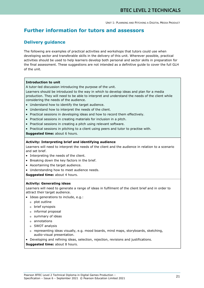# **Further information for tutors and assessors**

# **Delivery guidance**

The following are examples of practical activities and workshops that tutors could use when developing sector and transferable skills in the delivery of this unit. Wherever possible, practical activities should be used to help learners develop both personal and sector skills in preparation for the final assessment. These suggestions are not intended as a definitive guide to cover the full GLH of the unit.

#### **Introduction to unit**

A tutor-led discussion introducing the purpose of the unit.

Learners should be introduced to the way in which to develop ideas and plan for a media production. They will need to be able to interpret and understand the needs of the client while considering the needs of the audience.

- Understand how to identify the target audience.
- Understand how to interpret the needs of the client.
- Practical sessions in developing ideas and how to record them effectively.
- Practical sessions in creating materials for inclusion in a pitch.
- Practical sessions in creating a pitch using relevant software.
- Practical sessions in pitching to a client using peers and tutor to practise with.

**Suggested time:** about 6 hours.

#### **Activity: Interpreting brief and identifying audience**

Learners will need to interpret the needs of the client and the audience in relation to a scenario and set brief.

- Interpreting the needs of the client.
- Breaking down the key factors in the brief.
- Ascertaining the target audience.
- Understanding how to meet audience needs.

**Suggested time:** about 4 hours.

#### **Activity: Generating ideas**

Learners will need to generate a range of ideas in fulfilment of the client brief and in order to attract their target audience.

- Ideas generations to include, e.g.:
	- o plot outline
	- o brief synopsis
	- o informal proposal
	- o summary of ideas
	- o annotations
	- o SWOT analysis
	- o representing ideas visually, e.g. mood boards, mind maps, storyboards, sketching, audio-visual presentation.
- Developing and refining ideas, selection, rejection, revisions and justifications.
- **Suggested time:** about 8 hours.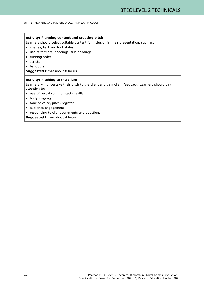#### **Activity: Planning content and creating pitch**

Learners should select suitable content for inclusion in their presentation, such as:

- images, text and font styles
- use of formats, headings, sub-headings
- running order
- scripts
- handouts.

**Suggested time:** about 8 hours.

#### **Activity: Pitching to the client**

Learners will undertake their pitch to the client and gain client feedback. Learners should pay attention to:

- use of verbal communication skills
- body language
- tone of voice, pitch, register
- audience engagement
- responding to client comments and questions.

**Suggested time:** about 4 hours.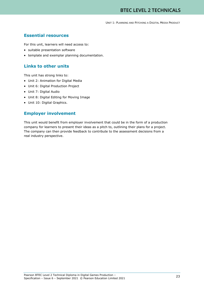# **Essential resources**

For this unit, learners will need access to:

- suitable presentation software
- template and exemplar planning documentation.

# **Links to other units**

This unit has strong links to:

- Unit 2: Animation for Digital Media
- Unit 6: Digital Production Project
- Unit 7: Digital Audio
- Unit 8: Digital Editing for Moving Image
- Unit 10: Digital Graphics.

### **Employer involvement**

This unit would benefit from employer involvement that could be in the form of a production company for learners to present their ideas as a pitch to, outlining their plans for a project. The company can then provide feedback to contribute to the assessment decisions from a real industry perspective.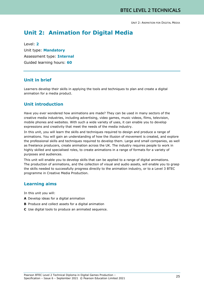# **Unit 2: Animation for Digital Media**

Level: **2** Unit type: **Mandatory** Assessment type: **Internal** Guided learning hours: **60**

#### **Unit in brief**

Learners develop their skills in applying the tools and techniques to plan and create a digital animation for a media product.

# **Unit introduction**

Have you ever wondered how animations are made? They can be used in many sectors of the creative media industries, including advertising, video games, music videos, films, television, mobile phones and websites. With such a wide variety of uses, it can enable you to develop expressions and creativity that meet the needs of the media industry.

In this unit, you will learn the skills and techniques required to design and produce a range of animations. You will gain an understanding of how the illusion of movement is created, and explore the professional skills and techniques required to develop them. Large and small companies, as well as freelance producers, create animation across the UK. The industry requires people to work in highly skilled and specialised roles, to create animations in a range of formats for a variety of purposes and audiences.

This unit will enable you to develop skills that can be applied to a range of digital animations. The production of animations, and the collection of visual and audio assets, will enable you to grasp the skills needed to successfully progress directly to the animation industry, or to a Level 3 BTEC programme in Creative Media Production.

#### **Learning aims**

In this unit you will:

- **A** Develop ideas for a digital animation
- **B** Produce and collect assets for a digital animation
- **C** Use digital tools to produce an animated sequence.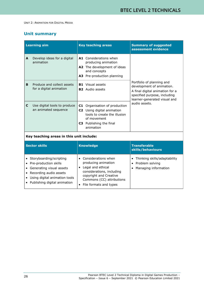# **Unit summary**

|                                          | <b>Learning aim</b>                                                                                                                                                       | <b>Key teaching areas</b>                                                                                                                                                                      | <b>Summary of suggested</b><br>assessment evidence                                                                                                        |
|------------------------------------------|---------------------------------------------------------------------------------------------------------------------------------------------------------------------------|------------------------------------------------------------------------------------------------------------------------------------------------------------------------------------------------|-----------------------------------------------------------------------------------------------------------------------------------------------------------|
| A                                        | Develop ideas for a digital<br>animation                                                                                                                                  | A1 Considerations when<br>producing animation<br>A2 The development of ideas<br>and concepts<br>A3 Pre-production planning                                                                     |                                                                                                                                                           |
| B                                        | Produce and collect assets<br>for a digital animation                                                                                                                     | <b>B1</b> Visual assets<br><b>B2</b> Audio assets                                                                                                                                              | Portfolio of planning and<br>development of animation.<br>A final digital animation for a<br>specified purpose, including<br>learner-generated visual and |
| C                                        | Use digital tools to produce<br>an animated sequence                                                                                                                      | C1 Organisation of production<br>C2 Using digital animation<br>tools to create the illusion<br>of movement<br><b>C3</b> Publishing the final<br>animation                                      | audio assets.                                                                                                                                             |
| Key teaching areas in this unit include: |                                                                                                                                                                           |                                                                                                                                                                                                |                                                                                                                                                           |
|                                          | <b>Sector skills</b>                                                                                                                                                      | <b>Knowledge</b>                                                                                                                                                                               | <b>Transferable</b><br>skills/behaviours                                                                                                                  |
|                                          | Storyboarding/scripting<br>Pre-production skills<br>Generating visual assets<br>Recording audio assets<br>Using digital animation tools<br>• Publishing digital animation | • Considerations when<br>producing animation<br>• Legal and ethical<br>considerations, including<br>copyright and Creative<br>Commons (CC) attributions<br>File formats and types<br>$\bullet$ | Thinking skills/adaptability<br>$\bullet$<br>Problem solving<br>$\bullet$<br>Managing information<br>$\bullet$                                            |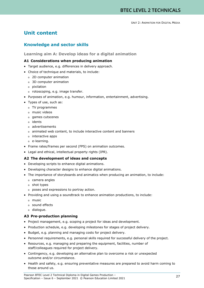# **Unit content**

# **Knowledge and sector skills**

#### **Learning aim A: Develop ideas for a digital animation**

#### **A1 Considerations when producing animation**

- Target audience, e.g. differences in delivery approach.
- Choice of technique and materials, to include:
	- o 2D computer animation
	- o 3D computer animation
	- o pixilation
	- o rotoscoping, e.g. image transfer.
- Purposes of animation, e.g. humour, information, entertainment, advertising.
- Types of use, such as:
	- o TV programmes
	- o music videos
	- o games cutscenes
	- o idents
	- o advertisements
	- o animated web content, to include interactive content and banners
	- o interactive apps
	- o e-learning.
- Frame rates/frames per second (FPS) on animation outcomes.
- Legal and ethical, intellectual property rights (IPR).

#### **A2 The development of ideas and concepts**

- Developing scripts to enhance digital animations.
- Developing character designs to enhance digital animations.
- The importance of storyboards and animatics when producing an animation, to include:
	- o camera angles
	- o shot types
	- o poses and expressions to portray action.
- Providing and using a soundtrack to enhance animation productions, to include:
	- o music
	- o sound effects
	- o dialogue.

#### **A3 Pre-production planning**

- Project management, e.g. scoping a project for ideas and development.
- Production schedule, e.g. developing milestones for stages of project delivery.
- Budget, e.g. planning and managing costs for project delivery.
- Personnel requirements, e.g. personal skills required for successful delivery of the project.
- Resources, e.g. managing and preparing the equipment, facilities, number of staff/colleagues required for project delivery.
- Contingency, e.g. developing an alternative plan to overcome a risk or unexpected outcome and/or circumstance.
- Health and safety, e.g. ensuring preventative measures are prepared to avoid harm coming to those around us.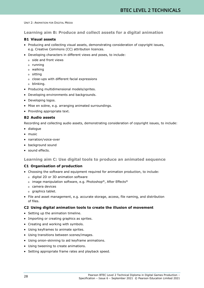**Learning aim B: Produce and collect assets for a digital animation**

#### **B1 Visual assets**

- Producing and collecting visual assets, demonstrating consideration of copyright issues, e.g. Creative Commons (CC) attribution licences.
- Developing characters in different views and poses, to include:
	- o side and front views
	- o running
	- o walking
	- o sitting
	- o close-ups with different facial expressions
	- o blinking.
- Producing multidimensional models/sprites.
- Developing environments and backgrounds.
- Developing logos.
- Mise en scène, e.g. arranging animated surroundings.
- Providing appropriate text.

#### **B2 Audio assets**

Recording and collecting audio assets, demonstrating consideration of copyright issues, to include:

- dialogue
- music
- narration/voice-over
- background sound
- sound effects.

**Learning aim C: Use digital tools to produce an animated sequence**

#### **C1 Organisation of production**

- Choosing the software and equipment required for animation production, to include:
	- o digital 2D or 3D animation software
	- o image manipulation software, e.g. Photoshop®, After Effects®
	- o camera devices
	- o graphics tablet.
- File and asset management, e.g. accurate storage, access, file naming, and distribution of files.

#### **C2 Using digital animation tools to create the illusion of movement**

- Setting up the animation timeline.
- Importing or creating graphics as sprites.
- Creating and working with symbols.
- Using keyframes to animate sprites.
- Using transitions between scenes/images.
- Using onion-skinning to aid keyframe animations.
- Using tweening to create animations.
- Setting appropriate frame rates and playback speed.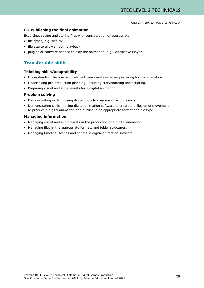#### **C3 Publishing the final animation**

Exporting, saving and storing files with consideration of appropriate:

- file types, e.g. swf, flv
- file size to allow smooth playback
- plugins or software needed to play the animation, e.g. Shockwave Player.

# **Transferable skills**

#### **Thinking skills/adaptability**

- Understanding the brief and relevant considerations when preparing for the animation.
- Undertaking pre-production planning, including storyboarding and scripting.
- Preparing visual and audio assets for a digital animation.

#### **Problem solving**

- Demonstrating skills in using digital tools to create and record assets.
- Demonstrating skills in using digital animation software to create the illusion of movement to produce a digital animation and publish in an appropriate format and file type.

#### **Managing information**

- Managing visual and audio assets in the production of a digital animation.
- Managing files in the appropriate formats and folder structures.
- Managing timeline, scenes and sprites in digital animation software.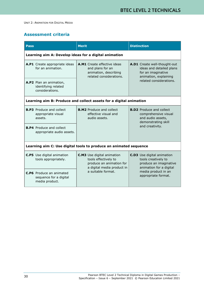# **Assessment criteria**

| Pass                                                                                                                             | <b>Merit</b>                                                                                                                              | <b>Distinction</b>                                                                                                                                          |
|----------------------------------------------------------------------------------------------------------------------------------|-------------------------------------------------------------------------------------------------------------------------------------------|-------------------------------------------------------------------------------------------------------------------------------------------------------------|
| Learning aim A: Develop ideas for a digital animation                                                                            |                                                                                                                                           |                                                                                                                                                             |
| A.P1 Create appropriate ideas<br>for an animation.                                                                               | <b>A.M1</b> Create effective ideas<br>and plans for an<br>animation, describing<br>related considerations.                                | A.D1 Create well-thought-out<br>ideas and detailed plans<br>for an imaginative<br>animation, explaining<br>related considerations.                          |
| A.P2 Plan an animation,<br>identifying related<br>considerations.                                                                |                                                                                                                                           |                                                                                                                                                             |
| Learning aim B: Produce and collect assets for a digital animation                                                               |                                                                                                                                           |                                                                                                                                                             |
| <b>B.P3</b> Produce and collect<br>appropriate visual<br>assets.<br><b>B.P4</b> Produce and collect<br>appropriate audio assets. | <b>B.M2</b> Produce and collect<br>effective visual and<br>audio assets.                                                                  | <b>B.D2</b> Produce and collect<br>comprehensive visual<br>and audio assets,<br>demonstrating skill<br>and creativity.                                      |
|                                                                                                                                  |                                                                                                                                           |                                                                                                                                                             |
| Learning aim C: Use digital tools to produce an animated sequence                                                                |                                                                                                                                           |                                                                                                                                                             |
| <b>C.P5</b> Use digital animation<br>tools appropriately.                                                                        | <b>C.M3</b> Use digital animation<br>tools effectively to<br>produce an animation for<br>a digital media product in<br>a suitable format. | <b>C.D3</b> Use digital animation<br>tools creatively to<br>produce an imaginative<br>animation for a digital<br>media product in an<br>appropriate format. |
| <b>C.P6</b> Produce an animated<br>sequence for a digital<br>media product.                                                      |                                                                                                                                           |                                                                                                                                                             |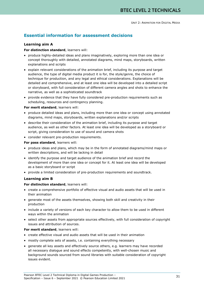# **Essential information for assessment decisions**

#### **Learning aim A**

#### **For distinction standard**, learners will:

- produce highly-detailed ideas and plans imaginatively, exploring more than one idea or concept thoroughly with detailed, annotated diagrams, mind maps, storyboards, written explanations and scripts
- explain relevant considerations of the animation brief, including its purpose and target audience, the type of digital media product it is for, the style/genre, the choice of technique for production, and any legal and ethical considerations. Explanations will be detailed and comprehensive, and at least one idea will be developed into a detailed script or storyboard, with full consideration of different camera angles and shots to enhance the narrative, as well as a sophisticated soundtrack
- provide evidence that they have fully considered pre-production requirements such as scheduling, resources and contingency planning.

#### **For merit standard**, learners will:

- produce detailed ideas and plans, including more than one idea or concept using annotated diagrams, mind maps, storyboards, written explanations and/or scripts
- describe their consideration of the animation brief, including its purpose and target audience, as well as other factors. At least one idea will be developed as a storyboard or script, giving consideration to use of sound and camera shots
- consider relevant pre-production requirements.

#### **For pass standard**, learners will:

- produce ideas and plans, which may be in the form of annotated diagrams/mind maps or written descriptions, and will be lacking in detail
- identify the purpose and target audience of the animation brief and record the development of more than one idea or concept for it. At least one idea will be developed as a basic storyboard or script
- provide a limited consideration of pre-production requirements and soundtrack.

#### **Learning aim B**

#### **For distinction standard**, learners will:

- create a comprehensive portfolio of effective visual and audio assets that will be used in their animation
- generate most of the assets themselves, showing both skill and creativity in their production
- include a variety of versions of each key character to allow them to be used in different ways within the animation
- select other assets from appropriate sources effectively, with full consideration of copyright issues and attribution of sources.

#### **For merit standard**, learners will:

- create effective visual and audio assets that will be used in their animation
- mostly complete sets of assets, i.e. containing everything necessary
- generate all key assets and effectively source others, e.g. learners may have recorded all necessary dialogue and sound effects competently, with well-chosen music and background sounds sourced from sound libraries with suitable consideration of copyright issues evident.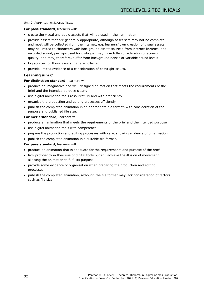#### **For pass standard**, learners will:

- create the visual and audio assets that will be used in their animation
- provide assets that are generally appropriate, although asset sets may not be complete and most will be collected from the internet, e.g. learners' own creation of visual assets may be limited to characters with background assets sourced from internet libraries, and recorded sound, perhaps used for dialogue, may have little consideration of acoustic quality, and may, therefore, suffer from background noises or variable sound levels
- log sources for those assets that are collected
- provide limited evidence of a consideration of copyright issues.

#### **Learning aim C**

#### **For distinction standard**, learners will:

- produce an imaginative and well-designed animation that meets the requirements of the brief and the intended purpose clearly
- use digital animation tools resourcefully and with proficiency
- organise the production and editing processes efficiently
- publish the completed animation in an appropriate file format, with consideration of the purpose and published file size.

#### **For merit standard**, learners will:

- produce an animation that meets the requirements of the brief and the intended purpose
- use digital animation tools with competence
- prepare the production and editing processes with care, showing evidence of organisation
- publish the completed animation in a suitable file format.

#### **For pass standard**, learners will:

- produce an animation that is adequate for the requirements and purpose of the brief
- lack proficiency in their use of digital tools but still achieve the illusion of movement, allowing the animation to fulfil its purpose
- provide some evidence of organisation when preparing the production and editing processes
- publish the completed animation, although the file format may lack consideration of factors such as file size.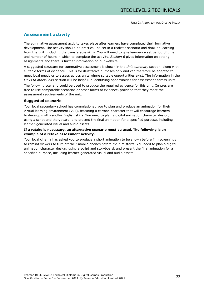# **Assessment activity**

The summative assessment activity takes place after learners have completed their formative development. The activity should be practical, be set in a realistic scenario and draw on learning from the unit, including the transferable skills. You will need to give learners a set period of time and number of hours in which to complete the activity. *Section 6* gives information on setting assignments and there is further information on our website.

A suggested structure for summative assessment is shown in the *Unit summary* section, along with suitable forms of evidence. This is for illustrative purposes only and can therefore be adapted to meet local needs or to assess across units where suitable opportunities exist. The information in the *Links to other units* section will be helpful in identifying opportunities for assessment across units.

The following scenario could be used to produce the required evidence for this unit. Centres are free to use comparable scenarios or other forms of evidence, provided that they meet the assessment requirements of the unit.

#### **Suggested scenario**

Your local secondary school has commissioned you to plan and produce an animation for their virtual learning environment (VLE), featuring a cartoon character that will encourage learners to develop maths and/or English skills. You need to plan a digital animation character design, using a script and storyboard, and present the final animation for a specified purpose, including learner-generated visual and audio assets.

#### **If a retake is necessary, an alternative scenario must be used. The following is an example of a retake assessment activity.**

Your local cinema has asked you to produce a short animation to be shown before film screenings to remind viewers to turn off their mobile phones before the film starts. You need to plan a digital animation character design, using a script and storyboard, and present the final animation for a specified purpose, including learner-generated visual and audio assets.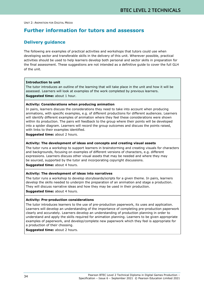# **Further information for tutors and assessors**

### **Delivery guidance**

The following are examples of practical activities and workshops that tutors could use when developing sector and transferable skills in the delivery of this unit. Wherever possible, practical activities should be used to help learners develop both personal and sector skills in preparation for the final assessment. These suggestions are not intended as a definitive guide to cover the full GLH of the unit.

#### **Introduction to unit**

The tutor introduces an outline of the learning that will take place in the unit and how it will be assessed. Learners will look at examples of the work completed by previous learners. **Suggested time:** about 1 hour.

#### **Activity: Considerations when producing animation**

In pairs, learners discuss the considerations they need to take into account when producing animations, with specific examples, e.g. of different productions for different audiences. Learners will identify different examples of animation where they feel these considerations were shown within its production. The pairs will feedback to the group where their points will be developed into a spider diagram. Learners will record the group outcomes and discuss the points raised, with links to their examples identified.

**Suggested time:** about 2 hours.

#### **Activity: The development of ideas and concepts and creating visual assets**

The tutor runs a workshop to support learners in brainstorming and creating visuals for characters and backgrounds, focusing on examples of different versions of characters, e.g. different expressions. Learners discuss other visual assets that may be needed and where they may be sourced, supported by the tutor and incorporating copyright discussions.

**Suggested time:** about 4 hours.

#### **Activity: The development of ideas into narratives**

The tutor runs a workshop to develop storyboards/scripts for a given theme. In pairs, learners develop the skills needed to underpin the preparation of an animation and stage a production. They will discuss narrative ideas and how they may be used in their production.

**Suggested time:** about 4 hours.

#### **Activity: Pre-production considerations**

The tutor introduces learners to the use of pre-production paperwork, its uses and application. Learners will develop an understanding of the importance of completing pre-production paperwork clearly and accurately. Learners develop an understanding of production planning in order to understand and apply the skills required for animation planning. Learners to be given appropriate examples of paperwork, and develop/complete new paperwork which they feel is appropriate for a production of their choosing.

**Suggested time:** about 2 hours.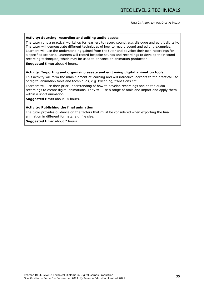#### **Activity: Sourcing, recording and editing audio assets**

The tutor runs a practical workshop for learners to record sound, e.g. dialogue and edit it digitally. The tutor will demonstrate different techniques of how to record sound and editing examples. Learners will use the understanding gained from the tutor and develop their own recordings for a specified scenario. Learners will record bespoke sounds and recordings to develop their sound recording techniques, which may be used to enhance an animation production.

**Suggested time:** about 4 hours.

#### **Activity: Importing and organising assets and edit using digital animation tools**

This activity will form the main element of learning and will introduce learners to the practical use of digital animation tools and techniques, e.g. tweening, transitions etc.

Learners will use their prior understanding of how to develop recordings and edited audio recordings to create digital animations. They will use a range of tools and import and apply them within a short animation.

**Suggested time:** about 14 hours.

#### **Activity: Publishing the final animation**

The tutor provides guidance on the factors that must be considered when exporting the final animation in different formats, e.g. file size.

**Suggested time:** about 2 hours.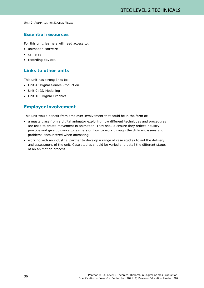### **Essential resources**

For this unit, learners will need access to:

- animation software
- cameras
- recording devices.

### **Links to other units**

This unit has strong links to:

- Unit 4: Digital Games Production
- Unit 9: 3D Modelling
- Unit 10: Digital Graphics.

### **Employer involvement**

This unit would benefit from employer involvement that could be in the form of:

- a masterclass from a digital animator exploring how different techniques and procedures are used to create movement in animation. They should ensure they reflect industry practice and give guidance to learners on how to work through the different issues and problems encountered when animating
- working with an industrial partner to develop a range of case studies to aid the delivery and assessment of the unit. Case studies should be varied and detail the different stages of an animation process.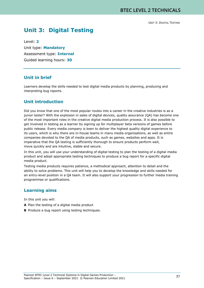# **Unit 3: Digital Testing**

Level: **2** Unit type: **Mandatory** Assessment type: **Internal** Guided learning hours: **30**

### **Unit in brief**

Learners develop the skills needed to test digital media products by planning, producing and interpreting bug reports.

### **Unit introduction**

Did you know that one of the most popular routes into a career in the creative industries is as a junior tester? With the explosion in sales of digital devices, quality assurance (QA) has become one of the most important roles in the creative digital media production process. It is also possible to get involved in testing as a learner by signing up for multiplayer beta versions of games before public release. Every media company is keen to deliver the highest quality digital experience to its users, which is why there are in-house teams in many media organisations, as well as entire companies devoted to the QA of media products, such as games, websites and apps. It is imperative that the QA testing is sufficiently thorough to ensure products perform well, move quickly and are intuitive, stable and secure.

In this unit, you will use your understanding of digital testing to plan the testing of a digital media product and adopt appropriate testing techniques to produce a bug report for a specific digital media product.

Testing media products requires patience, a methodical approach, attention to detail and the ability to solve problems. This unit will help you to develop the knowledge and skills needed for an entry-level position in a QA team. It will also support your progression to further media training programmes or qualifications.

## **Learning aims**

In this unit you will:

- **A** Plan the testing of a digital media product
- **B** Produce a bug report using testing techniques.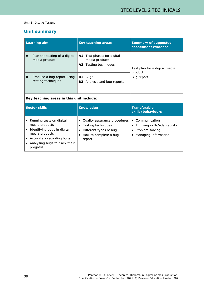# **Unit summary**

| <b>Learning aim</b> |                                                  | <b>Key teaching areas</b>                                                           | <b>Summary of suggested</b><br>assessment evidence |  |  |
|---------------------|--------------------------------------------------|-------------------------------------------------------------------------------------|----------------------------------------------------|--|--|
| A                   | Plan the testing of a digital<br>media product   | <b>A1</b> Test phases for digital<br>media products<br><b>A2</b> Testing techniques | Test plan for a digital media<br>product.          |  |  |
| B                   | Produce a bug report using<br>testing techniques | <b>B1</b> Bugs<br><b>B2</b> Analysis and bug reports                                | Bug report.                                        |  |  |
|                     | Key teaching areas in this unit include:         |                                                                                     |                                                    |  |  |

| Sector skills                                                                                                                                                           | <b>Knowledge</b>                                                                                                  | <b>Transferable</b><br>skills/behaviours                                                              |  |
|-------------------------------------------------------------------------------------------------------------------------------------------------------------------------|-------------------------------------------------------------------------------------------------------------------|-------------------------------------------------------------------------------------------------------|--|
| Running tests on digital<br>media products<br>Identifying bugs in digital<br>media products<br>• Accurately recording bugs<br>Analysing bugs to track their<br>progress | • Quality assurance procedures<br>Testing techniques<br>Different types of bug<br>How to complete a bug<br>report | Communication<br>$\bullet$<br>Thinking skills/adaptability<br>Problem solving<br>Managing information |  |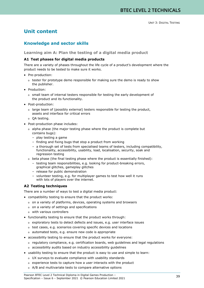# **Unit content**

# **Knowledge and sector skills**

#### **Learning aim A: Plan the testing of a digital media product**

#### **A1 Test phases for digital media products**

There are a variety of phases throughout the life cycle of a product's development where the product needs to be tested to make sure it works.

- Pre-production:
	- o tester for prototype demo responsible for making sure the demo is ready to show the publisher.
- Production:
	- o small team of internal testers responsible for testing the early development of the product and its functionality.
- Post-production:
	- o large team of (possibly external) testers responsible for testing the product, assets and interface for critical errors
	- o QA testing.
- Post-production phase includes:
	- o alpha phase (the major testing phase where the product is complete but contains bugs):
		- play testing a game
		- finding and fixing bugs that stop a product from working
		- a thorough set of tests from specialised teams of testers, including compatibility, functionality, accessibility, usability, load, localisation, security, soak and regression testing
	- o beta phase (the final testing phase where the product is essentially finished):
		- testing team responsibilities, e.g. looking for product-breaking errors, graphical glitches, gameplay glitches
		- release for public demonstration
		- volunteer testing, e.g. for multiplayer games to test how well it runs with lots of players over the internet.

#### **A2 Testing techniques**

There are a number of ways to test a digital media product:

- compatibility testing to ensure that the product works:
	- o on a variety of platforms, devices, operating systems and browsers
	- o on a variety of settings and specifications
	- o with various controllers
- functionality testing to ensure that the product works through:
	- o exploratory tests to detect defects and issues, e.g. user interface issues
	- o test cases, e.g. scenarios covering specific devices and locations
	- o automated tests, e.g. ensure new code is appropriate
- accessibility testing to ensure that the product works for everyone:
	- o regulatory compliance, e.g. certification boards, web guidelines and legal regulations
	- o accessibility audits based on industry accessibility guidelines
- usability testing to ensure that the product is easy to use and simple to learn:
	- o UX surveys to evaluate compliance with usability standards
	- o experience tests to capture how a user interacts with the product
	- o A/B and multivariate tests to compare alternative options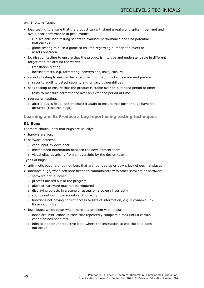- load testing to ensure that the product can withstand a real world spike in demand and avoid poor performance in peak traffic:
	- o run scalable load testing scripts to evaluate performance and find potential bottlenecks
	- o game testing to push a game to its limit regarding number of players or assets onscreen
- localisation testing to ensure that the product is intuitive and understandable in different target markets around the world:
	- o translation testing
	- o localised tests, e.g. formatting, conversions, links, colours
- security testing to ensure that customer information is kept secure and private: o security audit to detect security and privacy vulnerabilities
- soak testing to ensure that the product is stable over an extended period of time:
	- o tests to measure performance over an extended period of time
- regression testing:
	- o after a bug is fixed, testers check it again to ensure that further bugs have not occurred (resource bugs).

#### **Learning aim B: Produce a bug report using testing techniques**

#### **B1 Bugs**

Learners should know that bugs are usually:

- hardware errors
- software defects:
	- o code input by developer
	- o mismatched information between the development team
	- o visual glitches arising from an oversight by the design team.

Types of bugs:

- arithmetic bugs, e.g. by numbers that are rounded up or down, lack of decimal places
- interface bugs, when software needs to communicate with other software or hardware:
	- o software not launched
	- o process missed out of the program
	- o piece of hardware may not be triggered
	- o displaying objects in a scene or assets on a screen incorrectly
	- o sounds not using the sound card correctly
	- o functions not having correct access to lists of information, e.g. a dynamic-link library (.dll) file
- logic bugs, which occur when there is a problem with loops:
	- o loops are instructions in code that repeatedly complete a task until a certain condition has been met
	- o infinite loop or unproductive loop, where the instruction to end the loop does not occur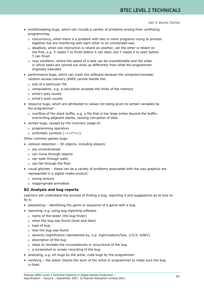- multithreading bugs, which can include a variety of problems arising from conflicting programming:
	- o concurrency, when there is a problem with two or more programs trying to process together but are interfering with each other in an unintended way
	- o deadlock, when one instruction is reliant on another, yet the other is reliant on the first, e.g. X needs Y to finish before X can start, but Y needs X to start before Y can finish
	- o race condition, where the speed of a task can be unpredictable and the order in which tasks are carried out ends up differently from what the programmer originally intended
- performance bugs, which can crash the software because the computer/console/ random-access memory (RAM) cannot handle the:
	- o size of a particular file
	- o computation, e.g. a calculation exceeds the limits of the memory
	- o artist's poly counts
	- o artist's pixel counts
- resource bugs, which are attributed to values not being given to certain variables by the programmer:
	- o overflow of the stack buffer, e.g. a file that is too large writes beyond the buffer, overwriting adjacent stacks, causing corruption of data
- syntax bugs, caused by the incorrect usage of:
	- o programming operators
	- o arithmetic symbols  $(-+))/*$

Other common games bugs:

- collision detection 3D objects, including players:
	- o are unconstrained
	- o can move through objects
	- o can walk through walls
	- o can fall through the floor
- visual glitches these can be a variety of problems associated with the way graphics are represented in a digital media product:
	- o wrong texture
	- o inappropriate animation.

#### **B2 Analysis and bug reports**

Learners will understand the process of finding a bug, reporting it and suggestions as to how to fix it:

- playtesting identifying the game or sequence of a game with a bug
- reporting, e.g. using bug reporting software
	- o name of the tester (the bug finder)
	- o when the bug was found (time and date)
	- o type of bug
	- o how the bug was found
	- o severity (significance represented by, e.g. high/medium/low; 1/2/3; A/B/C)
	- o description of the bug
	- o steps to recreate the circumstances or occurrence of the bug
	- o a screenshot or screen recording of the bug
- analysing, e.g. art bugs by the artist, code bugs by the programmer
- verifying the tester checks the work of the artist or programmer to make sure the bug is fixed.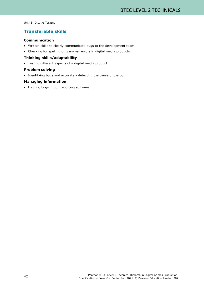# **Transferable skills**

#### **Communication**

- Written skills to clearly communicate bugs to the development team.
- Checking for spelling or grammar errors in digital media products.

#### **Thinking skills/adaptability**

• Testing different aspects of a digital media product.

#### **Problem solving**

• Identifying bugs and accurately detecting the cause of the bug.

#### **Managing information**

• Logging bugs in bug reporting software.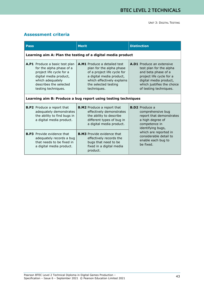# **Assessment criteria**

| <b>Pass</b> |                                                                                                                                                                                       | <b>Merit</b>                                                                                                                                                                             | <b>Distinction</b>                                                                                                                                                                               |
|-------------|---------------------------------------------------------------------------------------------------------------------------------------------------------------------------------------|------------------------------------------------------------------------------------------------------------------------------------------------------------------------------------------|--------------------------------------------------------------------------------------------------------------------------------------------------------------------------------------------------|
|             |                                                                                                                                                                                       | Learning aim A: Plan the testing of a digital media product                                                                                                                              |                                                                                                                                                                                                  |
|             | A.P1 Produce a basic test plan<br>for the alpha phase of a<br>project life cycle for a<br>digital media product,<br>which adequately<br>describes the selected<br>testing techniques. | A.M1 Produce a detailed test<br>plan for the alpha phase<br>of a project life cycle for<br>a digital media product,<br>which effectively explains<br>the selected testing<br>techniques. | <b>A.D1</b> Produce an extensive<br>test plan for the alpha<br>and beta phase of a<br>project life cycle for a<br>digital media product,<br>which justifies the choice<br>of testing techniques. |
|             |                                                                                                                                                                                       | Learning aim B: Produce a bug report using testing techniques                                                                                                                            |                                                                                                                                                                                                  |
|             | <b>B.P2</b> Produce a report that<br>adequately demonstrates<br>the ability to find bugs in<br>a digital media product.                                                               | <b>B.M2</b> Produce a report that<br>effectively demonstrates<br>the ability to describe<br>different types of bug in<br>a digital media product.                                        | <b>B.D2</b> Produce a<br>comprehensive bug<br>report that demonstrates<br>a high degree of<br>competence in<br>identifying bugs,                                                                 |
|             | <b>B.P3</b> Provide evidence that<br>adequately records a bug<br>that needs to be fixed in<br>a digital media product.                                                                | <b>B.M3</b> Provide evidence that<br>effectively records the<br>bugs that need to be<br>fixed in a digital media<br>product.                                                             | which are reported in<br>considerable detail to<br>enable each bug to<br>be fixed.                                                                                                               |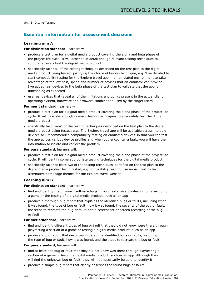# **Essential information for assessment decisions**

#### **Learning aim A**

#### **For distinction standard**, learners will:

- produce a test plan for a digital media product covering the alpha and beta phase of the project life cycle. It will describe in detail enough relevant testing techniques to comprehensively test the digital media product
- specifically tailor all of the testing techniques described on the test plan to the digital media product being tested, justifying the choice of testing technique, e.g. 'I've decided to start compatibility testing for the Explore travel app in an emulated environment to take advantage of the low cost, speed and number of devices that an emulator can provide. I've added real devices to the beta phase of the test plan to validate that the app is functioning as expected'
- use real devices that reveal all of the limitations and quirks present in the actual client operating system, hardware and firmware combination used by the target users.

#### **For merit standard**, learners will:

- produce a test plan for a digital media product covering the alpha phase of the project life cycle. It will describe enough relevant testing techniques to adequately test the digital media product
- specifically tailor most of the testing techniques described on the test plan to the digital media product being tested, e.g. 'The Explore travel app will be available across multiple devices so I recommended compatibility testing on emulated devices so that you can test the app across various device profiles and when you encounter a fault, you will have the information to isolate and correct the problem'.

#### **For pass standard**, learners will:

- produce a test plan for a digital media product covering the alpha phase of the project life cycle. It will identify some appropriate testing techniques for the digital media product
- specifically tailor at least two of the testing techniques identified on the test plan to the digital media product being tested, e.g. for usability testing, use an A/B test to test alternative homepage themes for the Explore travel website.

#### **Learning aim B**

#### **For distinction standard**, learners will:

- find and identify the unknown software bugs through extensive playtesting on a section of a game or the testing of a digital media product, such as an app
- produce a thorough bug report that explains the identified bugs or faults, including when it was found, the type of bug or fault, how it was found, the severity of the bug or fault, the steps to recreate the bug or fault, and a screenshot or screen recording of the bug or fault.

#### **For merit standard**, learners will:

- find and identify different types of bug or fault that they did not know were there through playtesting a section of a game or testing a digital media product, such as an app
- produce a bug report that describes in detail the identified bugs or faults, including the type of bug or fault, how it was found, and the steps to recreate the bug or fault.

#### **For pass standard**, learners will:

- find at least one bug or fault that they did not know was there through playtesting a section of a game or testing a digital media product, such as an app. Although they will find the unknown bug or fault, they will not necessarily be able to identify it
- produce a simple bug report that clearly describes the found bugs or faults.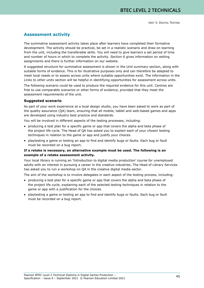# **Assessment activity**

The summative assessment activity takes place after learners have completed their formative development. The activity should be practical, be set in a realistic scenario and draw on learning from the unit, including the transferable skills. You will need to give learners a set period of time and number of hours in which to complete the activity. *Section 6* gives information on setting assignments and there is further information on our website.

A suggested structure for summative assessment is shown in the *Unit summary* section, along with suitable forms of evidence. This is for illustrative purposes only and can therefore be adapted to meet local needs or to assess across units where suitable opportunities exist. The information in the *Links to other units* section will be helpful in identifying opportunities for assessment across units.

The following scenario could be used to produce the required evidence for this unit. Centres are free to use comparable scenarios or other forms of evidence, provided that they meet the assessment requirements of the unit.

#### **Suggested scenario**

As part of your work experience at a local design studio, you have been asked to work as part of the quality assurance (QA) team, ensuring that all mobile, tablet and web-based games and apps are developed using industry best practice and standards.

You will be involved in different aspects of the testing processes, including:

- producing a test plan for a specific game or app that covers the alpha and beta phase of the project life cycle. The Head of QA has asked you to explain each of your chosen testing techniques in relation to the game or app and justify your choices
- playtesting a game or testing an app to find and identify bugs or faults. Each bug or fault must be recorded on a bug report.

#### **If a retake is necessary, an alternative example must be used. The following is an example of a retake assessment activity.**

Your local library is running an 'Introduction to digital media production' course for unemployed adults with an interest in pursuing a career in the creative industries. The Head of Library Services has asked you to run a workshop on QA in the creative digital media sector.

The aim of the workshop is to involve delegates in each aspect of the testing process, including:

- producing a test plan for a specific game or app that covers the alpha and beta phase of the project life cycle, explaining each of the selected testing techniques in relation to the game or app with a justification for the choices
- playtesting a game or testing an app to find and identify bugs or faults. Each bug or fault must be recorded on a bug report.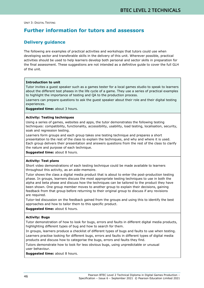# **Further information for tutors and assessors**

### **Delivery guidance**

The following are examples of practical activities and workshops that tutors could use when developing sector and transferable skills in the delivery of this unit. Wherever possible, practical activities should be used to help learners develop both personal and sector skills in preparation for the final assessment. These suggestions are not intended as a definitive guide to cover the full GLH of the unit.

#### **Introduction to unit**

Tutor invites a guest speaker such as a games tester for a local games studio to speak to learners about the different test phases in the life cycle of a game. They use a series of practical examples to highlight the importance of testing and QA to the production process.

Learners can prepare questions to ask the guest speaker about their role and their digital testing experiences.

**Suggested time:** about 3 hours.

#### **Activity: Testing techniques**

Using a series of games, websites and apps, the tutor demonstrates the following testing techniques: compatibility, functionality, accessibility, usability, load testing, localisation, security, soak and regression testing.

Learners form groups and each group takes one testing technique and prepares a short presentation to the rest of the class to explain the techniques, and why and where it is used. Each group delivers their presentation and answers questions from the rest of the class to clarify the nature and purpose of each technique.

**Suggested time:** about 8 hours.

#### **Activity: Test plans**

Short video demonstrations of each testing technique could be made available to learners throughout this activity, as an aide-memoire.

Tutor shows the class a digital media product that is about to enter the post-production testing phase. In groups, learners discuss the most appropriate testing techniques to use in both the alpha and beta phase and discuss how the techniques can be tailored to the product they have been shown. One group member moves to another group to explain their decisions, gaining feedback from that group before returning to their original group to discuss if any revisions are required.

Tutor-led discussion on the feedback gained from the groups and using this to identify the best approaches and how to tailor them to this specific product.

**Suggested time:** about 6 hours.

#### **Activity: Bugs**

Tutor demonstration of how to look for bugs, errors and faults in different digital media products, highlighting different types of bug and how to search for them.

In groups, learners produce a checklist of different types of bugs and faults to use when testing.

Learners practise looking for different bugs, errors and faults in different types of digital media products and discuss how to categorise the bugs, errors and faults they find.

Tutors demonstrate how to look for less obvious bugs, using unpredictable or unusual user behaviour.

**Suggested time:** about 8 hours.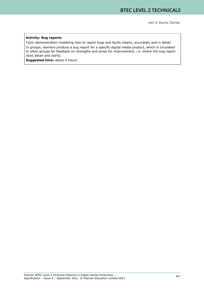#### **Activity: Bug reports**

Tutor demonstration modelling how to report bugs and faults clearly, accurately and in detail.

In groups, learners produce a bug report for a specific digital media product, which is circulated to other groups for feedback on strengths and areas for improvement, i.e. where the bug report lacks detail and clarity.

**Suggested time:** about 4 hours.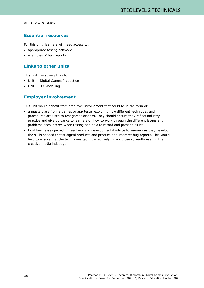### **Essential resources**

For this unit, learners will need access to:

- appropriate testing software
- examples of bug reports.

# **Links to other units**

This unit has strong links to:

- Unit 4: Digital Games Production
- Unit 9: 3D Modelling.

### **Employer involvement**

This unit would benefit from employer involvement that could be in the form of:

- a masterclass from a games or app tester exploring how different techniques and procedures are used to test games or apps. They should ensure they reflect industry practice and give guidance to learners on how to work through the different issues and problems encountered when testing and how to record and present issues
- local businesses providing feedback and developmental advice to learners as they develop the skills needed to test digital products and produce and interpret bug reports. This would help to ensure that the techniques taught effectively mirror those currently used in the creative media industry.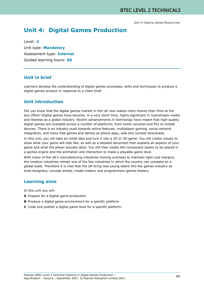# **Unit 4: Digital Games Production**

Level: **2** Unit type: **Mandatory** Assessment type: **Internal** Guided learning hours: **60**

## **Unit in brief**

Learners develop the understanding of digital games processes, skills and techniques to produce a digital games product in response to a client brief.

## **Unit introduction**

Did you know that the digital games market in the UK now makes more money than films at the box office? Digital games have become, in a very short time, highly significant in mainstream media and likewise as a global industry. Recent advancements in technology have meant that high-quality digital games are available across a number of platforms, from home consoles and PCs to mobile devices. There is an industry push towards online features, multiplayer gaming, social network integration, and many free games and demos as phone apps, web and console downloads.

In this unit, you will take an initial idea and turn it into a 2D or 3D game. You will create visuals to show what your game will look like, as well as a detailed document that explains all aspects of your game and what the player actually does. You will then create the component assets to be placed in a games engine and the animation and interaction to make a playable game level.

With many of the UK's manufacturing industries moving overseas to maintain tight cost margins, the creative industries remain one of the few industries in which the country can compete on a global scale. Therefore it is vital that the UK bring new young talent into the games industry as level designers, concept artists, model makers and programmers games testers.

### **Learning aims**

In this unit you will:

- **A** Prepare for a digital game production
- **B** Produce a digital game environment for a specific platform
- **C** Code and publish a digital game level for a specific platform.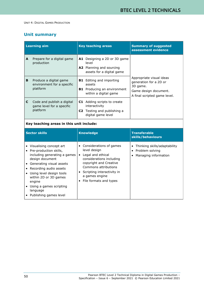# **Unit summary**

| <b>Learning aim</b> |                                                                     |     | <b>Key teaching areas</b>                                                                                       | <b>Summary of suggested</b><br>assessment evidence                                                                      |
|---------------------|---------------------------------------------------------------------|-----|-----------------------------------------------------------------------------------------------------------------|-------------------------------------------------------------------------------------------------------------------------|
| A                   | Prepare for a digital game<br>production                            | A1. | Designing a 2D or 3D game<br>level<br>A2 Planning and sourcing<br>assets for a digital game                     |                                                                                                                         |
| B                   | Produce a digital game<br>environment for a specific<br>platform    | B1. | <b>B1</b> Editing and importing<br>assets<br>Producing an environment<br>within a digital game                  | Appropriate visual ideas<br>generation for a 2D or<br>3D game.<br>Game design document.<br>A final scripted game level. |
| C                   | Code and publish a digital<br>game level for a specific<br>platform |     | <b>C1</b> Adding scripts to create<br>interactivity<br><b>C2</b> Testing and publishing a<br>digital game level |                                                                                                                         |

#### **Key teaching areas in this unit include:**

| <b>Sector skills</b>                                                                                                                                                                                                                                                                       | <b>Knowledge</b>                                                                                                                                                                                                       | <b>Transferable</b><br>skills/behaviours                                  |
|--------------------------------------------------------------------------------------------------------------------------------------------------------------------------------------------------------------------------------------------------------------------------------------------|------------------------------------------------------------------------------------------------------------------------------------------------------------------------------------------------------------------------|---------------------------------------------------------------------------|
| Visualising concept art<br>Pre-production skills,<br>including generating a games<br>design document<br>Generating visual assets<br>Recording audio assets<br>Using level design tools<br>within 2D or 3D games<br>engine<br>Using a games scripting<br>language<br>Publishing games level | • Considerations of games<br>level design<br>Legal and ethical<br>considerations including<br>copyright and Creative<br>Commons attributions<br>Scripting interactivity in<br>a games engine<br>File formats and types | Thinking skills/adaptability<br>• Problem solving<br>Managing information |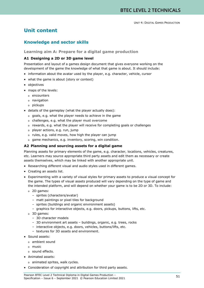# **Unit content**

### **Knowledge and sector skills**

#### **Learning aim A: Prepare for a digital game production**

#### **A1 Designing a 2D or 3D game level**

Presentation and layout of a games design document that gives everyone working on the development of the game the knowledge of what that game is about. It should include:

- information about the avatar used by the player, e.g. character, vehicle, cursor
- what the game is about (story or context)
- objectives
- maps of the levels:
	- o encounters
	- o navigation
	- o pickups
- details of the gameplay (what the player actually does):
	- o goals, e.g. what the player needs to achieve in the game
	- o challenges, e.g. what the player must overcome
	- o rewards, e.g. what the player will receive for completing goals or challenges
	- o player actions, e.g. run, jump
	- o rules, e.g. valid moves, how high the player can jump
	- o game mechanics, e.g. inventory, scoring, win condition.

#### **A2 Planning and sourcing assets for a digital game**

Planning assets for primary elements of the game, e.g. character, locations, vehicles, creatures, etc. Learners may source appropriate third party assets and edit them as necessary or create assets themselves, which may be linked with another appropriate unit.

- Researching different visual and audio styles used in different games.
- Creating an assets list.
- Experimenting with a variety of visual styles for primary assets to produce a visual concept for the game. The types of visual assets produced will vary depending on the type of game and the intended platform, and will depend on whether your game is to be 2D or 3D. To include:
	- o 2D games:
		- sprites (characters/avatar)
		- matt paintings or pixel tiles for background
		- sprites (buildings and organic environment assets)
		- graphics for interactive objects, e.g. doors, pickups, buttons, lifts, etc.
	- o 3D games:
		- 3D character models
		- 3D environment art assets buildings, organic, e.g. trees, rocks
		- interactive objects, e.g. doors, vehicles, buttons/lifts, etc.
		- textures for 3D assets and environment.
- Sound assets:
	- o ambient sound
	- o music
	- o sound effects.
- Animated assets:
	- o animated sprites, walk cycles.
- Consideration of copyright and attribution for third party assets.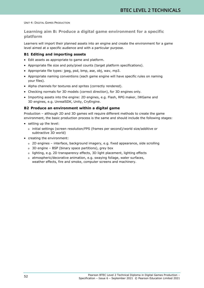### **Learning aim B: Produce a digital game environment for a specific platform**

Learners will import their planned assets into an engine and create the environment for a game level aimed at a specific audience and with a particular purpose.

#### **B1 Editing and importing assets**

- Edit assets as appropriate to game and platform.
- Appropriate file size and poly/pixel counts (target platform specifications).
- Appropriate file types: jpeg, psd, bmp, ase, obj, wav, mp3.
- Appropriate naming conventions (each game engine will have specific rules on naming your files).
- Alpha channels for textures and sprites (correctly rendered).
- Checking normals for 3D models (correct direction), for 3D engines only.
- Importing assets into the engine: 2D engines, e.g. Flash, RPG maker, IWGame and 3D engines, e.g. UnrealSDK, Unity, CryEngine.

#### **B2 Produce an environment within a digital game**

Production – although 2D and 3D games will require different methods to create the game environment, the basic production process is the same and should include the following stages:

- setting up the level:
	- o initial settings (screen resolution/FPS (frames per second)/world size/additive or subtractive 3D world)
- creating the environment:
	- o 2D engines interface, background imagery, e.g. fixed appearance, side scrolling
	- o 3D engine BSP (binary space partitions), grey box
	- o lighting, e.g. 2D transparency effects, 3D light placement, lighting effects
	- o atmospheric/decorative animation, e.g. swaying foliage, water surfaces, weather effects, fire and smoke, computer screens and machinery.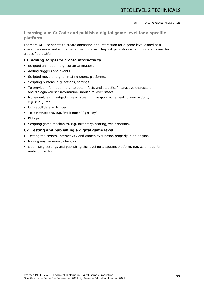### **Learning aim C: Code and publish a digital game level for a specific platform**

Learners will use scripts to create animation and interaction for a game level aimed at a specific audience and with a particular purpose. They will publish in an appropriate format for a specified platform.

#### **C1 Adding scripts to create interactivity**

- Scripted animation, e.g. cursor animation.
- Adding triggers and events.
- Scripted movers, e.g. animating doors, platforms.
- Scripting buttons, e.g. actions, settings.
- To provide information, e.g. to obtain facts and statistics/interactive characters and dialogue/cursor information, mouse rollover states.
- Movement, e.g. navigation keys, steering, weapon movement, player actions, e.g. run, jump.
- Using colliders as triggers.
- Text instructions, e.g. 'walk north', 'get key'.
- Pickups.
- Scripting game mechanics, e.g. inventory, scoring, win condition.

#### **C2 Testing and publishing a digital game level**

- Testing the scripts, interactivity and gameplay function properly in an engine.
- Making any necessary changes.
- Optimising settings and publishing the level for a specific platform, e.g. as an app for mobile, .exe for PC etc.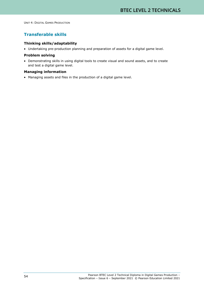# **Transferable skills**

#### **Thinking skills/adaptability**

• Undertaking pre-production planning and preparation of assets for a digital game level.

#### **Problem solving**

• Demonstrating skills in using digital tools to create visual and sound assets, and to create and test a digital game level.

#### **Managing information**

• Managing assets and files in the production of a digital game level.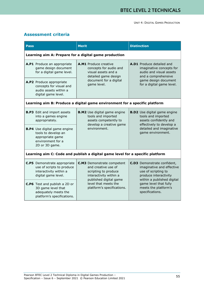# **Assessment criteria**

| <b>Pass</b>                                           |                                                                                                                       | <b>Merit</b>                                                                                                                            |  | <b>Distinction</b>                                                                                                                                                  |  |  |  |
|-------------------------------------------------------|-----------------------------------------------------------------------------------------------------------------------|-----------------------------------------------------------------------------------------------------------------------------------------|--|---------------------------------------------------------------------------------------------------------------------------------------------------------------------|--|--|--|
| Learning aim A: Prepare for a digital game production |                                                                                                                       |                                                                                                                                         |  |                                                                                                                                                                     |  |  |  |
|                                                       | A.P1 Produce an appropriate<br>game design document<br>for a digital game level.                                      | A.M1 Produce creative<br>concepts for audio and<br>visual assets and a<br>detailed game design<br>document for a digital<br>game level. |  | <b>A.D1</b> Produce detailed and<br>imaginative concepts for<br>audio and visual assets<br>and a comprehensive<br>game design document<br>for a digital game level. |  |  |  |
|                                                       | A.P2 Produce appropriate<br>concepts for visual and<br>audio assets within a<br>digital game level.                   |                                                                                                                                         |  |                                                                                                                                                                     |  |  |  |
|                                                       |                                                                                                                       | Learning aim B: Produce a digital game environment for a specific platform                                                              |  |                                                                                                                                                                     |  |  |  |
|                                                       | <b>B.P3</b> Edit and import assets<br>into a games engine<br>appropriately.                                           | <b>B.M2</b> Use digital game engine<br>tools and imported<br>assets competently to<br>develop a creative game<br>environment.           |  | <b>B.D2</b> Use digital game engine<br>tools and imported<br>assets confidently and<br>effectively to develop a<br>detailed and imaginative<br>game environment.    |  |  |  |
|                                                       | <b>B.P4</b> Use digital game engine<br>tools to develop an<br>appropriate game<br>environment for a<br>2D or 3D game. |                                                                                                                                         |  |                                                                                                                                                                     |  |  |  |
|                                                       |                                                                                                                       | Learning aim C: Code and publish a digital game level for a specific platform                                                           |  |                                                                                                                                                                     |  |  |  |
|                                                       | <b>C.P5</b> Demonstrate appropriate<br>use of scripts to produce<br>interactivity within a<br>digital game level.     | <b>C.M3</b> Demonstrate competent<br>and creative use of<br>scripting to produce<br>interactivity within a<br>published digital game    |  | <b>C.D3</b> Demonstrate confident,<br>imaginative and effective<br>use of scripting to<br>produce interactivity<br>within a published digital                       |  |  |  |
|                                                       | C.P6 Test and publish a 2D or<br>3D game level that<br>adequately meets the<br>platform's specifications.             | level that meets the<br>platform's specifications.                                                                                      |  | game level that fully<br>meets the platform's<br>specifications.                                                                                                    |  |  |  |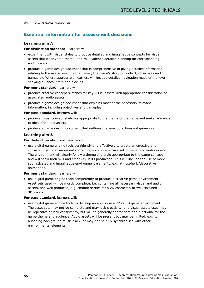# **Essential information for assessment decisions**

#### **Learning aim A**

#### **For distinction standard**, learners will:

- experiment with visual styles to produce detailed and imaginative concepts for visual assets that clearly fit a theme, and will evidence detailed planning for corresponding audio assets
- produce a game design document that is comprehensive in giving detailed information relating to the avatar used by the player, the game's story or context, objectives and gameplay. Where appropriate, learners will include detailed navigation maps of the level showing all encounters and pickups.

**For merit standard**, learners will:

- produce creative concept sketches for key visual assets with appropriate consideration of associated audio assets
- produce a game design document that explains most of the necessary relevant information, including objectives and gameplay.

#### **For pass standard**, learners will:

- produce visual concept sketches appropriate to the theme of the game and make reference to ideas for audio assets
- produce a game design document that outlines the level objectivesand gameplay.

#### **Learning aim B**

#### **For distinction standard**, learners will:

• use digital game engine tools confidently and effectively to create an effective and consistent game environment containing a comprehensive set of visual and audio assets. The environment will clearly follow a theme and style appropriate to the game concept and will show both skill and creativity in its production. This will include the use of more sophisticated and imaginative environment elements, e.g. atmospheric/decorative animations.

#### **For merit standard**, learners will:

• use digital game engine tools competently to produce a creative game environment. Asset sets used will be mostly complete, i.e. containing all necessary visual and audio assets, and well produced, e.g. smooth sprites for a 2D character, or well-textured 3D assets.

#### **For pass standard**, learners will:

• use digital game engine tools to develop an appropriate 2D or 3D game environment. The asset sets may not be complete and may lack creativity, and visual assets used may be repetitive or lack consistency, but will be generally appropriate and functional for the game theme and audience. Audio assets will be present but may be limited, e.g. to a looping background music track, or may not be fully synchronised with other environmental elements.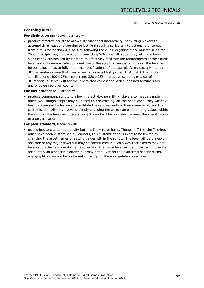#### **Learning aim C**

#### **For distinction standard**, learners will:

• produce effective scripts to allow fully functional interactivity, permitting players to accomplish at least one working objective through a series of interactions, e.g. to get from A to B faster than X, find X by following the clues, organise these objects in X time. Though scripts may be based on pre-existing 'off-the-shelf' code, they will have been significantly customised by learners to effectively facilitate the requirements of their game level and will demonstrate confident use of the scripting language or tools. The level will be published so as to fully meet the specifications of a target platform, e.g. a Nintendo 3DS adventure game that uses screen sizes in a Flash project that match the 3DS's specifications (400 × 256p top screen, 320 × 256 interactive screen), or a set of 3D models in UnrealSDK for the PSVita that correspond with suggested texture sizes and onscreen polygon counts.

#### **For merit standard**, learners will:

• produce competent scripts to allow interactivity, permitting players to meet a simple objective. Though scripts may be based on pre-existing 'off-the-shelf' code, they will have been customised by learners to facilitate the requirements of their game level, and this customisation will move beyond simply changing the asset names or setting values within the scripts. The level will operate correctly and will be published to meet the specifications of a target platform.

#### **For pass standard**, learners will:

• use scripts to create interactivity but this likely to be basic. Though 'off-the-shelf' scripts must have been customised by learners, this customisation is likely to be limited to changing the asset names or setting values within the scripts. The level will be playable and free of any major flaws but may be constructed in such a way that players may not be able to achieve a specific game objective. The game level will be published to operate adequately on a specific platform but may not fully meet the platform's specifications, e.g. graphics may not be optimised correctly for the appropriate screen size.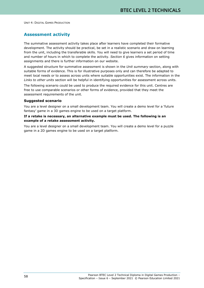### **Assessment activity**

The summative assessment activity takes place after learners have completed their formative development. The activity should be practical, be set in a realistic scenario and draw on learning from the unit, including the transferable skills. You will need to give learners a set period of time and number of hours in which to complete the activity. *Section 6* gives information on setting assignments and there is further information on our website.

A suggested structure for summative assessment is shown in the *Unit summary* section, along with suitable forms of evidence. This is for illustrative purposes only and can therefore be adapted to meet local needs or to assess across units where suitable opportunities exist. The information in the *Links to other units* section will be helpful in identifying opportunities for assessment across units.

The following scenario could be used to produce the required evidence for this unit. Centres are free to use comparable scenarios or other forms of evidence, provided that they meet the assessment requirements of the unit.

#### **Suggested scenario**

You are a level designer on a small development team. You will create a demo level for a 'future fantasy' game in a 3D games engine to be used on a target platform.

#### **If a retake is necessary, an alternative example must be used. The following is an example of a retake assessment activity.**

You are a level designer on a small development team. You will create a demo level for a puzzle game in a 2D games engine to be used on a target platform.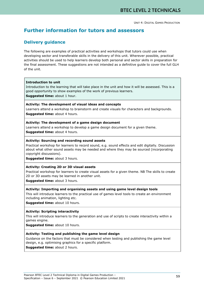# **Further information for tutors and assessors**

### **Delivery guidance**

The following are examples of practical activities and workshops that tutors could use when developing sector and transferable skills in the delivery of this unit. Wherever possible, practical activities should be used to help learners develop both personal and sector skills in preparation for the final assessment. These suggestions are not intended as a definitive guide to cover the full GLH of the unit.

#### **Introduction to unit**

Introduction to the learning that will take place in the unit and how it will be assessed. This is a good opportunity to show examples of the work of previous learners. **Suggested time:** about 1 hour.

#### **Activity: The development of visual ideas and concepts**

Learners attend a workshop to brainstorm and create visuals for characters and backgrounds. **Suggested time:** about 4 hours.

#### **Activity: The development of a game design document**

Learners attend a workshop to develop a game design document for a given theme. **Suggested time:** about 4 hours.

#### **Activity: Sourcing and recording sound assets**

Practical workshop for learners to record sound, e.g. sound effects and edit digitally. Discussion about what other sound assets may be needed and where they may be sourced (incorporating copyright discussions).

**Suggested time:** about 3 hours.

#### **Activity: Creating 2D or 3D visual assets**

Practical workshop for learners to create visual assets for a given theme. NB The skills to create 2D or 3D assets may be learned in another unit.

**Suggested time:** about 3 hours.

#### **Activity: Importing and organising assets and using game level design tools**

This will introduce learners to the practical use of games level tools to create an environment including animation, lighting etc.

**Suggested time:** about 10 hours.

#### **Activity: Scripting interactivity**

This will introduce learners to the generation and use of scripts to create interactivity within a games engine.

**Suggested time:** about 10 hours.

#### **Activity: Testing and publishing the game level design**

Guidance on the factors that must be considered when testing and publishing the game level design, e.g. optimising graphics for a specific platform.

**Suggested time:** about 2 hours.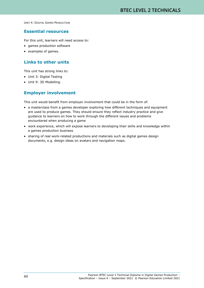### **Essential resources**

For this unit, learners will need access to:

- games production software
- examples of games.

# **Links to other units**

This unit has strong links to:

- Unit 3: Digital Testing
- Unit 9: 3D Modelling.

# **Employer involvement**

This unit would benefit from employer involvement that could be in the form of:

- a masterclass from a games developer exploring how different techniques and equipment are used to produce games. They should ensure they reflect industry practice and give guidance to learners on how to work through the different issues and problems encountered when producing a game
- work experience, which will expose learners to developing their skills and knowledge within a games production business
- sharing of real work-related productions and materials such as digital games design documents, e.g. design ideas on avatars and navigation maps.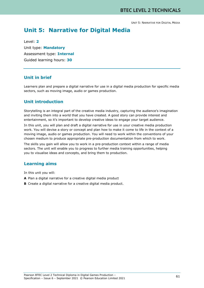UNIT 5: NARRATIVE FOR DIGITAL MEDIA

# **Unit 5: Narrative for Digital Media**

Level: **2** Unit type: **Mandatory** Assessment type: **Internal** Guided learning hours: **30**

# **Unit in brief**

Learners plan and prepare a digital narrative for use in a digital media production for specific media sectors, such as moving image, audio or games production.

# **Unit introduction**

Storytelling is an integral part of the creative media industry, capturing the audience's imagination and inviting them into a world that you have created. A good story can provide interest and entertainment, so it's important to develop creative ideas to engage your target audience.

In this unit, you will plan and draft a digital narrative for use in your creative media production work. You will devise a story or concept and plan how to make it come to life in the context of a moving image, audio or games production. You will need to work within the conventions of your chosen medium to produce appropriate pre-production documentation from which to work.

The skills you gain will allow you to work in a pre-production context within a range of media sectors. The unit will enable you to progress to further media training opportunities, helping you to visualise ideas and concepts, and bring them to production.

# **Learning aims**

In this unit you will:

- **A** Plan a digital narrative for a creative digital media product
- **B** Create a digital narrative for a creative digital media product.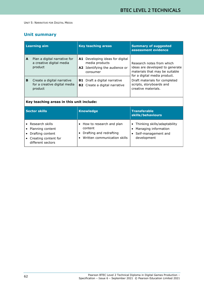# **Unit summary**

| <b>Learning aim</b> |                                                                       | <b>Key teaching areas</b>                                                                              | <b>Summary of suggested</b><br>assessment evidence                                                                             |
|---------------------|-----------------------------------------------------------------------|--------------------------------------------------------------------------------------------------------|--------------------------------------------------------------------------------------------------------------------------------|
| A                   | Plan a digital narrative for<br>a creative digital media<br>product   | <b>A1</b> Developing ideas for digital<br>media products<br>A2 Identifying the audience or<br>consumer | Research notes from which<br>ideas are developed to generate<br>materials that may be suitable<br>for a digital media product. |
| B                   | Create a digital narrative<br>for a creative digital media<br>product | <b>B1</b> Draft a digital narrative<br><b>B2</b> Create a digital narrative                            | Draft materials for completed<br>scripts, storyboards and<br>creative materials.                                               |

| Key teaching areas in this unit include: |  |  |  |
|------------------------------------------|--|--|--|
|                                          |  |  |  |

| Sector skills                                                                                                         | <b>Knowledge</b>                                                                               | <b>Transferable</b><br>skills/behaviours                                                     |
|-----------------------------------------------------------------------------------------------------------------------|------------------------------------------------------------------------------------------------|----------------------------------------------------------------------------------------------|
| • Research skills<br>• Planning content<br>Drafting content<br>Creating content for<br>$\bullet$<br>different sectors | How to research and plan<br>content<br>Drafting and redrafting<br>Written communication skills | • Thinking skills/adaptability<br>Managing information<br>Self-management and<br>development |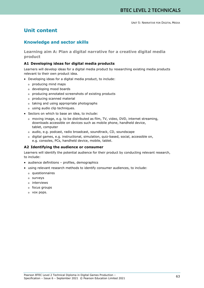# **Unit content**

# **Knowledge and sector skills**

**Learning aim A: Plan a digital narrative for a creative digital media product**

#### **A1 Developing ideas for digital media products**

Learners will develop ideas for a digital media product by researching existing media products relevant to their own product idea.

- Developing ideas for a digital media product, to include:
	- o producing mind maps
	- o developing mood boards
	- o producing annotated screenshots of existing products
	- o producing scanned material
	- o taking and using appropriate photographs
	- o using audio clip techniques.
- Sectors on which to base an idea, to include:
	- o moving image, e.g. to be distributed as film, TV, video, DVD, internet streaming, downloads accessible on devices such as mobile phone, handheld device, tablet, computer
	- o audio, e.g. podcast, radio broadcast, soundtrack, CD, soundscape
	- o digital games, e.g. instructional, simulation, quiz-based, social, accessible on, e.g. consoles, PCs, handheld device, mobile, tablet.

#### **A2 Identifying the audience or consumer**

Learners will identify the potential audience for their product by conducting relevant research, to include:

- audience definitions profiles, demographics
- using relevant research methods to identify consumer audiences, to include:
	- o questionnaires
	- o surveys
	- o interviews
	- o focus groups
	- o vox pops.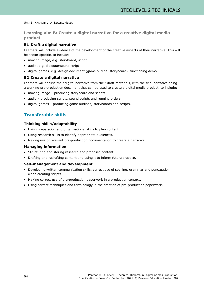UNIT 5: NARRATIVE FOR DIGITAL MEDIA

**Learning aim B: Create a digital narrative for a creative digital media product**

#### **B1 Draft a digital narrative**

Learners will include evidence of the development of the creative aspects of their narrative. This will be sector specific*,* to include:

- moving image, e.g. storyboard, script
- audio, e.g. dialogue/sound script
- digital games, e.g. design document (game outline, storyboard), functioning demo.

#### **B2 Create a digital narrative**

Learners will finalise their digital narrative from their draft materials, with the final narrative being a working pre-production document that can be used to create a digital media product, to include:

- moving image producing storyboard and scripts
- audio producing scripts, sound scripts and running orders
- digital games producing game outlines, storyboards and scripts.

# **Transferable skills**

#### **Thinking skills/adaptability**

- Using preparation and organisational skills to plan content.
- Using research skills to identify appropriate audiences.
- Making use of relevant pre-production documentation to create a narrative.

#### **Managing information**

- Structuring and storing research and proposed content.
- Drafting and redrafting content and using it to inform future practice.

#### **Self-management and development**

- Developing written communication skills, correct use of spelling, grammar and punctuation when creating scripts.
- Making correct use of pre-production paperwork in a production context.
- Using correct techniques and terminology in the creation of pre-production paperwork.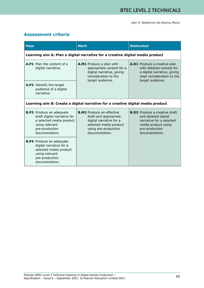### **Assessment criteria**

| <b>Pass</b>                                                                                                                                      | <b>Merit</b>                                                                                                                                             | <b>Distinction</b>                                                                                                                                  |  |  |  |  |  |
|--------------------------------------------------------------------------------------------------------------------------------------------------|----------------------------------------------------------------------------------------------------------------------------------------------------------|-----------------------------------------------------------------------------------------------------------------------------------------------------|--|--|--|--|--|
|                                                                                                                                                  | Learning aim A: Plan a digital narrative for a creative digital media product                                                                            |                                                                                                                                                     |  |  |  |  |  |
| A.P1 Plan the content of a<br>digital narrative.                                                                                                 | A.M1 Produce a plan with<br>appropriate content for a<br>digital narrative, giving<br>consideration to the<br>target audience.                           | A.D1 Produce a creative plan<br>with detailed content for<br>a digital narrative, giving<br>clear consideration to the<br>target audience.          |  |  |  |  |  |
| A.P2 Identify the target<br>audience of a digital<br>narrative.                                                                                  |                                                                                                                                                          |                                                                                                                                                     |  |  |  |  |  |
|                                                                                                                                                  |                                                                                                                                                          | Learning aim B: Create a digital narrative for a creative digital media product                                                                     |  |  |  |  |  |
| <b>B.P3</b> Produce an adequate<br>draft digital narrative for<br>a selected media product<br>using relevant<br>pre-production<br>documentation. | <b>B.M2</b> Produce an effective<br>draft and appropriate<br>digital narrative for a<br>selected media product<br>using pre-production<br>documentation. | <b>B.D2</b> Produce a creative draft<br>and detailed digital<br>narrative for a selected<br>media product using<br>pre-production<br>documentation. |  |  |  |  |  |
| <b>B.P4</b> Produce an adequate<br>digital narrative for a<br>selected media product<br>using relevant<br>pre-production<br>documentation.       |                                                                                                                                                          |                                                                                                                                                     |  |  |  |  |  |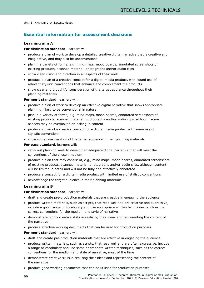UNIT 5: NARRATIVE FOR DIGITAL MEDIA

# **Essential information for assessment decisions**

#### **Learning aim A**

#### **For distinction standard**, learners will:

- produce a plan of work to develop a detailed creative digital narrative that is creative and imaginative, and may also be unconventional
- plan in a variety of forms, e.g. mind maps, mood boards, annotated screenshots of existing products, scanned material, photographs and/or audio clips
- show clear vision and direction in all aspects of their work
- produce a plan of a creative concept for a digital media product, with sound use of relevant stylistic conventions that enhance and complement the products
- show clear and thoughtful consideration of the target audience throughout their planning materials.

#### **For merit standard**, learners will:

- produce a plan of work to develop an effective digital narrative that shows appropriate planning, likely to be conventional in nature
- plan in a variety of forms, e.g. mind maps, mood boards, annotated screenshots of existing products, scanned material, photographs and/or audio clips, although some aspects may be overlooked or lacking in content
- produce a plan of a creative concept for a digital media product with some use of stylistic conventions
- show some consideration of the target audience in their planning materials.

**For pass standard**, learners will:

- carry out planning work to develop an adequate digital narrative that will meet the conventions of the chosen medium
- produce a plan that may consist of, e.g., mind maps, mood boards, annotated screenshots of existing products, scanned material, photographs and/or audio clips, although content will be limited in detail and will not be fully and effectively annotated
- produce a concept for a digital media product with limited use of stylistic conventions
- acknowledge the target audience in their planning materials.

#### **Learning aim B**

#### **For distinction standard**, learners will:

- draft and create pre-production materials that are creative in engaging the audience
- produce written materials, such as scripts, that read well and are creative and expressive, include a good range of vocabulary and use appropriate written techniques, such as the correct conventions for the medium and style of narrative
- demonstrate highly creative skills in realising their ideas and representing the content of the narrative
- produce effective working documents that can be used for production purposes.

#### **For merit standard**, learners will:

- draft and create pre-production materials that are effective in engaging the audience
- produce written materials, such as scripts, that read well and are often expressive, include a range of vocabulary and use some appropriate written techniques, such as the correct conventions for the medium and style of narrative, most of the time
- demonstrate creative skills in realising their ideas and representing the content of the narrative
- produce good working documents that can be utilised for production purposes.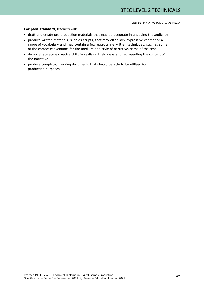## **For pass standard**, learners will:

- draft and create pre-production materials that may be adequate in engaging the audience
- produce written materials, such as scripts, that may often lack expressive content or a range of vocabulary and may contain a few appropriate written techniques, such as some of the correct conventions for the medium and style of narrative, some of the time
- demonstrate some creative skills in realising their ideas and representing the content of the narrative
- produce completed working documents that should be able to be utilised for production purposes.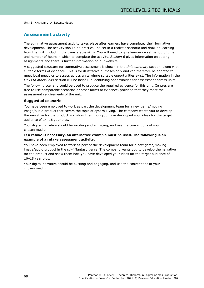# **Assessment activity**

The summative assessment activity takes place after learners have completed their formative development. The activity should be practical, be set in a realistic scenario and draw on learning from the unit, including the transferable skills. You will need to give learners a set period of time and number of hours in which to complete the activity. *Section 6* gives information on setting assignments and there is further information on our website.

A suggested structure for summative assessment is shown in the *Unit summary* section, along with suitable forms of evidence. This is for illustrative purposes only and can therefore be adapted to meet local needs or to assess across units where suitable opportunities exist. The information in the *Links to other units* section will be helpful in identifying opportunities for assessment across units.

The following scenario could be used to produce the required evidence for this unit. Centres are free to use comparable scenarios or other forms of evidence, provided that they meet the assessment requirements of the unit.

## **Suggested scenario**

You have been employed to work as part the development team for a new game/moving image/audio product that covers the topic of cyberbullying. The company wants you to develop the narrative for the product and show them how you have developed your ideas for the target audience of 14–16 year olds.

Your digital narrative should be exciting and engaging, and use the conventions of your chosen medium.

## **If a retake is necessary, an alternative example must be used. The following is an example of a retake assessment activity.**

You have been employed to work as part of the development team for a new game/moving image/audio product in the sci-fi/fantasy genre. The company wants you to develop the narrative for the product and show them how you have developed your ideas for the target audience of 16–18 year olds.

Your digital narrative should be exciting and engaging, and use the conventions of your chosen medium.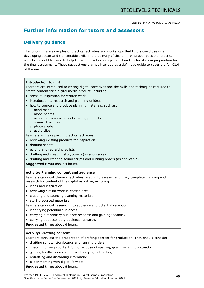# **Further information for tutors and assessors**

# **Delivery guidance**

The following are examples of practical activities and workshops that tutors could use when developing sector and transferable skills in the delivery of this unit. Wherever possible, practical activities should be used to help learners develop both personal and sector skills in preparation for the final assessment. These suggestions are not intended as a definitive guide to cover the full GLH of the unit.

## **Introduction to unit**

Learners are introduced to writing digital narratives and the skills and techniques required to create content for a digital media product, including:

- areas of inspiration for written work
- introduction to research and planning of ideas
- how to source and produce planning materials, such as:
	- o mind maps
	- o mood boards
	- o annotated screenshots of existing products
	- o scanned material
	- o photographs
	- o audio clips.

Learners will take part in practical activities:

- reviewing existing products for inspiration
- drafting scripts
- editing and redrafting scripts
- drafting and creating storyboards (as applicable)
- drafting and creating sound scripts and running orders (as applicable).

**Suggested time:** about 4 hours.

## **Activity: Planning content and audience**

Learners carry out planning activities relating to assessment. They complete planning and research for content of the digital narrative, including:

- ideas and inspiration
- reviewing similar work in chosen area
- creating and sourcing planning materials
- storing sourced materials.

Learners carry out research into audience and potential reception:

- identifying potential audiences
- carrying out primary audience research and gaining feedback
- carrying out secondary audience research.

**Suggested time:** about 6 hours.

## **Activity: Drafting content**

Learners carry out the preparation of drafting content for production. They should consider:

- drafting scripts, storyboards and running orders
- checking through content for correct use of spelling, grammar and punctuation
- gaining feedback on content and carrying out editing
- redrafting and discarding information
- experimenting with digital formats.

**Suggested time:** about 8 hours.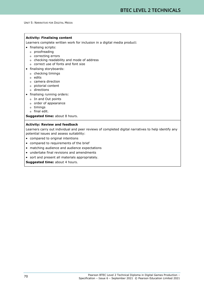### **Activity: Finalising content**

Learners complete written work for inclusion in a digital media product:

- finalising scripts:
	- o proofreading
	- o correcting errors
	- o checking readability and mode of address
	- o correct use of fonts and font size
- finalising storyboards:
	- o checking timings
	- o edits
	- o camera direction
	- o pictorial content
	- o directions
- finalising running orders:
	- o In and Out points
	- o order of appearance
	- o timings
	- o final edit.

**Suggested time:** about 8 hours.

### **Activity: Review and feedback**

Learners carry out individual and peer reviews of completed digital narratives to help identify any potential issues and assess suitability:

- compared to original intentions
- compared to requirements of the brief
- matching audience and audience expectations
- undertake final revisions and amendments
- sort and present all materials appropriately.

**Suggested time:** about 4 hours.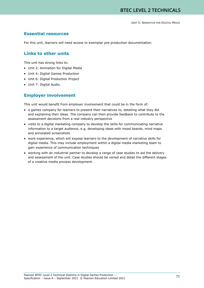# **Essential resources**

For this unit, learners will need access to exemplar pre-production documentation.

## **Links to other units**

This unit has strong links to:

- Unit 2: Animation for Digital Media
- Unit 4: Digital Games Production
- Unit 6: Digital Production Project
- Unit 7: Digital Audio.

## **Employer involvement**

This unit would benefit from employer involvement that could be in the form of:

- a games company for learners to present their narratives to, detailing what they did and explaining their ideas. The company can then provide feedback to contribute to the assessment decisions from a real industry perspective
- visits to a digital marketing company to develop the skills for communicating narrative information to a target audience, e.g. developing ideas with mood boards, mind maps and annotated screenshots
- work experience, which will expose learners to the development of narrative skills for digital media. This may include employment within a digital media marketing team to gain experience of communication techniques
- working with an industrial partner to develop a range of case studies to aid the delivery and assessment of the unit. Case studies should be varied and detail the different stages of a creative media process development.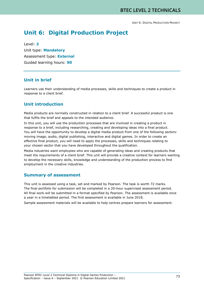# **Unit 6: Digital Production Project**

Level: **2** Unit type: **Mandatory** Assessment type: **External** Guided learning hours: **90**

## **Unit in brief**

Learners use their understanding of media processes, skills and techniques to create a product in response to a client brief.

# **Unit introduction**

Media products are normally constructed in relation to a client brief. A successful product is one that fulfils the brief and appeals to the intended audience.

In this unit, you will use the production processes that are involved in creating a product in response to a brief, including researching, creating and developing ideas into a final product. You will have the opportunity to develop a digital media product from one of the following sectors: moving image, audio, digital publishing, interactive and digital games. In order to create an effective final product, you will need to apply the processes, skills and techniques relating to your chosen sector that you have developed throughout the qualification.

Media industries want employees who are capable of generating ideas and creating products that meet the requirements of a client brief. This unit will provide a creative context for learners wanting to develop the necessary skills, knowledge and understanding of the production process to find employment in the creative industries.

# **Summary of assessment**

This unit is assessed using a task, set and marked by Pearson. The task is worth 72 marks. The final portfolio for submission will be completed in a 20-hour supervised assessment period. All final work will be submitted in a format specified by Pearson. The assessment is available once a year in a timetabled period. The first assessment is available in June 2018.

Sample assessment materials will be available to help centres prepare learners for assessment.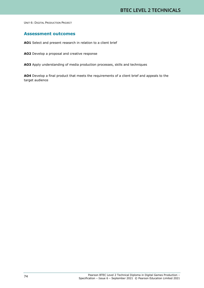## **Assessment outcomes**

**AO1** Select and present research in relation to a client brief

**AO2** Develop a proposal and creative response

**AO3** Apply understanding of media production processes, skills and techniques

**AO4** Develop a final product that meets the requirements of a client brief and appeals to the target audience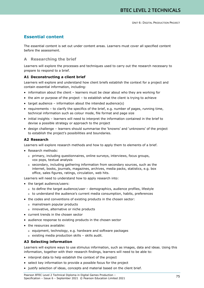# **Essential content**

The essential content is set out under content areas. Learners must cover all specified content before the assessment.

## **A Researching the brief**

Learners will explore the processes and techniques used to carry out the research necessary to prepare to respond to a brief.

## **A1 Deconstructing a client brief**

Learners will explore and understand how client briefs establish the context for a project and contain essential information, including:

- information about the client learners must be clear about who they are working for
- the aim or purpose of the project to establish what the client is trying to achieve
- target audience information about the intended audience(s)
- requirements to clarify the specifics of the brief, e.g. number of pages, running time, technical information such as colour mode, file format and page size
- initial insights learners will need to interpret the information contained in the brief to devise a possible strategy or approach to the project
- design challenge learners should summarise the 'knowns' and 'unknowns' of the project to establish the project's possibilities and boundaries.

### **A2 Research**

Learners will explore research methods and how to apply them to elements of a brief.

- Research methods:
	- o primary, including questionnaires, online surveys, interviews, focus groups, vox pops, textual analysis
	- o secondary, including gathering information from secondary sources, such as the internet, books, journals, magazines, archives, media packs, statistics, e.g. box office, sales figures, ratings, circulation, web hits.

Learners will need to understand how to apply research into:

- the target audience/users:
	- o to define the target audience/user demographics, audience profiles, lifestyle
	- o to understand the audience's current media consumption, habits, preferences
- the codes and conventions of existing products in the chosen sector:
	- o mainstream popular products
	- o innovative, alternative or niche products
- current trends in the chosen sector
- audience response to existing products in the chosen sector
- the resources available:
	- o equipment, technology, e.g. hardware and software packages
	- o existing media production skills skills audit.

## **A3 Selecting information**

Learners will explore ways to use stimulus information, such as images, data and ideas. Using this information, together with their research findings, learners will need to be able to:

- interpret data to help establish the context of the project
- select key information to provide a possible focus for the project
- justify selection of ideas, concepts and material based on the client brief.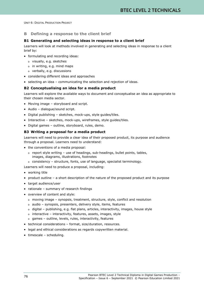## **B Defining a response to the client brief**

## **B1 Generating and selecting ideas in response to a client brief**

Learners will look at methods involved in generating and selecting ideas in response to a client brief by:

- formulating and recording ideas:
	- o visually, e.g. sketches
	- o in writing, e.g. mind maps
	- o verbally, e.g. discussions
- considering different ideas and approaches
- selecting an idea communicating the selection and rejection of ideas.

## **B2 Conceptualising an idea for a media product**

Learners will explore the available ways to document and conceptualise an idea as appropriate to their chosen media sector.

- Moving image storyboard and script.
- Audio dialogue/sound script.
- Digital publishing sketches, mock-ups, style guides/tiles.
- Interactive sketches, mock-ups, wireframes, style guides/tiles.
- Digital games outline, storyboard, rules, demo.

### **B3 Writing a proposal for a media product**

Learners will need to provide a clear idea of their proposed product, its purpose and audience through a proposal. Learners need to understand:

- the conventions of a media proposal:
	- o report style writing use of headings, sub-headings, bullet points, tables, images, diagrams, illustrations, footnotes
- o consistency structure, fonts, use of language, specialist terminology.

Learners will need to produce a proposal, including:

- working title
- product outline a short description of the nature of the proposed product and its purpose
- target audience/user
- rationale summary of research findings
- overview of content and style:
	- o moving image synopsis, treatment, structure, style, conflict and resolution
	- o audio synopsis, presenters, delivery style, items, features
	- o digital publishing, e.g. flat plans, articles, interactivity, images, house style
	- o interactive interactivity, features, assets, images, style
	- o games outline, levels, rules, interactivity, features
- technical considerations format, size/duration, resources.
- legal and ethical considerations as regards copywritten material.
- timescale scheduling.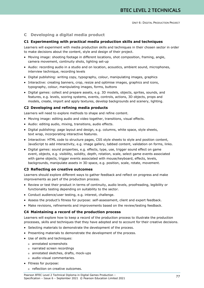## **C Developing a digital media product**

## **C1 Experimenting with practical media production skills and techniques**

Learners will experiment with media production skills and techniques in their chosen sector in order to make decisions about the content, style and design of their project.

- Moving image: shooting footage in different locations, shot composition, framing, angle, camera movement, continuity shots, lighting set-up
- Audio: recording audio in a studio and on location, acoustics, ambient sound, microphones, interview technique, recording levels
- Digital publishing: writing copy, typography, colour, manipulating images, graphics
- Interactive: creating banners, crop, resize and optimise images, graphics and icons, typography, colour, manipulating images, forms, buttons
- Digital games: collect and prepare assets, e.g. 3D models, objects, sprites, sounds, and features, e.g. levels, scoring systems, events, controls, actions, 3D objects, props and models, create, import and apply textures, develop backgrounds and scenery, lighting.

## **C2 Developing and refining media products**

Learners will need to explore methods to shape and refine content.

- Moving image: editing audio and video together, transitions, visual effects.
- Audio: editing audio, mixing, transitions, audio effects.
- Digital publishing: page layout and design, e.g. columns, white space, style sheets, text wrap, incorporating interactive features.
- Interactive: HTML code to structure pages, CSS style sheets to style and position content, JavaScript to add interactivity, e.g. image gallery, tabbed content, validation on forms, links.
- Digital games: sound properties, e.g. effects, type, use, trigger sound effect on game event, objects, e.g. visibility, solidity, depth, rotation, scale, select game events associated with game objects, trigger events associated with mouse/keyboard, effects, levels, backgrounds, manipulate assets in 3D space, e.g. position, scale, rotate, movement.

## **C3 Reflecting on creative outcomes**

Learners should explore different ways to gather feedback and reflect on progress and make improvements as part of the production process.

- Review or test their product in terms of continuity, audio levels, proofreading, legibility or functionality testing depending on suitability to the sector.
- Conduct audience/user testing, e.g. interest, challenge.
- Assess the product's fitness for purpose: self-assessment, client and expert feedback.
- Make revisions, refinements and improvements based on the review/testing feedback.

## **C4 Maintaining a record of the production process**

Learners will explore how to keep a record of the production process to illustrate the production processes, skills and techniques that they have adopted and to account for their creative decisions.

- Selecting materials to demonstrate the development of the process.
- Presenting materials to demonstrate the development of the process.
- Use of skills and techniques:
	- o annotated screenshots
	- o narrated screen recordings
	- o annotated sketches, drafts, mock-ups
	- o audio-visual commentaries.
- Fitness for purpose:
	- o reflection on creative outcomes.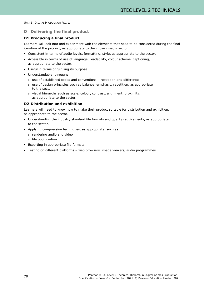## **D Delivering the final product**

## **D1 Producing a final product**

Learners will look into and experiment with the elements that need to be considered during the final iteration of the product, as appropriate to the chosen media sector.

- Consistent in terms of audio levels, formatting, style, as appropriate to the sector.
- Accessible in terms of use of language, readability, colour scheme, captioning, as appropriate to the sector.
- Useful in terms of fulfilling its purpose.
- Understandable, through:
	- o use of established codes and conventions repetition and difference
	- o use of design principles such as balance, emphasis, repetition, as appropriate to the sector
	- o visual hierarchy such as scale, colour, contrast, alignment, proximity, as appropriate to the sector.

### **D2 Distribution and exhibition**

Learners will need to know how to make their product suitable for distribution and exhibition, as appropriate to the sector.

- Understanding the industry standard file formats and quality requirements, as appropriate to the sector.
- Applying compression techniques, as appropriate, such as:
	- o rendering audio and video
	- o file optimization.
- Exporting in appropriate file formats.
- Testing on different platforms web browsers, image viewers, audio programmes.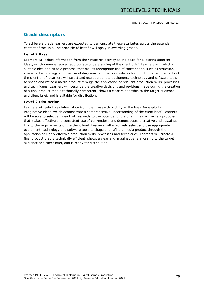# **Grade descriptors**

To achieve a grade learners are expected to demonstrate these attributes across the essential content of the unit. The principle of best fit will apply in awarding grades.

## **Level 2 Pass**

Learners will select information from their research activity as the basis for exploring different ideas, which demonstrate an appropriate understanding of the client brief. Learners will select a suitable idea and write a proposal that makes appropriate use of conventions, such as structure, specialist terminology and the use of diagrams, and demonstrate a clear link to the requirements of the client brief. Learners will select and use appropriate equipment, technology and software tools to shape and refine a media product through the application of relevant production skills, processes and techniques. Learners will describe the creative decisions and revisions made during the creation of a final product that is technically competent, shows a clear relationship to the target audience and client brief, and is suitable for distribution.

## **Level 2 Distinction**

Learners will select key information from their research activity as the basis for exploring imaginative ideas, which demonstrate a comprehensive understanding of the client brief. Learners will be able to select an idea that responds to the potential of the brief. They will write a proposal that makes effective and consistent use of conventions and demonstrates a creative and sustained link to the requirements of the client brief. Learners will effectively select and use appropriate equipment, technology and software tools to shape and refine a media product through the application of highly effective production skills, processes and techniques. Learners will create a final product that is technically efficient, shows a clear and imaginative relationship to the target audience and client brief, and is ready for distribution.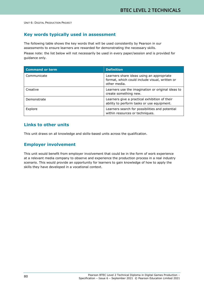# **Key words typically used in assessment**

The following table shows the key words that will be used consistently by Pearson in our assessments to ensure learners are rewarded for demonstrating the necessary skills.

Please note: the list below will not necessarily be used in every paper/session and is provided for guidance only.

| <b>Command or term</b> | <b>Definition</b>                                                                                           |
|------------------------|-------------------------------------------------------------------------------------------------------------|
| Communicate            | Learners share ideas using an appropriate<br>format, which could include visual, written or<br>other media. |
| Creative               | Learners use the imagination or original ideas to<br>create something new.                                  |
| Demonstrate            | Learners give a practical exhibition of their<br>ability to perform tasks or use equipment.                 |
| Explore                | Learners search for possibilities and potential<br>within resources or techniques.                          |

# **Links to other units**

This unit draws on all knowledge and skills-based units across the qualification.

# **Employer involvement**

This unit would benefit from employer involvement that could be in the form of work experience at a relevant media company to observe and experience the production process in a real industry scenario. This would provide an opportunity for learners to gain knowledge of how to apply the skills they have developed in a vocational context.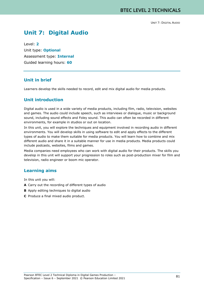# **Unit 7: Digital Audio**

Level: **2** Unit type: **Optional** Assessment type: **Internal**  Guided learning hours: **60**

## **Unit in brief**

Learners develop the skills needed to record, edit and mix digital audio for media products.

## **Unit introduction**

Digital audio is used in a wide variety of media products, including film, radio, television, websites and games. The audio could include speech, such as interviews or dialogue, music or background sound, including sound effects and Foley sound. This audio can often be recorded in different environments, for example in studios or out on location.

In this unit, you will explore the techniques and equipment involved in recording audio in different environments. You will develop skills in using software to edit and apply effects to the different types of audio to make them suitable for media products. You will learn how to combine and mix different audio and share it in a suitable manner for use in media products. Media products could include podcasts, websites, films and games.

Media companies need employees who can work with digital audio for their products. The skills you develop in this unit will support your progression to roles such as post-production mixer for film and television, radio engineer or boom mic operator.

## **Learning aims**

In this unit you will:

- **A** Carry out the recording of different types of audio
- **B** Apply editing techniques to digital audio
- **C** Produce a final mixed audio product.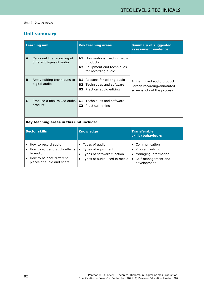# **Unit summary**

|                                          | <b>Learning aim</b>                                    | <b>Key teaching areas</b>                                                                                     | <b>Summary of suggested</b><br>assessment evidence                                        |
|------------------------------------------|--------------------------------------------------------|---------------------------------------------------------------------------------------------------------------|-------------------------------------------------------------------------------------------|
| A                                        | Carry out the recording of<br>different types of audio | A1 How audio is used in media<br>products<br><b>A2</b> Equipment and techniques<br>for recording audio        |                                                                                           |
| B                                        | Apply editing techniques to<br>digital audio           | <b>B1</b> Reasons for editing audio<br><b>B2</b> Techniques and software<br><b>B3</b> Practical audio editing | A final mixed audio product.<br>Screen recording/annotated<br>screenshots of the process. |
| C                                        | Produce a final mixed audio<br>product                 | Techniques and software<br>C1.<br><b>C2</b> Practical mixing                                                  |                                                                                           |
| Key teaching areas in this unit include: |                                                        |                                                                                                               |                                                                                           |

| <b>Sector skills</b>                                                                                                      | <b>Knowledge</b>                                                                                                  | <b>Transferable</b><br>skills/behaviours                                                                    |
|---------------------------------------------------------------------------------------------------------------------------|-------------------------------------------------------------------------------------------------------------------|-------------------------------------------------------------------------------------------------------------|
| How to record audio<br>How to edit and apply effects<br>to audio<br>How to balance different<br>pieces of audio and share | • Types of audio<br>Types of equipment<br>$\bullet$<br>Types of software function<br>Types of audio used in media | Communication<br>Problem solving<br>Managing information<br>$\bullet$<br>Self-management and<br>development |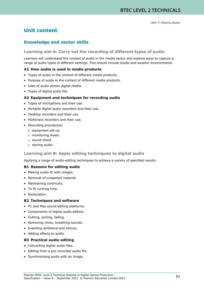# **Unit content**

# **Knowledge and sector skills**

## **Learning aim A: Carry out the recording of different types of audio**

Learners will understand the context of audio in the media sector and explore ways to capture a range of audio types in different settings. This should include studio and location environments.

## **A1 How audio is used in media products**

- Types of audio in the context of different media products.
- Purpose of audio in the context of different media products.
- Uses of audio across digital media.
- Types of digital audio file.

## **A2 Equipment and techniques for recording audio**

- Types of microphone and their use.
- Portable digital audio recorders and their use.
- Desktop recorders and their use.
- Multitrack recorders and their use.
- Recording procedures:
	- o equipment set-up
	- o monitoring levels
	- o sound check
	- o storing audio.

### **Learning aim B: Apply editing techniques to digital audio**

Applying a range of audio-editing techniques to achieve a variety of specified results.

### **B1 Reasons for editing audio**

- Making audio fit with images.
- Removal of unwanted material.
- Maintaining continuity.
- To fit running time.
- Restoration.

### **B2 Techniques and software**

- PC and Mac sound editing platforms.
- Components of digital audio editors.
- Cutting, joining, fading.
- Removing clicks, breathing sounds.
- Inserting ambience and silence.
- Adding effects to audio.

## **B3 Practical audio editing**

- Converting digital audio files.
- Editing from a pre-recorded audio file.
- Synchronising audio with an image.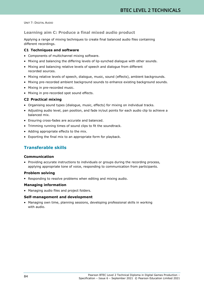## **Learning aim C: Produce a final mixed audio product**

Applying a range of mixing techniques to create final balanced audio files containing different recordings.

## **C1 Techniques and software**

- Components of multichannel mixing software.
- Mixing and balancing the differing levels of lip-synched dialogue with other sounds.
- Mixing and balancing relative levels of speech and dialogue from different recorded sources.
- Mixing relative levels of speech, dialogue, music, sound (effects), ambient backgrounds.
- Mixing pre-recorded ambient background sounds to enhance existing background sounds.
- Mixing in pre-recorded music.
- Mixing in pre-recorded spot sound effects.

## **C2 Practical mixing**

- Organising sound types (dialogue, music, effects) for mixing on individual tracks.
- Adjusting audio level, pan position, and fade in/out points for each audio clip to achieve a balanced mix.
- Ensuring cross-fades are accurate and balanced.
- Trimming running times of sound clips to fit the soundtrack.
- Adding appropriate effects to the mix.
- Exporting the final mix to an appropriate form for playback.

# **Transferable skills**

## **Communication**

• Providing accurate instructions to individuals or groups during the recording process, applying appropriate tone of voice, responding to communication from participants.

## **Problem solving**

• Responding to resolve problems when editing and mixing audio.

## **Managing information**

• Managing audio files and project folders.

## **Self-management and development**

• Managing own time, planning sessions, developing professional skills in working with audio.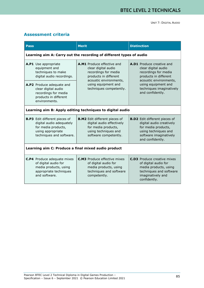# **Assessment criteria**

| <b>Pass</b>                                                                                                                              | <b>Merit</b>                                                                                                                              | <b>Distinction</b>                                                                                                                                            |  |  |
|------------------------------------------------------------------------------------------------------------------------------------------|-------------------------------------------------------------------------------------------------------------------------------------------|---------------------------------------------------------------------------------------------------------------------------------------------------------------|--|--|
|                                                                                                                                          | Learning aim A: Carry out the recording of different types of audio                                                                       |                                                                                                                                                               |  |  |
| A.P1 Use appropriate<br>equipment and<br>techniques to make<br>digital audio recordings.                                                 | A.M1 Produce effective and<br>clear digital audio<br>recordings for media<br>products in different<br>acoustic environments,              | A.D1 Produce creative and<br>clear digital audio<br>recordings for media<br>products in different<br>acoustic environments,                                   |  |  |
| A.P2 Produce adequate and<br>clear digital audio<br>recordings for media<br>products in different<br>environments.                       | using equipment and<br>techniques competently.                                                                                            | using equipment and<br>techniques imaginatively<br>and confidently.                                                                                           |  |  |
| Learning aim B: Apply editing techniques to digital audio                                                                                |                                                                                                                                           |                                                                                                                                                               |  |  |
| <b>B.P3</b> Edit different pieces of<br>digital audio adequately<br>for media products,<br>using appropriate<br>techniques and software. | <b>B.M2</b> Edit different pieces of<br>digital audio effectively<br>for media products,<br>using techniques and<br>software competently. | <b>B.D2</b> Edit different pieces of<br>digital audio creatively<br>for media products,<br>using techniques and<br>software imaginatively<br>and confidently. |  |  |
| Learning aim C: Produce a final mixed audio product                                                                                      |                                                                                                                                           |                                                                                                                                                               |  |  |
| <b>C.P4</b> Produce adequate mixes<br>of digital audio for<br>media products, using<br>appropriate techniques<br>and software.           | <b>C.M3</b> Produce effective mixes<br>of digital audio for<br>media products, using<br>techniques and software<br>competently.           | <b>C.D3</b> Produce creative mixes<br>of digital audio for<br>media products, using<br>techniques and software<br>imaginatively and<br>confidently.           |  |  |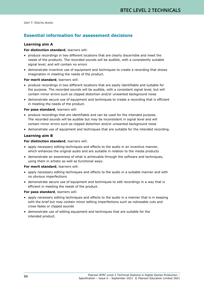# **Essential information for assessment decisions**

## **Learning aim A**

### **For distinction standard**, learners will:

- produce recordings in two different locations that are clearly discernible and meet the needs of the products. The recorded sounds will be audible, with a consistently suitable signal level, and will contain no errors
- demonstrate inventive use of equipment and techniques to create a recording that shows imagination in meeting the needs of the product.

### **For merit standard**, learners will:

- produce recordings in two different locations that are easily identifiable and suitable for the purpose. The recorded sounds will be audible, with a consistent signal level, but will contain minor errors such as clipped distortion and/or unwanted background noise
- demonstrate secure use of equipment and techniques to create a recording that is efficient in meeting the needs of the product.

### **For pass standard**, learners will:

- produce recordings that are identifiable and can be used for the intended purpose. The recorded sounds will be audible but may be inconsistent in signal level and will contain minor errors such as clipped distortion and/or unwanted background noise
- demonstrate use of equipment and techniques that are suitable for the intended recording.

## **Learning aim B**

### **For distinction standard**, learners will:

- apply necessary editing techniques and effects to the audio in an inventive manner, which enhances the original audio and are suitable in relation to the media products
- demonstrate an awareness of what is achievable through the software and techniques, using them in artistic as well as functional ways.

### **For merit standard**, learners will:

- apply necessary editing techniques and effects to the audio in a suitable manner and with no obvious imperfections
- demonstrate secure use of equipment and techniques to edit recordings in a way that is efficient in meeting the needs of the product.

### **For pass standard**, learners will:

- apply necessary editing techniques and effects to the audio in a manner that is in keeping with the brief but may contain minor editing imperfections such as noticeable cuts and cross-fades or clipped sounds
- demonstrate use of editing equipment and techniques that are suitable for the intended product.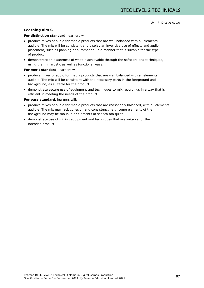## **Learning aim C**

## **For distinction standard**, learners will:

- produce mixes of audio for media products that are well balanced with all elements audible. The mix will be consistent and display an inventive use of effects and audio placement, such as panning or automation, in a manner that is suitable for the type of product
- demonstrate an awareness of what is achievable through the software and techniques, using them in artistic as well as functional ways.

### **For merit standard**, learners will:

- produce mixes of audio for media products that are well balanced with all elements audible. The mix will be consistent with the necessary parts in the foreground and background, as suitable for the product
- demonstrate secure use of equipment and techniques to mix recordings in a way that is efficient in meeting the needs of the product.

### **For pass standard**, learners will:

- produce mixes of audio for media products that are reasonably balanced, with all elements audible. The mix may lack cohesion and consistency, e.g. some elements of the background may be too loud or elements of speech too quiet
- demonstrate use of mixing equipment and techniques that are suitable for the intended product.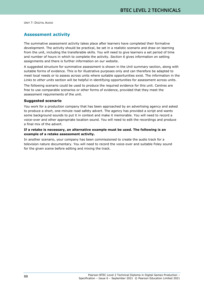# **Assessment activity**

The summative assessment activity takes place after learners have completed their formative development. The activity should be practical, be set in a realistic scenario and draw on learning from the unit, including the transferable skills. You will need to give learners a set period of time and number of hours in which to complete the activity. *Section 6* gives information on setting assignments and there is further information on our website.

A suggested structure for summative assessment is shown in the *Unit summary* section, along with suitable forms of evidence. This is for illustrative purposes only and can therefore be adapted to meet local needs or to assess across units where suitable opportunities exist. The information in the *Links to other units* section will be helpful in identifying opportunities for assessment across units.

The following scenario could be used to produce the required evidence for this unit. Centres are free to use comparable scenarios or other forms of evidence, provided that they meet the assessment requirements of the unit.

## **Suggested scenario**

You work for a production company that has been approached by an advertising agency and asked to produce a short, one-minute road safety advert. The agency has provided a script and wants some background sounds to put it in context and make it memorable. You will need to record a voice-over and other appropriate location sound. You will need to edit the recordings and produce a final mix of the advert.

## **If a retake is necessary, an alternative example must be used. The following is an example of a retake assessment activity.**

In another scenario, your company has been commissioned to create the audio track for a television nature documentary. You will need to record the voice-over and suitable Foley sound for the given scene before editing and mixing the track.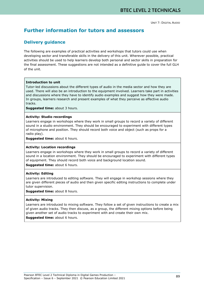# **Further information for tutors and assessors**

# **Delivery guidance**

The following are examples of practical activities and workshops that tutors could use when developing sector and transferable skills in the delivery of this unit. Wherever possible, practical activities should be used to help learners develop both personal and sector skills in preparation for the final assessment. These suggestions are not intended as a definitive guide to cover the full GLH of the unit.

## **Introduction to unit**

Tutor-led discussions about the different types of audio in the media sector and how they are used. There will also be an introduction to the equipment involved. Learners take part in activities and discussions where they have to identify audio examples and suggest how they were made. In groups, learners research and present examples of what they perceive as effective audio tracks.

**Suggested time:** about 3 hours.

### **Activity: Studio recordings**

Learners engage in workshops where they work in small groups to record a variety of different sound in a studio environment. They should be encouraged to experiment with different types of microphone and position. They should record both voice and object (such as props for a radio play).

**Suggested time:** about 6 hours.

### **Activity: Location recordings**

Learners engage in workshops where they work in small groups to record a variety of different sound in a location environment. They should be encouraged to experiment with different types of equipment. They should record both voice and background location sound.

**Suggested time:** about 6 hours.

### **Activity: Editing**

Learners are introduced to editing software. They will engage in workshop sessions where they are given different pieces of audio and then given specific editing instructions to complete under tutor supervision.

**Suggested time:** about 8 hours.

### **Activity: Mixing**

Learners are introduced to mixing software. They follow a set of given instructions to create a mix of given audio tracks. They then discuss, as a group, the different mixing options before being given another set of audio tracks to experiment with and create their own mix.

**Suggested time:** about 6 hours.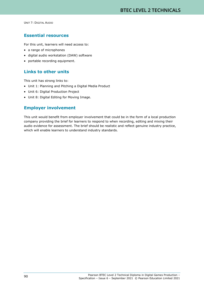# **Essential resources**

For this unit, learners will need access to:

- a range of microphones
- digital audio workstation (DAW) software
- portable recording equipment.

# **Links to other units**

This unit has strong links to:

- Unit 1: Planning and Pitching a Digital Media Product
- Unit 6: Digital Production Project
- Unit 8: Digital Editing for Moving Image.

# **Employer involvement**

This unit would benefit from employer involvement that could be in the form of a local production company providing the brief for learners to respond to when recording, editing and mixing their audio evidence for assessment. The brief should be realistic and reflect genuine industry practice, which will enable learners to understand industry standards.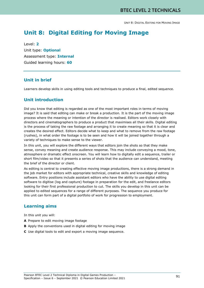# **Unit 8: Digital Editing for Moving Image**

Level: **2** Unit type: **Optional** Assessment type: **Internal** Guided learning hours: **60**

# **Unit in brief**

Learners develop skills in using editing tools and techniques to produce a final, edited sequence.

## **Unit introduction**

Did you know that editing is regarded as one of the most important roles in terms of moving image? It is said that editing can make or break a production. It is the part of the moving image process where the meaning or intention of the director is realised. Editors work closely with directors and cinematographers to produce a product that maximises all their skills. Digital editing is the process of taking the raw footage and arranging it to create meaning so that it is clear and creates the desired effect. Editors decide what to keep and what to remove from the raw footage (rushes), in what order the footage is to be seen and how it will be joined together through a variety of techniques to make sense to the viewer.

In this unit, you will explore the different ways that editors join the shots so that they make sense, convey meaning and create audience response. This may include conveying a mood, tone, atmosphere or dramatic effect onscreen. You will learn how to digitally edit a sequence, trailer or short film/video so that it presents a series of shots that the audience can understand, meeting the brief of the director or client.

As editing is central to creating effective moving image productions, there is a strong demand in the job market for editors with appropriate technical, creative skills and knowledge of editing software. Entry positions include assistant editors who have the ability to use digital editing software to digitise (log and capture) footage in preparation for the edit, and freelance editors looking for their first professional production to cut. The skills you develop in this unit can be applied to edited sequences for a range of different purposes. The sequence you produce for this unit can form part of a digital portfolio of work for progression to employment.

# **Learning aims**

In this unit you will:

- **A** Prepare to edit moving image footage
- **B** Apply the conventions used in digital editing for moving image
- **C** Use digital tools to edit and export a moving image sequence.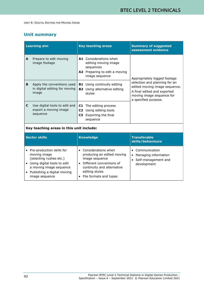# **Unit summary**

|                                          | <b>Learning aim</b>                                                  | <b>Key teaching areas</b>                                                                                      | <b>Summary of suggested</b><br>assessment evidence                                                                                                 |
|------------------------------------------|----------------------------------------------------------------------|----------------------------------------------------------------------------------------------------------------|----------------------------------------------------------------------------------------------------------------------------------------------------|
| A                                        | Prepare to edit moving<br>image footage                              | A1 Considerations when<br>editing moving image<br>sequences<br>A2 Preparing to edit a moving<br>image sequence | Appropriately logged footage                                                                                                                       |
| B                                        | Apply the conventions used<br>in digital editing for moving<br>image | Using continuity editing<br>B1<br><b>B2</b> Using alternative editing<br>styles                                | selection and planning for an<br>edited moving image sequence.<br>A final edited and exported<br>moving image sequence for<br>a specified purpose. |
| C.                                       | Use digital tools to edit and<br>export a moving image<br>sequence   | The editing process<br>C1<br>C2 Using editing tools<br>Exporting the final<br>C3<br>sequence                   |                                                                                                                                                    |
| Key teaching areas in this unit include: |                                                                      |                                                                                                                |                                                                                                                                                    |
|                                          | <b>Sector skills</b>                                                 | <b>Knowledge</b>                                                                                               | <b>Transferable</b><br>skills/behaviours                                                                                                           |
|                                          | Pre-production skills for<br>moving image                            | Considerations when<br>$\bullet$<br>producing an edited moving                                                 | • Communication<br>Managing information                                                                                                            |

|           | (selecting rushes etc.)       | image sequence             | • Self-management and |
|-----------|-------------------------------|----------------------------|-----------------------|
| $\bullet$ | Using digital tools to edit   | Different conventions of   | development           |
|           | a moving image sequence       | continuity and alternative |                       |
|           | • Publishing a digital moving | editing styles             |                       |
|           | image sequence                | • File formats and types   |                       |
|           |                               |                            |                       |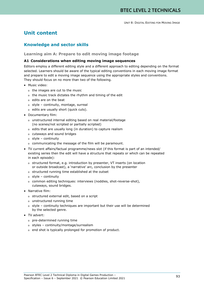# **Unit content**

# **Knowledge and sector skills**

## **Learning aim A: Prepare to edit moving image footage**

## **A1 Considerations when editing moving image sequences**

Editors employ a different editing style and a different approach to editing depending on the format selected. Learners should be aware of the typical editing conventions in each moving image format and prepare to edit a moving image sequence using the appropriate styles and conventions. They should focus on no more than two of the following.

- Music video:
	- o the images are cut to the music
	- o the music track dictates the rhythm and timing of the edit
	- o edits are on the beat
	- o style continuity, montage, surreal
	- o edits are usually short (quick cuts).
- Documentary film:
	- o unstructured internal editing based on real material/footage (no scenes/not scripted or partially scripted)
	- o edits that are usually long (in duration) to capture realism
	- o cutaways and sound bridges
	- o style continuity
	- o communicating the message of the film will be paramount.
- TV current affairs/factual programme/news slot (if this format is part of an intended/ existing series then the edit will have a structure that repeats or which can be repeated in each episode):
	- o structured format, e.g. introduction by presenter, VT inserts (on location or outside broadcast), a 'narrative' arc, conclusion by the presenter
	- o structured running time established at the outset
	- o style continuity
	- o common editing techniques: interviews (noddies, shot-reverse-shot), cutaways, sound bridges.
- Narrative film:
	- o structured external edit, based on a script
	- o unstructured running time
	- o style continuity techniques are important but their use will be determined by the selected genre.
- TV advert:
	- o pre-determined running time
	- o styles continuity/montage/surrealism
	- o end shot is typically prolonged for promotion of product.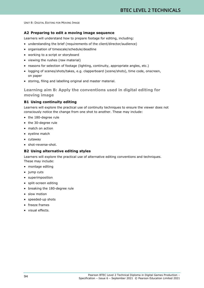## **A2 Preparing to edit a moving image sequence**

Learners will understand how to prepare footage for editing, including:

- understanding the brief (requirements of the client/director/audience)
- organisation of timescale/schedule/deadline
- working to a script or storyboard
- viewing the rushes (raw material)
- reasons for selection of footage (lighting, continuity, appropriate angles, etc.)
- logging of scenes/shots/takes, e.g. clapperboard (scene/shots), time code, onscreen, on paper
- storing, filing and labelling original and master material.

**Learning aim B: Apply the conventions used in digital editing for moving image**

## **B1 Using continuity editing**

Learners will explore the practical use of continuity techniques to ensure the viewer does not consciously notice the change from one shot to another. These may include:

- the 180-degree rule
- the 30-degree rule
- match on action
- eyeline match
- cutaway
- shot-reverse-shot.

### **B2 Using alternative editing styles**

Learners will explore the practical use of alternative editing conventions and techniques. These may include:

- montage editing
- jump cuts
- superimposition
- split-screen editing
- breaking the 180-degree rule
- slow motion
- speeded-up shots
- freeze frames
- visual effects.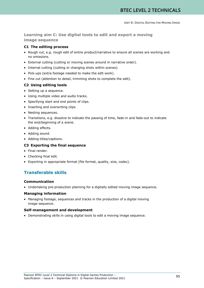**Learning aim C: Use digital tools to edit and export a moving image sequence**

## **C1 The editing process**

- Rough cut, e.g. rough edit of entire product/narrative to ensure all scenes are working and no omissions.
- External cutting (cutting or moving scenes around in narrative order).
- Internal cutting (cutting or changing shots within scenes).
- Pick-ups (extra footage needed to make the edit work).
- Fine cut (attention to detail, trimming shots to complete the edit).

## **C2 Using editing tools**

- Setting up a sequence.
- Using multiple video and audio tracks.
- Specifying start and end points of clips.
- Inserting and overwriting clips.
- Nesting sequences.
- Transitions, e.g. dissolve to indicate the passing of time, fade-in and fade-out to indicate the end/beginning of a scene.
- Adding effects.
- Adding sound.
- Adding titles/captions.

## **C3 Exporting the final sequence**

- Final render.
- Checking final edit.
- Exporting in appropriate format (file format, quality, size, codec).

# **Transferable skills**

## **Communication**

• Undertaking pre-production planning for a digitally edited moving image sequence.

## **Managing information**

• Managing footage, sequences and tracks in the production of a digital moving image sequence.

## **Self-management and development**

• Demonstrating skills in using digital tools to edit a moving image sequence.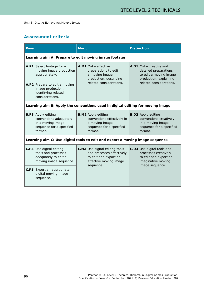# **Assessment criteria**

| <b>Pass</b>                                                                    |                                                                                                                 | <b>Merit</b>                                                                                                                       | <b>Distinction</b>                                                                                                             |  |
|--------------------------------------------------------------------------------|-----------------------------------------------------------------------------------------------------------------|------------------------------------------------------------------------------------------------------------------------------------|--------------------------------------------------------------------------------------------------------------------------------|--|
|                                                                                | Learning aim A: Prepare to edit moving image footage                                                            |                                                                                                                                    |                                                                                                                                |  |
|                                                                                | A.P1 Select footage for a<br>moving image production<br>appropriately.                                          | A.M1 Make effective<br>preparations to edit<br>a moving image<br>production, describing<br>related considerations.                 | A.D1 Make creative and<br>detailed preparations<br>to edit a moving image<br>production, explaining<br>related considerations. |  |
|                                                                                | A.P2 Prepare to edit a moving<br>image production,<br>identifying related<br>considerations.                    |                                                                                                                                    |                                                                                                                                |  |
| Learning aim B: Apply the conventions used in digital editing for moving image |                                                                                                                 |                                                                                                                                    |                                                                                                                                |  |
|                                                                                | <b>B.P3</b> Apply editing<br>conventions adequately<br>in a moving image<br>sequence for a specified<br>format. | <b>B.M2</b> Apply editing<br>conventions effectively in<br>a moving image<br>sequence for a specified<br>format.                   | <b>B.D2</b> Apply editing<br>conventions creatively<br>in a moving image<br>sequence for a specified<br>format.                |  |
| Learning aim C: Use digital tools to edit and export a moving image sequence   |                                                                                                                 |                                                                                                                                    |                                                                                                                                |  |
|                                                                                | <b>C.P4</b> Use digital editing<br>tools and processes<br>adequately to edit a<br>moving image sequence.        | <b>C.M3</b> Use digital editing tools<br>and processes effectively<br>to edit and export an<br>effective moving image<br>sequence. | <b>C.D3</b> Use digital tools and<br>processes creatively<br>to edit and export an<br>imaginative moving<br>image sequence.    |  |
|                                                                                | <b>C.P5</b> Export an appropriate<br>digital moving image<br>sequence.                                          |                                                                                                                                    |                                                                                                                                |  |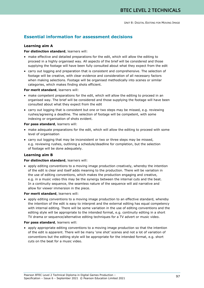# **Essential information for assessment decisions**

## **Learning aim A**

## **For distinction standard**, learners will:

- make effective and detailed preparations for the edit, which will allow the editing to proceed in a highly organised way. All aspects of the brief will be considered and those supplying the footage will have been fully consulted about what they expect from the edit
- carry out logging and preparation that is consistent and comprehensive. The selection of footage will be creative, with clear evidence and consideration of all necessary factors when making selections. Footage will be organised methodically into scenes or similar categories, which makes finding shots efficient.

**For merit standard**, learners will:

- make competent preparations for the edit, which will allow the editing to proceed in an organised way. The brief will be considered and those supplying the footage will have been consulted about what they expect from the edit
- carry out logging that is consistent but one or two steps may be missed, e.g. reviewing rushes/agreeing a deadline. The selection of footage will be competent, with some indexing or organisation of shots evident.

## **For pass standard**, learners will:

- make adequate preparations for the edit, which will allow the editing to proceed with some level of organisation
- carry out logging that may be inconsistent or two or three steps may be missed, e.g. reviewing rushes, outlining a schedule/deadline for completion, but the selection of footage will be done adequately.

## **Learning aim B**

## **For distinction standard**, learners will:

• apply editing conventions to a moving image production creatively, whereby the intention of the edit is clear and itself adds meaning to the production. There will be variation in the use of editing conventions, which makes the production engaging and creative, e.g. in a music video this may be the synergy between the internal cuts and the beat. In a continuity sequence, the seamless nature of the sequence will aid narrative and allow for viewer immersion in the piece.

## **For merit standard**, learners will:

• apply editing conventions to a moving image production to an effective standard, whereby the intention of the edit is easy to interpret and the external editing has equal competency with internal editing. There will be some variation in the use of editing conventions and the editing style will be appropriate to the intended format, e.g. continuity editing in a short TV drama or sequence/alternative editing techniques for a TV advert or music video.

### **For pass standard**, learners will:

• apply appropriate editing conventions to a moving image production so that the intention of the edit is apparent. There will be many 'one shot' scenes and not a lot of variation of conventions but the editing style will be appropriate for the intended format, e.g. short cuts on the beat for a music video.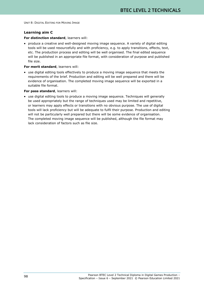## **Learning aim C**

## **For distinction standard**, learners will:

• produce a creative and well-designed moving image sequence. A variety of digital editing tools will be used resourcefully and with proficiency, e.g. to apply transitions, effects, text, etc. The production process and editing will be well organised. The final edited sequence will be published in an appropriate file format, with consideration of purpose and published file size.

## **For merit standard**, learners will:

• use digital editing tools effectively to produce a moving image sequence that meets the requirements of the brief. Production and editing will be well prepared and there will be evidence of organisation. The completed moving image sequence will be exported in a suitable file format.

## **For pass standard**, learners will:

• use digital editing tools to produce a moving image sequence. Techniques will generally be used appropriately but the range of techniques used may be limited and repetitive, or learners may apply effects or transitions with no obvious purpose. The use of digital tools will lack proficiency but will be adequate to fulfil their purpose. Production and editing will not be particularly well prepared but there will be some evidence of organisation. The completed moving image sequence will be published, although the file format may lack consideration of factors such as file size.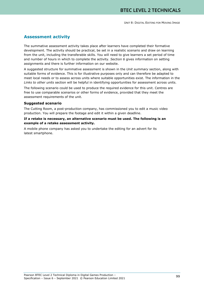## **Assessment activity**

The summative assessment activity takes place after learners have completed their formative development. The activity should be practical, be set in a realistic scenario and draw on learning from the unit, including the transferable skills. You will need to give learners a set period of time and number of hours in which to complete the activity. *Section 6* gives information on setting assignments and there is further information on our website.

A suggested structure for summative assessment is shown in the *Unit summary* section, along with suitable forms of evidence. This is for illustrative purposes only and can therefore be adapted to meet local needs or to assess across units where suitable opportunities exist. The information in the *Links to other units* section will be helpful in identifying opportunities for assessment across units.

The following scenario could be used to produce the required evidence for this unit. Centres are free to use comparable scenarios or other forms of evidence, provided that they meet the assessment requirements of the unit.

### **Suggested scenario**

The Cutting Room, a post-production company, has commissioned you to edit a music video production. You will prepare the footage and edit it within a given deadline.

## **If a retake is necessary, an alternative scenario must be used. The following is an example of a retake assessment activity.**

A mobile phone company has asked you to undertake the editing for an advert for its latest smartphone.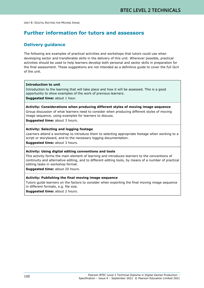# **Further information for tutors and assessors**

## **Delivery guidance**

The following are examples of practical activities and workshops that tutors could use when developing sector and transferable skills in the delivery of this unit. Wherever possible, practical activities should be used to help learners develop both personal and sector skills in preparation for the final assessment. These suggestions are not intended as a definitive guide to cover the full GLH of the unit.

#### **Introduction to unit**

Introduction to the learning that will take place and how it will be assessed. This is a good opportunity to show examples of the work of previous learners.

**Suggested time:** about 1 hour.

## **Activity: Considerations when producing different styles of moving image sequence**

Group discussion of what learners need to consider when producing different styles of moving image sequence, using examples for learners to discuss.

**Suggested time:** about 3 hours.

#### **Activity: Selecting and logging footage**

Learners attend a workshop to introduce them to selecting appropriate footage when working to a script or storyboard, and to the necessary logging documentation.

**Suggested time:** about 3 hours.

### **Activity: Using digital editing conventions and tools**

This activity forms the main element of learning and introduces learners to the conventions of continuity and alternative editing, and to different editing tools, by means of a number of practical editing tasks in workshop format.

**Suggested time:** about 20 hours.

## **Activity: Publishing the final moving image sequence**

Tutors guide learners on the factors to consider when exporting the final moving image sequence in different formats, e.g. file size.

**Suggested time:** about 2 hours.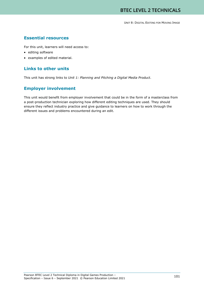## **Essential resources**

For this unit, learners will need access to:

- editing software
- examples of edited material.

# **Links to other units**

This unit has strong links to *Unit 1: Planning and Pitching a Digital Media Product*.

# **Employer involvement**

This unit would benefit from employer involvement that could be in the form of a masterclass from a post-production technician exploring how different editing techniques are used. They should ensure they reflect industry practice and give guidance to learners on how to work through the different issues and problems encountered during an edit.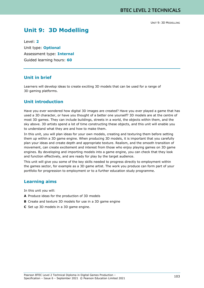# **Unit 9: 3D Modelling**

Level: **2** Unit type: **Optional** Assessment type: **Internal** Guided learning hours: **60**

## **Unit in brief**

Learners will develop ideas to create exciting 3D models that can be used for a range of 3D gaming platforms.

# **Unit introduction**

Have you ever wondered how digital 3D images are created? Have you ever played a game that has used a 3D character, or have you thought of a better one yourself? 3D models are at the centre of most 3D games. They can include buildings, streets in a world, the objects within them, and the sky above. 3D artists spend a lot of time constructing these objects, and this unit will enable you to understand what they are and how to make them.

In this unit, you will plan ideas for your own models, creating and texturing them before setting them up within a 3D game engine. When producing 3D models, it is important that you carefully plan your ideas and create depth and appropriate texture. Realism, and the smooth transition of movement, can create excitement and interest from those who enjoy playing games on 3D game engines. By developing and importing models into a game engine, you can check that they look and function effectively, and are ready for play by the target audience.

This unit will give you some of the key skills needed to progress directly to employment within the games sector, for example as a 3D game artist. The work you produce can form part of your portfolio for progression to employment or to a further education study programme.

## **Learning aims**

In this unit you will:

- **A** Produce ideas for the production of 3D models
- **B** Create and texture 3D models for use in a 3D game engine
- **C** Set up 3D models in a 3D game engine.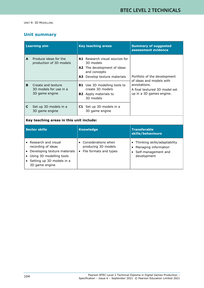# **Unit summary**

|                                          | <b>Learning aim</b>                                                                                                | <b>Key teaching areas</b>                                                                                                                                                                                                                     | <b>Summary of suggested</b><br>assessment evidence                                                                                    |
|------------------------------------------|--------------------------------------------------------------------------------------------------------------------|-----------------------------------------------------------------------------------------------------------------------------------------------------------------------------------------------------------------------------------------------|---------------------------------------------------------------------------------------------------------------------------------------|
| A<br>B                                   | Produce ideas for the<br>production of 3D models<br>Create and texture<br>3D models for use in a<br>3D game engine | <b>A1</b> Research visual sources for<br>3D models<br>A2 The development of ideas<br>and concepts<br>Develop texture materials<br>A3.<br><b>B1</b> Use 3D modelling tools to<br>create 3D models<br><b>B2</b> Apply materials to<br>3D models | Portfolio of the development<br>of ideas and models with<br>annotations.<br>A final textured 3D model set<br>up in a 3D games engine. |
| C                                        | Set up 3D models in a<br>3D game engine                                                                            | <b>C1</b> Set up 3D models in a<br>3D game engine                                                                                                                                                                                             |                                                                                                                                       |
| Key teaching areas in this unit include: |                                                                                                                    |                                                                                                                                                                                                                                               |                                                                                                                                       |
|                                          | <b>Sector skills</b>                                                                                               | <b>Knowledge</b>                                                                                                                                                                                                                              | <b>Transferable</b><br>skills/behaviours                                                                                              |

|                                                                                                                                                      |                                                                      | skills/behaviours                                                                          |
|------------------------------------------------------------------------------------------------------------------------------------------------------|----------------------------------------------------------------------|--------------------------------------------------------------------------------------------|
| Research and visual<br>recording of ideas<br>Developing texture materials<br>Using 3D modelling tools<br>Setting up 3D models in a<br>3D game engine | Considerations when<br>producing 3D models<br>File formats and types | Thinking skills/adaptability<br>Managing information<br>Self-management and<br>development |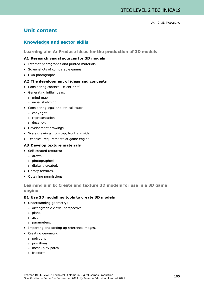# **Unit content**

# **Knowledge and sector skills**

**Learning aim A: Produce ideas for the production of 3D models**

#### **A1 Research visual sources for 3D models**

- Internet photographs and printed materials.
- Screenshots of comparable games.
- Own photographs.

#### **A2 The development of ideas and concepts**

- Considering context client brief.
- Generating initial ideas:
	- o mind map
	- o initial sketching.
- Considering legal and ethical issues:
	- o copyright
	- o representation
	- o decency.
- Development drawings.
- Scale drawings from top, front and side.
- Technical requirements of game engine.

#### **A3 Develop texture materials**

- Self-created textures:
	- o drawn
	- o photographed
	- o digitally created.
- Library textures.
- Obtaining permissions.

## **Learning aim B: Create and texture 3D models for use in a 3D game engine**

### **B1 Use 3D modelling tools to create 3D models**

- Understanding geometry:
	- o orthographic views, perspective
	- o plane
	- o axis
	- o parameters.
- Importing and setting up reference images.
- Creating geometry:
	- o polygons
	- o primitives
	- o mesh, ploy patch
	- o freeform.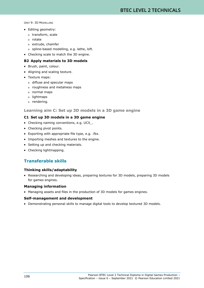- Editing geometry:
	- o transform, scale
	- o rotate
	- o extrude, chamfer
	- o spline-based modelling, e.g. lathe, loft.
- Checking scale to match the 3D engine.

#### **B2 Apply materials to 3D models**

- Brush, paint, colour.
- Aligning and scaling texture.
- Texture maps:
	- o diffuse and specular maps
	- o roughness and metalness maps
	- o normal maps
	- o lightmaps
	- o rendering.

#### **Learning aim C: Set up 3D models in a 3D game engine**

#### **C1 Set up 3D models in a 3D game engine**

- Checking naming conventions, e.g. UCX\_.
- Checking pivot points.
- Exporting with appropriate file type, e.g. .fbx.
- Importing meshes and textures to the engine.
- Setting up and checking materials.
- Checking lightmapping.

# **Transferable skills**

#### **Thinking skills/adaptability**

• Researching and developing ideas, preparing textures for 3D models, preparing 3D models for games engines.

#### **Managing information**

• Managing assets and files in the production of 3D models for games engines.

#### **Self-management and development**

• Demonstrating personal skills to manage digital tools to develop textured 3D models.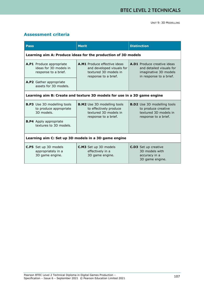# **Assessment criteria**

| <b>Pass</b>                                                                | <b>Merit</b>                                                                                                      | <b>Distinction</b>                                                                                                 |  |
|----------------------------------------------------------------------------|-------------------------------------------------------------------------------------------------------------------|--------------------------------------------------------------------------------------------------------------------|--|
| Learning aim A: Produce ideas for the production of 3D models              |                                                                                                                   |                                                                                                                    |  |
| A.P1 Produce appropriate<br>ideas for 3D models in<br>response to a brief. | <b>A.M1</b> Produce effective ideas<br>and developed visuals for<br>textured 3D models in<br>response to a brief. | <b>A.D1</b> Produce creative ideas<br>and detailed visuals for<br>imaginative 3D models<br>in response to a brief. |  |
| A.P2 Gather appropriate<br>assets for 3D models.                           |                                                                                                                   |                                                                                                                    |  |
| Learning aim B: Create and texture 3D models for use in a 3D game engine   |                                                                                                                   |                                                                                                                    |  |
| <b>B.P3</b> Use 3D modelling tools<br>to produce appropriate<br>3D models. | <b>B.M2</b> Use 3D modelling tools<br>to effectively produce<br>textured 3D models in<br>response to a brief.     | <b>B.D2</b> Use 3D modelling tools<br>to produce creative<br>textured 3D models in<br>response to a brief.         |  |
| <b>B.P4</b> Apply appropriate<br>textures to 3D models.                    |                                                                                                                   |                                                                                                                    |  |
| Learning aim C: Set up 3D models in a 3D game engine                       |                                                                                                                   |                                                                                                                    |  |
| <b>C.P5</b> Set up 3D models<br>appropriately in a<br>3D game engine.      | <b>C.M3</b> Set up 3D models<br>effectively in a<br>3D game engine.                                               | <b>C.D3</b> Set up creative<br>3D models with<br>accuracy in a<br>3D game engine.                                  |  |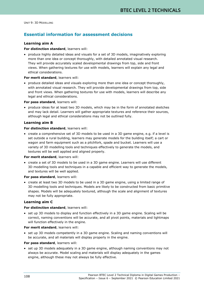# **Essential information for assessment decisions**

#### **Learning aim A**

#### **For distinction standard**, learners will:

• produce highly detailed ideas and visuals for a set of 3D models, imaginatively exploring more than one idea or concept thoroughly, with detailed annotated visual research. They will provide accurately scaled developmental drawings from top, side and front views. When gathering textures for use with models, learners will explain any legal and ethical considerations.

#### **For merit standard**, learners will:

• produce detailed ideas and visuals exploring more than one idea or concept thoroughly, with annotated visual research. They will provide developmental drawings from top, side and front views. When gathering textures for use with models, learners will describe any legal and ethical considerations.

#### **For pass standard**, learners will:

• produce ideas for at least two 3D models, which may be in the form of annotated sketches and may lack detail. Learners will gather appropriate textures and reference their sources, although legal and ethical considerations may not be outlined fully.

#### **Learning aim B**

#### **For distinction standard**, learners will:

• create a comprehensive set of 3D models to be used in a 3D game engine, e.g. if a level is set outside a rural building, learners may generate models for the building itself; a cart or wagon and farm equipment such as a pitchfork, spade and bucket. Learners will use a variety of 3D modelling tools and techniques effectively to generate the models, and textures will be well applied and aligned properly.

#### **For merit standard**, learners will:

• create a set of 3D models to be used in a 3D game engine. Learners will use different 3D modelling tools and techniques in a capable and efficient way to generate the models, and textures will be well applied.

#### **For pass standard**, learners will:

• create at least two 3D models to be used in a 3D game engine, using a limited range of 3D modelling tools and techniques. Models are likely to be constructed from basic primitive shapes. Models will be adequately textured, although the scale and alignment of textures may not be fully appropriate.

#### **Learning aim C**

#### **For distinction standard**, learners will:

• set up 3D models to display and function effectively in a 3D game engine. Scaling will be correct, naming conventions will be accurate, and all pivot points, materials and lightmaps will function effectively in the engine.

#### **For merit standard**, learners will:

• set up 3D models competently in a 3D game engine. Scaling and naming conventions will be accurate, and all materials will display properly in the engine.

#### **For pass standard**, learners will:

• set up 3D models adequately in a 3D game engine, although naming conventions may not always be accurate. Model scaling and materials will display adequately in the games engine, although these may not always be fully effective.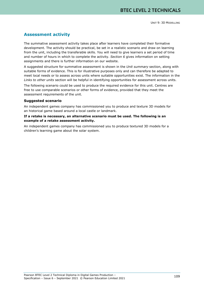# **Assessment activity**

The summative assessment activity takes place after learners have completed their formative development. The activity should be practical, be set in a realistic scenario and draw on learning from the unit, including the transferable skills. You will need to give learners a set period of time and number of hours in which to complete the activity. *Section 6* gives information on setting assignments and there is further information on our website.

A suggested structure for summative assessment is shown in the *Unit summary* section, along with suitable forms of evidence. This is for illustrative purposes only and can therefore be adapted to meet local needs or to assess across units where suitable opportunities exist. The information in the *Links to other units* section will be helpful in identifying opportunities for assessment across units.

The following scenario could be used to produce the required evidence for this unit. Centres are free to use comparable scenarios or other forms of evidence, provided that they meet the assessment requirements of the unit.

#### **Suggested scenario**

An independent games company has commissioned you to produce and texture 3D models for an historical game based around a local castle or landmark.

#### **If a retake is necessary, an alternative scenario must be used. The following is an example of a retake assessment activity.**

An independent games company has commissioned you to produce textured 3D models for a children's learning game about the solar system.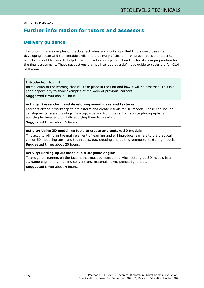# **Further information for tutors and assessors**

## **Delivery guidance**

The following are examples of practical activities and workshops that tutors could use when developing sector and transferable skills in the delivery of this unit. Wherever possible, practical activities should be used to help learners develop both personal and sector skills in preparation for the final assessment. These suggestions are not intended as a definitive guide to cover the full GLH of the unit.

#### **Introduction to unit**

Introduction to the learning that will take place in the unit and how it will be assessed. This is a good opportunity to show examples of the work of previous learners. **Suggested time:** about 1 hour.

#### **Activity: Researching and developing visual ideas and textures**

Learners attend a workshop to brainstorm and create visuals for 3D models. These can include developmental scale drawings from top, side and front views from source photographs, and sourcing textures and digitally applying them to drawings.

**Suggested time:** about 5 hours.

#### **Activity: Using 3D modelling tools to create and texture 3D models**

This activity will form the main element of learning and will introduce learners to the practical use of 3D modelling tools and techniques, e.g. creating and editing geometry, texturing models. **Suggested time:** about 20 hours.

#### **Activity: Setting up 3D models in a 3D game engine**

Tutors guide learners on the factors that must be considered when setting up 3D models in a 3D game engine, e.g. naming conventions, materials, pivot points, lightmaps. **Suggested time:** about 4 hours.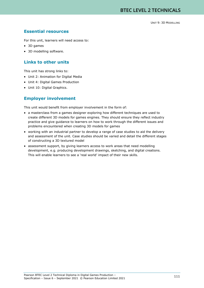# **Essential resources**

For this unit, learners will need access to:

- 3D games
- 3D modelling software.

# **Links to other units**

This unit has strong links to:

- Unit 2: Animation for Digital Media
- Unit 4: Digital Games Production
- Unit 10: Digital Graphics.

# **Employer involvement**

This unit would benefit from employer involvement in the form of:

- a masterclass from a games designer exploring how different techniques are used to create different 3D models for games engines. They should ensure they reflect industry practice and give guidance to learners on how to work through the different issues and problems encountered when creating 3D models for games
- working with an industrial partner to develop a range of case studies to aid the delivery and assessment of the unit. Case studies should be varied and detail the different stages of constructing a 3D textured model
- assessment support, by giving learners access to work areas that need modelling development, e.g. producing development drawings, sketching, and digital creations. This will enable learners to see a 'real world' impact of their new skills.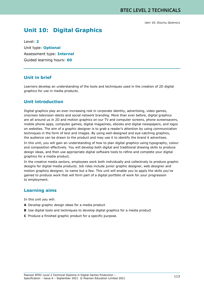# **Unit 10: Digital Graphics**

Level: **2** Unit type: **Optional** Assessment type: **Internal** Guided learning hours: **60**

# **Unit in brief**

Learners develop an understanding of the tools and techniques used in the creation of 2D digital graphics for use in media products.

# **Unit introduction**

Digital graphics play an ever-increasing role in corporate identity, advertising, video games, onscreen television idents and social network branding. More than ever before, digital graphics are all around us in 2D and motion graphics on our TV and computer screens, phone screensavers, mobile phone apps, computer games, digital magazines, ebooks and digital newspapers, and logos on websites. The aim of a graphic designer is to grab a reader's attention by using communication techniques in the form of text and images. By using well-designed and eye-catching graphics, the audience can be drawn to the product and may use it to identify the brand it advertises.

In this unit, you will gain an understanding of how to plan digital graphics using typography, colour and composition effectively. You will develop both digital and traditional drawing skills to produce design ideas, and then use appropriate digital software tools to refine and complete your digital graphics for a media product.

In the creative media sectors, employees work both individually and collectively to produce graphic designs for digital media products. Job roles include junior graphic designer, web designer and motion graphics designer, to name but a few. This unit will enable you to apply the skills you've gained to produce work that will form part of a digital portfolio of work for your progression to employment.

# **Learning aims**

In this unit you will:

- **A** Develop graphic design ideas for a media product
- **B** Use digital tools and techniques to develop digital graphics for a media product
- **C** Produce a finished graphic product for a specific purpose.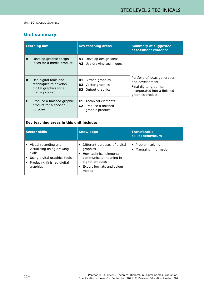# **Unit summary**

| <b>Learning aim</b> |                                                                                           | <b>Key teaching areas</b>                                                         | <b>Summary of suggested</b><br>assessment evidence                                                                               |
|---------------------|-------------------------------------------------------------------------------------------|-----------------------------------------------------------------------------------|----------------------------------------------------------------------------------------------------------------------------------|
| A                   | Develop graphic design<br>ideas for a media product                                       | A1 Develop design ideas<br><b>A2</b> Use drawing techniques                       |                                                                                                                                  |
| B                   | Use digital tools and<br>techniques to develop<br>digital graphics for a<br>media product | Bitmap graphics<br>B1 I<br><b>B2</b> Vector graphics<br><b>B3</b> Output graphics | Portfolio of ideas generation<br>and development.<br>Final digital graphics<br>incorporated into a finished<br>graphics product. |
| C                   | Produce a finished graphic<br>product for a specific<br>purpose                           | Technical elements<br>C1.<br><b>C2</b> Produce a finished<br>graphic product      |                                                                                                                                  |
|                     |                                                                                           |                                                                                   |                                                                                                                                  |

#### **Key teaching areas in this unit include:**

| Sector skills                                                                                                                         | <b>Knowledge</b>                                                                                                                                        | <b>Transferable</b><br>skills/behaviours                  |
|---------------------------------------------------------------------------------------------------------------------------------------|---------------------------------------------------------------------------------------------------------------------------------------------------------|-----------------------------------------------------------|
| Visual recording and<br>visualising using drawing<br>skills<br>Using digital graphics tools<br>Producing finished digital<br>graphics | Different purposes of digital<br>graphics<br>How technical elements<br>communicate meaning in<br>digital products<br>Export formats and colour<br>modes | Problem solving<br>$\bullet$<br>Managing information<br>٠ |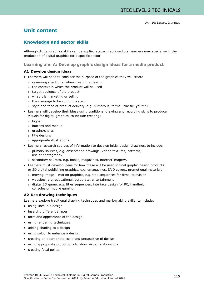# **Unit content**

# **Knowledge and sector skills**

Although digital graphics skills can be applied across media sectors, learners may specialise in the production of digital graphics for a specific sector.

**Learning aim A: Develop graphic design ideas for a media product**

#### **A1 Develop design ideas**

- Learners will need to consider the purpose of the graphics they will create:
	- o reviewing client brief when creating a design
	- o the context in which the product will be used
	- o target audience of the product
	- o what it is marketing or selling
	- o the message to be communicated
	- o style and tone of product delivery, e.g. humorous, formal, classic, youthful.
- Learners will develop their ideas using traditional drawing and recording skills to produce visuals for digital graphics, to include creating:
	- o logos
	- o buttons and menus
	- o graphs/charts
	- o title designs
	- o appropriate illustrations.
- Learners research sources of information to develop initial design drawings, to include:

o primary sources, e.g. observation drawings, varied textures, patterns, use of photography

- o secondary sources, e.g. books, magazines, internet imagery.
- Learners must develop ideas for how these will be used in final graphic design products or 2D digital publishing graphics, e.g. emagazines, DVD covers, promotional materials:
	- o moving image motion graphics, e.g. title sequences for films, television
	- o websites, e.g. educational, corporate, entertainment
	- o digital 2D game, e.g. titles sequences, interface design for PC, handheld, consoles or mobile gaming.

#### **A2 Use drawing techniques**

Learners explore traditional drawing techniques and mark-making skills, to include:

- using lines in a design
- inserting different shapes
- form and appearance of the design
- using rendering techniques
- adding shading to a design
- using colour to enhance a design
- creating an appropriate scale and perspective of design
- using appropriate proportions to show visual relationships
- creating focal points.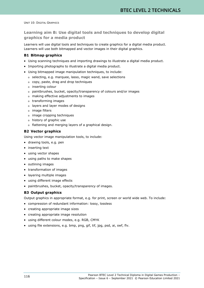**Learning aim B: Use digital tools and techniques to develop digital graphics for a media product**

Learners will use digital tools and techniques to create graphics for a digital media product. Learners will use both bitmapped and vector images in their digital graphics.

#### **B1 Bitmap graphics**

- Using scanning techniques and importing drawings to illustrate a digital media product.
- Importing photographs to illustrate a digital media product.
- Using bitmapped image manipulation techniques, to include:
	- o selecting, e.g. marquee, lasso, magic wand, save selections
	- o copy, paste, drag and drop techniques
	- o inserting colour
	- o paintbrushes, bucket, opacity/transparency of colours and/or images
	- o making effective adjustments to images
	- o transforming images
	- o layers and layer modes of designs
	- o image filters
	- o image cropping techniques
	- o history of graphic use
	- o flattening and merging layers of a graphical design.

#### **B2 Vector graphics**

Using vector image manipulation tools, to include:

- drawing tools, e.g. pen
- inserting text
- using vector shapes
- using paths to make shapes
- outlining images
- transformation of images
- layering multiple images
- using different image effects
- paintbrushes, bucket, opacity/transparency of images.

#### **B3 Output graphics**

Output graphics in appropriate format, e.g. for print, screen or world wide web. To include:

- compression of redundant information: lossy, lossless
- creating appropriate image sizes
- creating appropriate image resolution
- using different colour modes, e.g. RGB, CMYK
- using file extensions, e.g. bmp, png, gif, tif, jpg, psd, ai, swf, flv.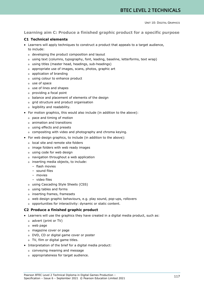#### **Learning aim C: Produce a finished graphic product for a specific purpose**

#### **C1 Technical elements**

- Learners will apply techniques to construct a product that appeals to a target audience, to include:
	- o developing the product composition and layout
	- o using text (columns, typography, font, leading, baseline, letterforms, text wrap)
	- o using titles (master head, headings, sub-headings)
	- o appropriate use of images, scans, photos, graphic art
	- o application of branding
	- o using colour to enhance product
	- o use of space
	- o use of lines and shapes
	- o providing a focal point
	- o balance and placement of elements of the design
	- o grid structure and product organisation
	- o legibility and readability.
- For motion graphics, this would also include (in addition to the above):
	- o pace and timing of motion
	- o animation and transitions
	- o using effects and presets
	- o compositing with video and photography and chroma keying.
- For web design graphics, to include (in addition to the above):
	- o local site and remote site folders
	- o image folders with web ready images
	- o using code for web design
	- o navigation throughout a web application
	- o inserting media objects, to include:
		- flash movies
			- sound files
			- movies
		- video files
	- o using Cascading Style Sheets (CSS)
	- o using tables and forms
	- o inserting frames, framesets
	- o web design graphic behaviours, e.g. play sound, pop-ups, rollovers
	- o opportunities for interactivity: dynamic or static content.

#### **C2 Produce a finished graphic product**

- Learners will use the graphics they have created in a digital media product, such as:
	- o advert (print or TV)
	- o web page
	- o magazine cover or page
	- o DVD, CD or digital game cover or poster
	- o TV, film or digital game titles.
- Interpretation of the brief for a digital media product:
	- o conveying meaning and message
	- o appropriateness for target audience.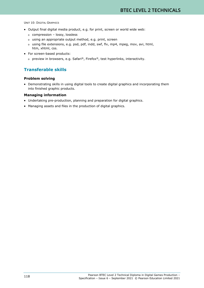- Output final digital media product, e.g. for print, screen or world wide web:
	- o compression lossy, lossless
	- o using an appropriate output method, e.g. print, screen
	- o using file extensions, e.g. psd, pdf, indd, swf, flv, mp4, mpeg, mov, avi, html, htm, xhtml, css.
- For screen-based products:
	- o preview in browsers, e.g. Safari®, Firefox®, test hyperlinks, interactivity.

# **Transferable skills**

#### **Problem solving**

• Demonstrating skills in using digital tools to create digital graphics and incorporating them into finished graphic products.

#### **Managing information**

- Undertaking pre-production, planning and preparation for digital graphics.
- Managing assets and files in the production of digital graphics.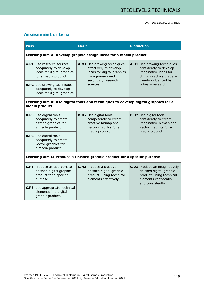# **Assessment criteria**

| <b>Pass</b>                                                                                              | <b>Merit</b>                                                                                                                              | <b>Distinction</b>                                                                                                                        |  |
|----------------------------------------------------------------------------------------------------------|-------------------------------------------------------------------------------------------------------------------------------------------|-------------------------------------------------------------------------------------------------------------------------------------------|--|
| Learning aim A: Develop graphic design ideas for a media product                                         |                                                                                                                                           |                                                                                                                                           |  |
| A.P1 Use research sources<br>adequately to develop<br>ideas for digital graphics<br>for a media product. | A.M1 Use drawing techniques<br>effectively to develop<br>ideas for digital graphics<br>from primary and<br>secondary research<br>sources. | A.D1 Use drawing techniques<br>confidently to develop<br>imaginative ideas for<br>digital graphics that are<br>clearly influenced by      |  |
| A.P2 Use drawing techniques<br>adequately to develop<br>ideas for digital graphics.                      |                                                                                                                                           | primary research.                                                                                                                         |  |
| Learning aim B: Use digital tools and techniques to develop digital graphics for a<br>media product      |                                                                                                                                           |                                                                                                                                           |  |
| <b>B.P3</b> Use digital tools<br>adequately to create<br>bitmap graphics for<br>a media product.         | <b>B.M2</b> Use digital tools<br>competently to create<br>creative bitmap and<br>vector graphics for a                                    | <b>B.D2</b> Use digital tools<br>confidently to create<br>imaginative bitmap and<br>vector graphics for a<br>media product.               |  |
| <b>B.P4</b> Use digital tools<br>adequately to create<br>vector graphics for<br>a media product.         | media product.                                                                                                                            |                                                                                                                                           |  |
| Learning aim C: Produce a finished graphic product for a specific purpose                                |                                                                                                                                           |                                                                                                                                           |  |
| <b>C.P5</b> Produce an appropriate<br>finished digital graphic<br>product for a specific<br>purpose.     | <b>C.M3</b> Produce a creative<br>finished digital graphic<br>product, using technical<br>elements effectively.                           | <b>C.D3</b> Produce an imaginatively<br>finished digital graphic<br>product, using technical<br>elements confidently<br>and consistently. |  |
| <b>C.P6</b> Use appropriate technical<br>elements in a digital<br>graphic product.                       |                                                                                                                                           |                                                                                                                                           |  |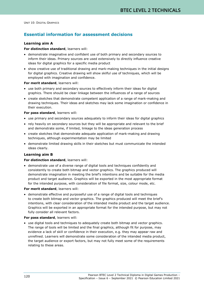# **Essential information for assessment decisions**

#### **Learning aim A**

#### **For distinction standard**, learners will:

- demonstrate imaginative and confident use of both primary and secondary sources to inform their ideas. Primary sources are used extensively to directly influence creative ideas for digital graphics for a specific media product
- show creative use of traditional drawing and mark-making techniques in the initial designs for digital graphics. Creative drawing will show skilful use of techniques, which will be employed with imagination and confidence.

#### **For merit standard**, learners will:

- use both primary and secondary sources to effectively inform their ideas for digital graphics. There should be clear linkage between the influences of a range of sources
- create sketches that demonstrate competent application of a range of mark-making and drawing techniques. Their ideas and sketches may lack some imagination or confidence in their execution.

#### **For pass standard**, learners will:

- use primary and secondary sources adequately to inform their ideas for digital graphics
- rely heavily on secondary sources but they will be appropriate and relevant to the brief and demonstrate some, if limited, linkage to the ideas generation process
- create sketches that demonstrate adequate application of mark-making and drawing techniques, although experimentation may be limited
- demonstrate limited drawing skills in their sketches but must communicate the intended ideas clearly.

#### **Learning aim B**

#### **For distinction standard**, learners will:

• demonstrate use of a diverse range of digital tools and techniques confidently and consistently to create both bitmap and vector graphics. The graphics produced will demonstrate imagination in meeting the brief's intentions and be suitable for the media product and target audience. Graphics will be exported in the most appropriate format for the intended purpose, with consideration of file format, size, colour mode, etc.

#### **For merit standard**, learners will:

• demonstrate effective and purposeful use of a range of digital tools and techniques to create both bitmap and vector graphics. The graphics produced will meet the brief's intentions, with clear consideration of the intended media product and the target audience. Graphics will be exported in an appropriate format for the intended purpose, but may not fully consider all relevant factors.

#### **For pass standard**, learners will:

• use digital tools and techniques to adequately create both bitmap and vector graphics. The range of tools will be limited and the final graphics, although fit for purpose, may evidence a lack of skill or confidence in their execution, e.g. they may appear raw and unrefined. Learners will demonstrate some consideration of the intended media product, the target audience or export factors, but may not fully meet some of the requirements relating to these areas.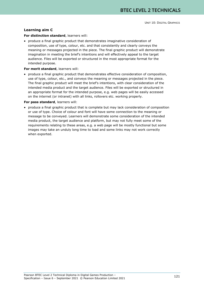#### **Learning aim C**

#### **For distinction standard**, learners will:

• produce a final graphic product that demonstrates imaginative consideration of composition, use of type, colour, etc. and that consistently and clearly conveys the meaning or messages projected in the piece. The final graphic product will demonstrate imagination in meeting the brief's intentions and will effectively appeal to the target audience. Files will be exported or structured in the most appropriate format for the intended purpose.

#### **For merit standard**, learners will:

• produce a final graphic product that demonstrates effective consideration of composition, use of type, colour, etc., and conveys the meaning or messages projected in the piece. The final graphic product will meet the brief's intentions, with clear consideration of the intended media product and the target audience. Files will be exported or structured in an appropriate format for the intended purpose, e.g. web pages will be easily accessed on the internet (or intranet) with all links, rollovers etc. working properly.

#### **For pass standard**, learners will:

• produce a final graphic product that is complete but may lack consideration of composition or use of type. Choice of colour and font will have some connection to the meaning or message to be conveyed. Learners will demonstrate some consideration of the intended media product, the target audience and platform, but may not fully meet some of the requirements relating to these areas, e.g. a web page will be mostly functional but some images may take an unduly long time to load and some links may not work correctly when exported.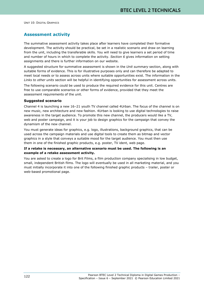# **Assessment activity**

The summative assessment activity takes place after learners have completed their formative development. The activity should be practical, be set in a realistic scenario and draw on learning from the unit, including the transferable skills. You will need to give learners a set period of time and number of hours in which to complete the activity. *Section 6* gives information on setting assignments and there is further information on our website.

A suggested structure for summative assessment is shown in the *Unit summary* section, along with suitable forms of evidence. This is for illustrative purposes only and can therefore be adapted to meet local needs or to assess across units where suitable opportunities exist. The information in the *Links to other units* section will be helpful in identifying opportunities for assessment across units.

The following scenario could be used to produce the required evidence for this unit. Centres are free to use comparable scenarios or other forms of evidence, provided that they meet the assessment requirements of the unit.

#### **Suggested scenario**

Channel 4 is launching a new 16–21 youth TV channel called 4Urban. The focus of the channel is on new music, new architecture and new fashion. 4Urban is looking to use digital technologies to raise awareness in the target audience. To promote this new channel, the producers would like a TV, web and poster campaign, and it is your job to design graphics for the campaign that convey the dynamism of the new channel.

You must generate ideas for graphics, e.g. logo, illustrations, background graphics, that can be used across the campaign materials and use digital tools to create them as bitmap and vector graphics in a style that conveys a suitable mood for the target audience. You must then use them in one of the finished graphic products, e.g. poster, TV ident, web page.

#### **If a retake is necessary, an alternative scenario must be used. The following is an example of a retake assessment activity.**

You are asked to create a logo for Brit Films, a film production company specialising in low budget, small, independent British films. The logo will eventually be used in all marketing material, and you must initially incorporate it into one of the following finished graphic products – trailer, poster or web-based promotional page.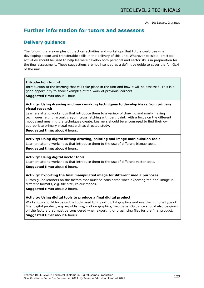# **Further information for tutors and assessors**

# **Delivery guidance**

The following are examples of practical activities and workshops that tutors could use when developing sector and transferable skills in the delivery of this unit. Wherever possible, practical activities should be used to help learners develop both personal and sector skills in preparation for the final assessment. These suggestions are not intended as a definitive guide to cover the full GLH of the unit.

#### **Introduction to unit**

Introduction to the learning that will take place in the unit and how it will be assessed. This is a good opportunity to show examples of the work of previous learners.

**Suggested time:** about 1 hour.

#### **Activity: Using drawing and mark-making techniques to develop ideas from primary visual research**

Learners attend workshops that introduce them to a variety of drawing and mark-making techniques, e.g. charcoal, crayon, crosshatching with pen, paint, with a focus on the different moods and meaning the techniques create. Learners should be encouraged to find their own appropriate primary visual research as directed study.

**Suggested time:** about 6 hours.

#### **Activity: Using digital bitmap drawing, painting and image manipulation tools**

Learners attend workshops that introduce them to the use of different bitmap tools.

**Suggested time:** about 6 hours.

#### **Activity: Using digital vector tools**

Learners attend workshops that introduce them to the use of different vector tools. **Suggested time:** about 6 hours.

#### **Activity: Exporting the final manipulated image for different media purposes**

Tutors guide learners on the factors that must be considered when exporting the final image in different formats, e.g. file size, colour modes.

**Suggested time:** about 2 hours.

#### **Activity: Using digital tools to produce a final digital product**

Workshops should focus on the tools used to import digital graphics and use them in one type of final digital product, e.g. e-publishing, motion graphics, web page. Guidance should also be given on the factors that must be considered when exporting or organising files for the final product.

**Suggested time:** about 6 hours.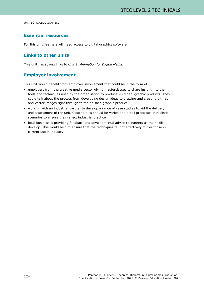# **Essential resources**

For this unit, learners will need access to digital graphics software.

## **Links to other units**

This unit has strong links to *Unit 2: Animation for Digital Media*.

# **Employer involvement**

This unit would benefit from employer involvement that could be in the form of:

- employers from the creative media sector giving masterclasses to share insight into the tools and techniques used by the organisation to produce 2D digital graphic products. They could talk about the process from developing design ideas to drawing and creating bitmap and vector images right through to the finished graphic product
- working with an industrial partner to develop a range of case studies to aid the delivery and assessment of the unit. Case studies should be varied and detail processes in realistic scenarios to ensure they reflect industrial practice
- local businesses providing feedback and developmental advice to learners as their skills develop. This would help to ensure that the techniques taught effectively mirror those in current use in industry.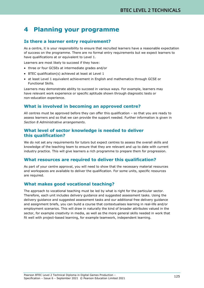# **4 Planning your programme**

# **Is there a learner entry requirement?**

As a centre, it is your responsibility to ensure that recruited learners have a reasonable expectation of success on the programme. There are no formal entry requirements but we expect learners to have qualifications at or equivalent to Level 1.

Learners are most likely to succeed if they have:

- three or four GCSEs at intermediate grades and/or
- BTEC qualification(s) achieved at least at Level 1
- at least Level 1 equivalent achievement in English and mathematics through GCSE or Functional Skills.

Learners may demonstrate ability to succeed in various ways. For example, learners may have relevant work experience or specific aptitude shown through diagnostic tests or non-education experience.

# **What is involved in becoming an approved centre?**

All centres must be approved before they can offer this qualification  $-$  so that you are ready to assess learners and so that we can provide the support needed. Further information is given in *Section 8 Administrative arrangements*.

## **What level of sector knowledge is needed to deliver this qualification?**

We do not set any requirements for tutors but expect centres to assess the overall skills and knowledge of the teaching team to ensure that they are relevant and up to date with current industry practice. This will give learners a rich programme to prepare them for progression.

# **What resources are required to deliver this qualification?**

As part of your centre approval, you will need to show that the necessary material resources and workspaces are available to deliver the qualification. For some units, specific resources are required.

# **What makes good vocational teaching?**

The approach to vocational teaching must be led by what is right for the particular sector. Therefore, each unit includes delivery guidance and suggested assessment tasks. Using the delivery guidance and suggested assessment tasks and our additional free delivery guidance and assignment briefs, you can build a course that contextualises learning in real-life and/or employment scenarios. This will draw in naturally the kind of broader attributes valued in the sector, for example creativity in media, as well as the more general skills needed in work that fit well with project-based learning, for example teamwork, independent learning.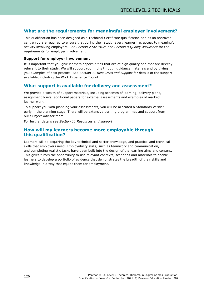# **What are the requirements for meaningful employer involvement?**

This qualification has been designed as a Technical Certificate qualification and as an approved centre you are required to ensure that during their study, every learner has access to meaningful activity involving employers. See *Section 2 Structure* and *Section 9 Quality Assurance* for the requirements for employer involvement.

#### **Support for employer involvement**

It is important that you give learners opportunities that are of high quality and that are directly relevant to their study. We will support you in this through guidance materials and by giving you examples of best practice. See *Section 11 Resources and support* for details of the support available, including the Work Experience Toolkit.

## **What support is available for delivery and assessment?**

We provide a wealth of support materials, including schemes of learning, delivery plans, assignment briefs, additional papers for external assessments and examples of marked learner work.

To support you with planning your assessments, you will be allocated a Standards Verifier early in the planning stage. There will be extensive training programmes and support from our Subject Advisor team.

For further details see *Section 11 Resources and support*.

### **How will my learners become more employable through this qualification?**

Learners will be acquiring the key technical and sector knowledge, and practical and technical skills that employers need. Employability skills, such as teamwork and communication, and completing realistic tasks have been built into the design of the learning aims and content. This gives tutors the opportunity to use relevant contexts, scenarios and materials to enable learners to develop a portfolio of evidence that demonstrates the breadth of their skills and knowledge in a way that equips them for employment.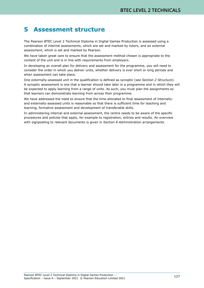# **5 Assessment structure**

The Pearson BTEC Level 2 Technical Diploma in Digital Games Production is assessed using a combination of *internal assessments*, which are set and marked by tutors, and an *external assessment*, which is set and marked by Pearson.

We have taken great care to ensure that the assessment method chosen is appropriate to the content of the unit and is in line with requirements from employers.

In developing an overall plan for delivery and assessment for the programme, you will need to consider the order in which you deliver units, whether delivery is over short or long periods and when assessment can take place.

One externally-assessed unit in the qualification is defined as synoptic (see *Section 2 Structure*). A synoptic assessment is one that a learner should take later in a programme and in which they will be expected to apply learning from a range of units. As such, you must plan the assignments so that learners can demonstrate learning from across their programme.

We have addressed the need to ensure that the time allocated to final assessment of internallyand externally-assessed units is reasonable so that there is sufficient time for teaching and learning, formative assessment and development of transferable skills.

In administering internal and external assessment, the centre needs to be aware of the specific procedures and policies that apply, for example to registration, entries and results. An overview with signposting to relevant documents is given in *Section 8 Administration arrangements*.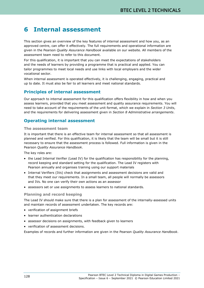# **6 Internal assessment**

This section gives an overview of the key features of internal assessment and how you, as an approved centre, can offer it effectively. The full requirements and operational information are given in the Pearson *Quality Assurance Handbook* available on our website. All members of the assessment team need to refer to this document.

For this qualification, it is important that you can meet the expectations of stakeholders and the needs of learners by providing a programme that is practical and applied. You can tailor programmes to meet local needs and use links with local employers and the wider vocational sector.

When internal assessment is operated effectively, it is challenging, engaging, practical and up to date. It must also be fair to all learners and meet national standards.

## **Principles of internal assessment**

Our approach to internal assessment for this qualification offers flexibility in how and when you assess learners, provided that you meet assessment and quality assurance requirements. You will need to take account of the requirements of the unit format, which we explain in *Section 3 Units*, and the requirements for delivering assessment given in *Section 8 Administrative arrangements*.

# **Operating internal assessment**

#### **The assessment team**

It is important that there is an effective team for internal assessment so that all assessment is planned and verified. For this qualification, it is likely that the team will be small but it is still necessary to ensure that the assessment process is followed. Full information is given in the Pearson *Quality Assurance Handbook*.

The key roles are:

- the Lead Internal Verifier (Lead IV) for the qualification has responsibility for the planning, record keeping and standard setting for the qualification. The Lead IV registers with Pearson annually and organises training using our support materials
- Internal Verifiers (IVs) check that assignments and assessment decisions are valid and that they meet our requirements. In a small team, all people will normally be assessors and IVs. No one can verify their own actions as an assessor
- assessors set or use assignments to assess learners to national standards.

#### **Planning and record keeping**

The Lead IV should make sure that there is a plan for assessment of the internally-assessed units and maintain records of assessment undertaken. The key records are:

- verification of assignment briefs
- learner authentication declarations
- assessor decisions on assignments, with feedback given to learners
- verification of assessment decisions.

Examples of records and further information are given in the Pearson *Quality Assurance Handbook*.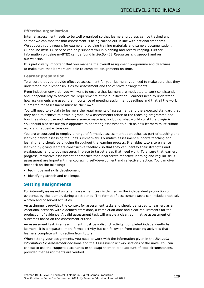#### **Effective organisation**

Internal assessment needs to be well organised so that learners' progress can be tracked and so that we can monitor that assessment is being carried out in line with national standards. We support you through, for example, providing training materials and sample documentation. Our online myBTEC service can help support you in planning and record keeping. Further information on using myBTEC can be found in *Section 11 Resources and support* and on our website.

It is particularly important that you manage the overall assignment programme and deadlines to make sure that learners are able to complete assignments on time.

#### **Learner preparation**

To ensure that you provide effective assessment for your learners, you need to make sure that they understand their responsibilities for assessment and the centre's arrangements.

From induction onwards, you will want to ensure that learners are motivated to work consistently and independently to achieve the requirements of the qualification. Learners need to understand how assignments are used, the importance of meeting assignment deadlines and that all the work submitted for assessment must be their own.

You will need to explain to learners the requirements of assessment and the expected standard that they need to achieve to attain a grade, how assessments relate to the teaching programme and how they should use and reference source materials, including what would constitute plagiarism. You should also set out your approach to operating assessment, such as how learners must submit work and request extensions.

You are encouraged to employ a range of formative assessment approaches as part of teaching and learning before assessing the units summatively. Formative assessment supports teaching and learning, and should be ongoing throughout the learning process. It enables tutors to enhance learning by giving learners constructive feedback so that they can identify their strengths and weaknesses, and to put measures in place to target areas that need work. To ensure that learners progress, formative assessment approaches that incorporate reflective learning and regular skills assessment are important in encouraging self-development and reflective practice. You can give feedback on the following:

- technique and skills development
- identifying stretch and challenge.

# **Setting assignments**

For internally-assessed units, an assessment task is defined as the independent production of evidence, by the learner, during a set period. The format of assessment tasks can include practical, written and observed activities.

An assignment provides the context for assessment tasks and should be issued to learners as a vocational scenario with a defined start date, a completion date and clear requirements for the production of evidence. A valid assessment task will enable a clear, summative assessment of outcomes based on the assessment criteria.

An assessment task in an assignment must be a distinct activity, completed independently by learners. It is a separate, more formal activity but can follow on from teaching activities that learners complete with direction from tutors.

When setting your assignments, you need to work with the information given in the *Essential information for assessment* decisions and the *Assessment activity* sections of the units. You can choose to use the suggested scenarios or to adapt them to take account of local circumstances, provided that assignments are verified.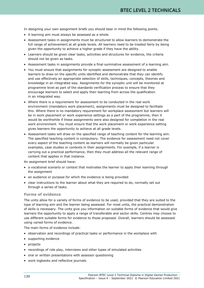In designing your own assignment briefs you should bear in mind the following points.

- A learning aim must always be assessed as a whole.
- Assessment tasks in assignments must be structured to allow learners to demonstrate the full range of achievement at all grade levels. All learners need to be treated fairly by being given the opportunity to achieve a higher grade if they have the ability.
- Learners should be given clear tasks, activities and structures for evidence, the criteria should not be given as tasks.
- Assessment tasks in assignments provide a final summative assessment of a learning aim.
- You must ensure that assignments for synoptic assessment are designed to enable learners to draw on the specific units identified and demonstrate that they can identify and use effectively an appropriate selection of skills, techniques, concepts, theories and knowledge in an integrated way. Assignments for the synoptic unit will be monitored at programme level as part of the standards verification process to ensure that they encourage learners to select and apply their learning from across the qualification in an integrated way.
- Where there is a requirement for assessment to be conducted in the real work environment (mandatory work placement), assignments must be designed to facilitate this. Where there is no mandatory requirement for workplace assessment but learners will be in work placement or work experience settings as a part of the programme, then it would be worthwhile if these assignments were also designed for completion in the real work environment. You must ensure that the work placement or work experience setting gives learners the opportunity to achieve at all grade levels.
- Assessment tasks will draw on the specified range of teaching content for the learning aim. The specified teaching content is compulsory. The evidence for assessment need not cover every aspect of the teaching content as learners will normally be given particular examples, case studies or contexts in their assignments. For example, if a learner is carrying out a practical performance, then they must address all the relevant range of content that applies in that instance.

An assignment brief should have:

- a vocational scenario or context that motivates the learner to apply their learning through the assignment
- an audience or purpose for which the evidence is being provided
- clear instructions to the learner about what they are required to do, normally set out through a series of tasks.

#### **Forms of evidence**

The units allow for a variety of forms of evidence to be used, provided that they are suited to the type of learning aim and the learner being assessed. For most units, the practical demonstration of skills is necessary. The units give you information on suitable forms of evidence that would give learners the opportunity to apply a range of transferable and sector skills. Centres may choose to use different suitable forms for evidence to those proposed. Overall, learners should be assessed using varied forms of evidence.

The main forms of evidence include:

- observation and recordings of practical tasks or performance in the workplace with
- supporting evidence
- projects
- recordings of role play, interviews and other types of simulated activities
- oral or written presentations with assessor questioning
- work logbooks and reflective journals.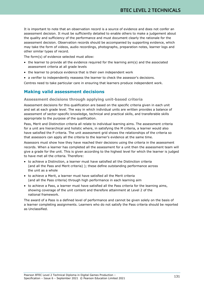It is important to note that an observation record is a source of evidence and does not confer an assessment decision. It must be sufficiently detailed to enable others to make a judgement about the quality and sufficiency of the performance and must document clearly the rationale for the assessment decision. Observation records should be accompanied by supporting evidence, which may take the form of videos, audio recordings, photographs, preparation notes, learner logs and other similar types of record.

The form(s) of evidence selected must allow:

- the learner to provide all the evidence required for the learning aim(s) and the associated assessment criteria at all grade levels
- the learner to produce evidence that is their own independent work
- a verifier to independently reassess the learner to check the assessor's decisions.

Centres need to take particular care in ensuring that learners produce independent work.

# **Making valid assessment decisions**

#### **Assessment decisions through applying unit-based criteria**

Assessment decisions for this qualification are based on the specific criteria given in each unit and set at each grade level. The way in which individual units are written provides a balance of assessment of sector-specific knowledge, technical and practical skills, and transferable skills appropriate to the purpose of the qualification.

Pass, Merit and Distinction criteria all relate to individual learning aims. The assessment criteria for a unit are hierarchical and holistic where, in satisfying the M criteria, a learner would also have satisfied the P criteria. The unit assessment grid shows the relationships of the criteria so that assessors can apply all the criteria to the learner's evidence at the same time.

Assessors must show how they have reached their decisions using the criteria in the assessment records. When a learner has completed all the assessment for a unit then the assessment team will give a grade for the unit. This is given according to the highest level for which the learner is judged to have met all the criteria. Therefore:

- to achieve a Distinction, a learner must have satisfied all the Distinction criteria (and all the Pass and Merit criteria) ); these define outstanding performance across the unit as a whole
- to achieve a Merit, a learner must have satisfied all the Merit criteria (and all the Pass criteria) through high performance in each learning aim
- to achieve a Pass, a learner must have satisfied all the Pass criteria for the learning aims, showing coverage of the unit content and therefore attainment at Level 2 of the national framework.

The award of a Pass is a defined level of performance and cannot be given solely on the basis of a learner completing assignments. Learners who do not satisfy the Pass criteria should be reported as Unclassified.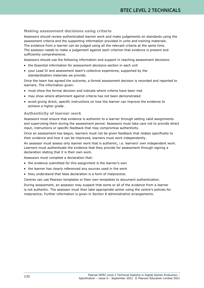#### **Making assessment decisions using criteria**

Assessors should review authenticated learner work and make judgements on standards using the assessment criteria and the supporting information provided in units and training materials. The evidence from a learner can be judged using all the relevant criteria at the same time. The assessor needs to make a judgement against each criterion that evidence is present and sufficiently comprehensive.

Assessors should use the following information and support in reaching assessment decisions:

- the *Essential information for assessment decisions* section in each unit
- your Lead IV and assessment team's collective experience, supported by the standardisation materials we provide.

Once the team has agreed the outcome, a formal assessment decision is recorded and reported to learners. The information given:

- must show the formal decision and indicate where criteria have been met
- may show where attainment against criteria has not been demonstrated
- avoid giving direct, specific instructions on how the learner can improve the evidence to achieve a higher grade.

#### **Authenticity of learner work**

Assessors must ensure that evidence is authentic to a learner through setting valid assignments and supervising them during the assessment period. Assessors must take care not to provide direct input, instructions or specific feedback that may compromise authenticity.

Once an assessment has begun, learners must not be given feedback that relates specifically to their evidence and how it can be improved, learners must work independently.

An assessor must assess only learner work that is authentic, i.e. learners' own independent work. Learners must authenticate the evidence that they provide for assessment through signing a declaration stating that it is their own work.

Assessors must complete a declaration that:

- the evidence submitted for this assignment is the learner's own
- the learner has clearly referenced any sources used in the work
- they understand that false declaration is a form of malpractice.

Centres can use Pearson templates or their own templates to document authentication.

During assessment, an assessor may suspect that some or all of the evidence from a learner is not authentic. The assessor must then take appropriate action using the centre's policies for malpractice. Further information is given in *Section 8 Administrative arrangements*.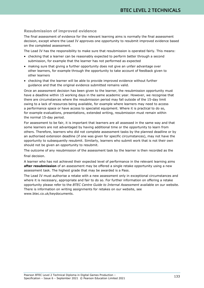#### **Resubmission of improved evidence**

The final assessment of evidence for the relevant learning aims is normally the final assessment decision, except where the Lead IV approves one opportunity to resubmit improved evidence based on the completed assessment.

The Lead IV has the responsibility to make sure that resubmission is operated fairly. This means:

- checking that a learner can be reasonably expected to perform better through a second submission, for example that the learner has not performed as expected
- making sure that giving a further opportunity does not give an unfair advantage over other learners, for example through the opportunity to take account of feedback given to other learners
- checking that the learner will be able to provide improved evidence without further guidance and that the original evidence submitted remains valid.

Once an assessment decision has been given to the learner, the resubmission opportunity must have a deadline within 15 working days in the same academic year. However, we recognise that there are circumstances where the resubmission period may fall outside of the 15-day limit owing to a lack of resources being available, for example where learners may need to access a performance space or have access to specialist equipment. Where it is practical to do so, for example evaluations, presentations, extended writing, resubmission must remain within the normal 15-day period.

For assessment to be fair, it is important that learners are all assessed in the same way and that some learners are not advantaged by having additional time or the opportunity to learn from others. Therefore, learners who did not complete assessment tasks by the planned deadline or by an authorised extension deadline (if one was given for specific circumstances), may not have the opportunity to subsequently resubmit. Similarly, learners who submit work that is not their own should not be given an opportunity to resubmit.

The outcome of any resubmission of the assessment task by the learner is then recorded as the final decision.

A learner who has not achieved their expected level of performance in the relevant learning aims **after resubmission** of an assessment may be offered a single retake opportunity using a new assessment task. The highest grade that may be awarded is a Pass.

The Lead IV must authorise a retake with a new assessment only in exceptional circumstances and where it is necessary, appropriate and fair to do so. For further information on offering a retake opportunity please refer to the *BTEC Centre Guide to Internal Assessment* available on our website. There is information on writing assignments for retakes on our website, see www.btec.co.uk/keydocuments.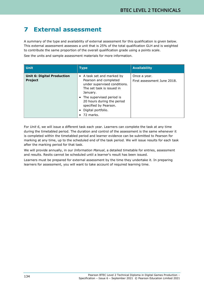# **7 External assessment**

A summary of the type and availability of external assessment for this qualification is given below. This external assessment assesses a unit that is 25% of the total qualification GLH and is weighted to contribute the same proportion of the overall qualification grade using a points scale.

See the units and sample assessment materials for more information.

| <b>Unit</b>                                         | <b>Type</b>                                                                                                                                                                                                                                                    | <b>Availability</b>                         |
|-----------------------------------------------------|----------------------------------------------------------------------------------------------------------------------------------------------------------------------------------------------------------------------------------------------------------------|---------------------------------------------|
| <b>Unit 6: Digital Production</b><br><b>Project</b> | • A task set and marked by<br>Pearson and completed<br>under supervised conditions.<br>The set task is issued in<br>January.<br>• The supervised period is<br>20 hours during the period<br>specified by Pearson.<br>Digital portfolio.<br>$\bullet$ 72 marks. | Once a year.<br>First assessment June 2018. |

For *Unit 6*, we will issue a different task each year. Learners can complete the task at any time during the timetabled period. The duration and control of the assessment is the same whenever it is completed within the timetabled period and learner evidence can be submitted to Pearson for marking at any time, up to the scheduled end of the task period. We will issue results for each task after the marking period for that task.

We will provide annually, in our *Information Manual*, a detailed timetable for entries, assessment and results. Resits cannot be scheduled until a learner's result has been issued.

Learners must be prepared for external assessment by the time they undertake it. In preparing learners for assessment, you will want to take account of required learning time.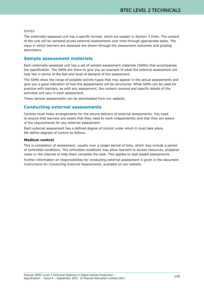#### **Units**

The externally-assessed unit has a specific format, which we explain in *Section 3 Units*. The content of the unit will be sampled across external assessments over time through appropriate tasks. The ways in which learners are assessed are shown through the assessment outcomes and grading descriptors.

### **Sample assessment materials**

Each externally-assessed unit has a set of sample assessment materials (SAMs) that accompanies the specification. The SAMs are there to give you an example of what the external assessment will look like in terms of the feel and level of demand of the assessment.

The SAMs show the range of possible activity types that may appear in the actual assessments and give you a good indication of how the assessments will be structured. While SAMs can be used for practice with learners, as with any assessment, the content covered and specific details of the activities will vary in each assessment.

These sample assessments can be downloaded from our website.

## **Conducting external assessments**

Centres must make arrangements for the secure delivery of external assessments. You need to ensure that learners are aware that they need to work independently and that they are aware of the requirements for any external assessment.

Each external assessment has a defined degree of control under which it must take place. We define degrees of control as follows.

#### **Medium control**

This is completion of assessment, usually over a longer period of time, which may include a period of controlled conditions. The controlled conditions may allow learners to access resources, prepared notes or the internet to help them complete the task. This applies to task-based assessments.

Further information on responsibilities for conducting external assessment is given in the document *Instructions for Conducting External Assessments*, available on our website.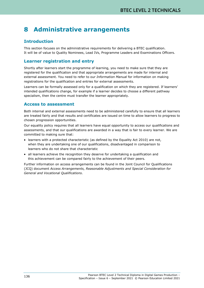# **8 Administrative arrangements**

# **Introduction**

This section focuses on the administrative requirements for delivering a BTEC qualification. It will be of value to Quality Nominees, Lead IVs, Programme Leaders and Examinations Officers.

# **Learner registration and entry**

Shortly after learners start the programme of learning, you need to make sure that they are registered for the qualification and that appropriate arrangements are made for internal and external assessment. You need to refer to our *Information Manual* for information on making registrations for the qualification and entries for external assessments.

Learners can be formally assessed only for a qualification on which they are registered. If learners' intended qualifications change, for example if a learner decides to choose a different pathway specialism, then the centre must transfer the learner appropriately.

# **Access to assessment**

Both internal and external assessments need to be administered carefully to ensure that all learners are treated fairly and that results and certificates are issued on time to allow learners to progress to chosen progression opportunities.

Our equality policy requires that all learners have equal opportunity to access our qualifications and assessments, and that our qualifications are awarded in a way that is fair to every learner. We are committed to making sure that:

- learners with a protected characteristic (as defined by the Equality Act 2010) are not, when they are undertaking one of our qualifications, disadvantaged in comparison to learners who do not share that characteristic
- all learners achieve the recognition they deserve for undertaking a qualification and this achievement can be compared fairly to the achievement of their peers.

Further information on access arrangements can be found in the Joint Council for Qualifications (JCQ) document *Access Arrangements, Reasonable Adjustments and Special Consideration for General and Vocational Qualifications*.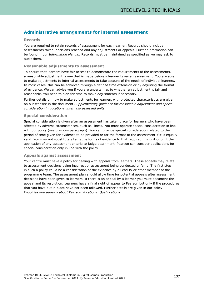# **Administrative arrangements for internal assessment**

#### **Records**

You are required to retain records of assessment for each learner. Records should include assessments taken, decisions reached and any adjustments or appeals. Further information can be found in our *Information Manual.* Records must be maintained as specified as we may ask to audit them.

#### **Reasonable adjustments to assessment**

To ensure that learners have fair access to demonstrate the requirements of the assessments, a reasonable adjustment is one that is made before a learner takes an assessment. You are able to make adjustments to internal assessments to take account of the needs of individual learners. In most cases, this can be achieved through a defined time extension or by adjusting the format of evidence. We can advise you if you are uncertain as to whether an adjustment is fair and reasonable. You need to plan for time to make adjustments if necessary.

Further details on how to make adjustments for learners with protected characteristics are given on our website in the document *Supplementary guidance for reasonable adjustment and special consideration in vocational internally assessed units*.

#### **Special consideration**

Special consideration is given after an assessment has taken place for learners who have been affected by adverse circumstances, such as illness. You must operate special consideration in line with our policy (see previous paragraph). You can provide special consideration related to the period of time given for evidence to be provided or for the format of the assessment if it is equally valid. You may not substitute alternative forms of evidence to that required in a unit or omit the application of any assessment criteria to judge attainment. Pearson can consider applications for special consideration only in line with the policy.

#### **Appeals against assessment**

Your centre must have a policy for dealing with appeals from learners. These appeals may relate to assessment decisions being incorrect or assessment being conducted unfairly. The first step in such a policy could be a consideration of the evidence by a Lead IV or other member of the programme team. The assessment plan should allow time for potential appeals after assessment decisions have been given to learners. If there is an appeal by a learner you must document the appeal and its resolution. Learners have a final right of appeal to Pearson but only if the procedures that you have put in place have not been followed. Further details are given in our policy *Enquiries and appeals about Pearson Vocational Qualifications*.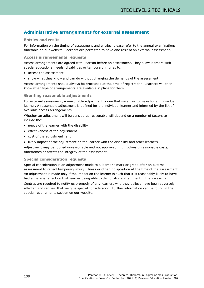# **Administrative arrangements for external assessment**

#### **Entries and resits**

For information on the timing of assessment and entries, please refer to the annual examinations timetable on our website. Learners are permitted to have one resit of an external assessment.

#### **Access arrangements requests**

Access arrangements are agreed with Pearson before an assessment. They allow learners with special educational needs, disabilities or temporary injuries to:

- access the assessment
- show what they know and can do without changing the demands of the assessment.

Access arrangements should always be processed at the time of registration. Learners will then know what type of arrangements are available in place for them.

#### **Granting reasonable adjustments**

For external assessment, a reasonable adjustment is one that we agree to make for an individual learner. A reasonable adjustment is defined for the individual learner and informed by the list of available access arrangements.

Whether an adjustment will be considered reasonable will depend on a number of factors to include the:

- needs of the learner with the disability
- effectiveness of the adjustment
- cost of the adjustment; and
- likely impact of the adjustment on the learner with the disability and other learners.

Adjustment may be judged unreasonable and not approved if it involves unreasonable costs, timeframes or affects the integrity of the assessment.

#### **Special consideration requests**

Special consideration is an adjustment made to a learner's mark or grade after an external assessment to reflect temporary injury, illness or other indisposition at the time of the assessment. An adjustment is made only if the impact on the learner is such that it is reasonably likely to have had a material effect on that learner being able to demonstrate attainment in the assessment.

Centres are required to notify us promptly of any learners who they believe have been adversely affected and request that we give special consideration. Further information can be found in the special requirements section on our website.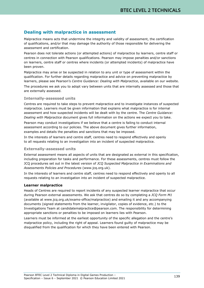# **Dealing with malpractice in assessment**

Malpractice means acts that undermine the integrity and validity of assessment, the certification of qualifications, and/or that may damage the authority of those responsible for delivering the assessment and certification.

Pearson does not tolerate actions (or attempted actions) of malpractice by learners, centre staff or centres in connection with Pearson qualifications. Pearson may impose penalties and/or sanctions on learners, centre staff or centres where incidents (or attempted incidents) of malpractice have been proven.

Malpractice may arise or be suspected in relation to any unit or type of assessment within the qualification. For further details regarding malpractice and advice on preventing malpractice by learners, please see Pearson's *Centre Guidance: Dealing with Malpractice*, available on our website.

The procedures we ask you to adopt vary between units that are internally assessed and those that are externally assessed.

### **Internally-assessed units**

Centres are required to take steps to prevent malpractice and to investigate instances of suspected malpractice. Learners must be given information that explains what malpractice is for internal assessment and how suspected incidents will be dealt with by the centre. The *Centre Guidance: Dealing with Malpractice* document gives full information on the actions we expect you to take.

Pearson may conduct investigations if we believe that a centre is failing to conduct internal assessment according to our policies. The above document gives further information, examples and details the penalties and sanctions that may be imposed.

In the interests of learners and centre staff, centres need to respond effectively and openly to all requests relating to an investigation into an incident of suspected malpractice.

### **Externally-assessed units**

External assessment means all aspects of units that are designated as external in this specification, including preparation for tasks and performance. For these assessments, centres must follow the JCQ procedures set out in the latest version of *JCQ Suspected Malpractice in Examinations and Assessments Policies and Procedures* [\(www.jcq.org.uk\)](http://www.jcq.org.uk/).

In the interests of learners and centre staff, centres need to respond effectively and openly to all requests relating to an investigation into an incident of suspected malpractice.

#### **Learner malpractice**

Heads of Centres are required to report incidents of any suspected learner malpractice that occur during Pearson external assessments. We ask that centres do so by completing a *JCQ Form M1* (available at www.jcq.org.uk/exams-office/malpractice) and emailing it and any accompanying documents (signed statements from the learner, invigilator, copies of evidence, etc.) to the Investigations Team at candidatemalpractice@pearson.com. The responsibility for determining appropriate sanctions or penalties to be imposed on learners lies with Pearson.

Learners must be informed at the earliest opportunity of the specific allegation and the centre's malpractice policy, including the right of appeal. Learners found guilty of malpractice may be disqualified from the qualification for which they have been entered with Pearson.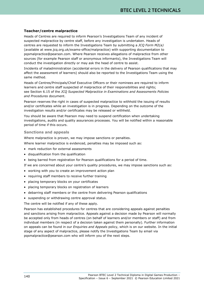## **Teacher/centre malpractice**

Heads of Centres are required to inform Pearson's Investigations Team of any incident of suspected malpractice by centre staff, before any investigation is undertaken. Heads of centres are requested to inform the Investigations Team by submitting a *JCQ Form M2(a)* (available at www.jcq.org.uk/exams-office/malpractice) with supporting documentation to [pqsmalpractice@pearson.com.](mailto:pqsmalpractice@pearson.com) Where Pearson receives allegations of malpractice from other sources (for example Pearson staff or anonymous informants), the Investigations Team will conduct the investigation directly or may ask the head of centre to assist.

Incidents of maladministration (accidental errors in the delivery of Pearson qualifications that may affect the assessment of learners) should also be reported to the Investigations Team using the same method.

Heads of Centres/Principals/Chief Executive Officers or their nominees are required to inform learners and centre staff suspected of malpractice of their responsibilities and rights; see Section 6.15 of the *JCQ Suspected Malpractice in Examinations and Assessments Policies and Procedures* document.

Pearson reserves the right in cases of suspected malpractice to withhold the issuing of results and/or certificates while an investigation is in progress. Depending on the outcome of the investigation results and/or certificates may be released or withheld.

You should be aware that Pearson may need to suspend certification when undertaking investigations, audits and quality assurances processes. You will be notified within a reasonable period of time if this occurs.

### **Sanctions and appeals**

Where malpractice is proven, we may impose sanctions or penalties.

Where learner malpractice is evidenced, penalties may be imposed such as:

- mark reduction for external assessments
- disqualification from the qualification
- being barred from registration for Pearson qualifications for a period of time.

If we are concerned about your centre's quality procedures, we may impose sanctions such as:

- working with you to create an improvement action plan
- requiring staff members to receive further training
- placing temporary blocks on your certificates
- placing temporary blocks on registration of learners
- debarring staff members or the centre from delivering Pearson qualifications
- suspending or withdrawing centre approval status.

The centre will be notified if any of these apply.

Pearson has established procedures for centres that are considering appeals against penalties and sanctions arising from malpractice. Appeals against a decision made by Pearson will normally be accepted only from heads of centres (on behalf of learners and/or members or staff) and from individual members (in respect of a decision taken against them personally). Further information on appeals can be found in our *Enquiries and Appeals* policy, which is on our website. In the initial stage of any aspect of malpractice, please notify the Investigations Team by email via [pqsmalpractice@pearson.com](mailto:pqsmalpractice@pearson.com) who will inform you of the next steps.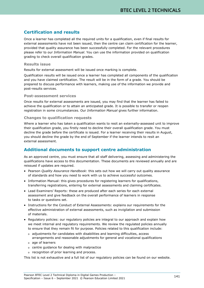# **Certification and results**

Once a learner has completed all the required units for a qualification, even if final results for external assessments have not been issued, then the centre can claim certification for the learner, provided that quality assurance has been successfully completed. For the relevant procedures please refer to our *Information Manual*. You can use the information provided on qualification grading to check overall qualification grades.

### **Results issue**

Results for external assessment will be issued once marking is complete.

Qualification results will be issued once a learner has completed all components of the qualification and you have claimed certification. The result will be in the form of a grade. You should be prepared to discuss performance with learners, making use of the information we provide and post-results services.

#### **Post-assessment services**

Once results for external assessments are issued, you may find that the learner has failed to achieve the qualification or to attain an anticipated grade. It is possible to transfer or reopen registration in some circumstances. Our *Information Manual* gives further information.

## **Changes to qualification requests**

Where a learner who has taken a qualification wants to resit an externally-assessed unit to improve their qualification grade, you firstly need to decline their overall qualification grade. You must decline the grade before the certificate is issued. For a learner receiving their results in August, you should decline the grade by the end of September if the learner intends to resit an external assessment.

# **Additional documents to support centre administration**

As an approved centre, you must ensure that all staff delivering, assessing and administering the qualifications have access to this documentation. These documents are reviewed annually and are reissued if updates are required.

- Pearson *Quality Assurance Handbook*: this sets out how we will carry out quality assurance of standards and how you need to work with us to achieve successful outcomes.
- Information Manual: this gives procedures for registering learners for qualifications, transferring registrations, entering for external assessments and claiming certificates.
- Lead Examiners' Reports: these are produced after each series for each external assessment and give feedback on the overall performance of learners in response to tasks or questions set.
- Instructions for the Conduct of External Assessments: explains our requirements for the effective administration of external assessments, such as invigilation and submission of materials.
- Regulatory policies: our regulatory policies are integral to our approach and explain how we meet internal and regulatory requirements. We review the regulated policies annually to ensure that they remain fit for purpose. Policies related to this qualification include:
	- o adjustments for candidates with disabilities and learning difficulties, access arrangements and reasonable adjustments for general and vocational qualifications
	- o age of learners
	- o centre guidance for dealing with malpractice
	- o recognition of prior learning and process.

This list is not exhaustive and a full list of our regulatory policies can be found on our website.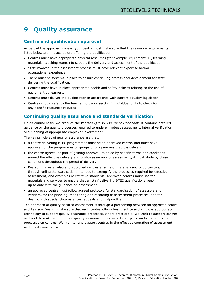# **9 Quality assurance**

# **Centre and qualification approval**

As part of the approval process, your centre must make sure that the resource requirements listed below are in place before offering the qualification.

- Centres must have appropriate physical resources (for example, equipment, IT, learning materials, teaching rooms) to support the delivery and assessment of the qualification.
- Staff involved in the assessment process must have relevant expertise and/or occupational experience.
- There must be systems in place to ensure continuing professional development for staff delivering the qualification.
- Centres must have in place appropriate health and safety policies relating to the use of equipment by learners.
- Centres must deliver the qualification in accordance with current equality legislation.
- Centres should refer to the teacher guidance section in individual units to check for any specific resources required.

# **Continuing quality assurance and standards verification**

On an annual basis, we produce the Pearson *Quality Assurance Handbook*. It contains detailed guidance on the quality processes required to underpin robust assessment, internal verification and planning of appropriate employer involvement.

The key principles of quality assurance are that:

- a centre delivering BTEC programmes must be an approved centre, and must have approval for the programmes or groups of programmes that it is delivering
- the centre agrees, as part of gaining approval, to abide by specific terms and conditions around the effective delivery and quality assurance of assessment; it must abide by these conditions throughout the period of delivery
- Pearson makes available to approved centres a range of materials and opportunities, through online standardisation, intended to exemplify the processes required for effective assessment, and examples of effective standards. Approved centres must use the materials and services to ensure that all staff delivering BTEC qualifications keep up to date with the guidance on assessment
- an approved centre must follow agreed protocols for standardisation of assessors and verifiers, for the planning, monitoring and recording of assessment processes, and for dealing with special circumstances, appeals and malpractice.

The approach of quality-assured assessment is through a partnership between an approved centre and Pearson. We will make sure that each centre follows best practice and employs appropriate technology to support quality-assurance processes, where practicable. We work to support centres and seek to make sure that our quality-assurance processes do not place undue bureaucratic processes on centres. We monitor and support centres in the effective operation of assessment and quality assurance.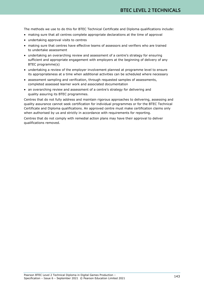The methods we use to do this for BTEC Technical Certificate and Diploma qualifications include:

- making sure that all centres complete appropriate declarations at the time of approval
- undertaking approval visits to centres
- making sure that centres have effective teams of assessors and verifiers who are trained to undertake assessment
- undertaking an overarching review and assessment of a centre's strategy for ensuring sufficient and appropriate engagement with employers at the beginning of delivery of any BTEC programme(s)
- undertaking a review of the employer involvement planned at programme level to ensure its appropriateness at a time when additional activities can be scheduled where necessary
- assessment sampling and verification, through requested samples of assessments, completed assessed learner work and associated documentation
- an overarching review and assessment of a centre's strategy for delivering and quality assuring its BTEC programmes.

Centres that do not fully address and maintain rigorous approaches to delivering, assessing and quality assurance cannot seek certification for individual programmes or for the BTEC Technical Certificate and Diploma qualifications. An approved centre must make certification claims only when authorised by us and strictly in accordance with requirements for reporting.

Centres that do not comply with remedial action plans may have their approval to deliver qualifications removed.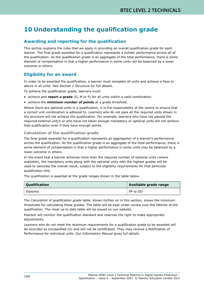# **10 Understanding the qualification grade**

# **Awarding and reporting for the qualification**

This section explains the rules that we apply in providing an overall qualification grade for each learner. The final grade awarded for a qualification represents a holistic performance across all of the qualification. As the qualification grade is an aggregate of the total performance, there is some element of compensation in that a higher performance in some units will be balanced by a lower outcome in others.

# **Eligibility for an award**

In order to be awarded the qualification, a learner must complete all units and achieve a Pass or above in all units. See *Section 2 Structure* for full details.

To achieve the qualification grade, learners must:

- achieve and **report a grade** (D, M or P) for all units within a valid combination
- achieve the **minimum number of points** at a grade threshold.

Where there are optional units in a qualification, it is the responsibility of the centre to ensure that a correct unit combination is adhered to. Learners who do not pass all the required units shown in the structure will not achieve the qualification. For example, learners who have not passed the required external unit/s or who have not taken enough mandatory or optional units will not achieve that qualification even if they have enough points.

## **Calculation of the qualification grade**

The final grade awarded for a qualification represents an aggregation of a learner's performance across the qualification. As the qualification grade is an aggregate of the total performance, there is some element of compensation in that a higher performance in some units may be balanced by a lower outcome in others.

In the event that a learner achieves more than the required number of optional units (where available), the mandatory units along with the optional units with the highest grades will be used to calculate the overall result, subject to the eligibility requirements for that particular qualification title.

The qualification is awarded at the grade ranges shown in the table below.

| Qualification | Available grade range |  |
|---------------|-----------------------|--|
| Diploma       | l PP to DD            |  |

The *Calculation of qualification grade* table, shown further on in this section, shows the minimum thresholds for calculating these grades. The table will be kept under review over the lifetime of the qualification. The most up to date table will be issued on our website.

Pearson will monitor the qualification standard and reserves the right to make appropriate adjustments.

Learners who do not meet the minimum requirements for a qualification grade to be awarded will be recorded as Unclassified (U) and will not be certificated. They may receive a Notification of Performance for individual units. Our *Information Manual* gives full details.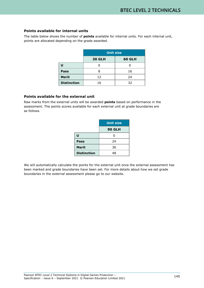## **Points available for internal units**

The table below shows the number of **points** available for internal units. For each internal unit, points are allocated depending on the grade awarded.

|                    | <b>Unit size</b> |        |  |  |
|--------------------|------------------|--------|--|--|
|                    | <b>30 GLH</b>    | 60 GLH |  |  |
|                    |                  |        |  |  |
| Pass               |                  | 16     |  |  |
| <b>Merit</b>       | 12               | 24     |  |  |
| <b>Distinction</b> | 16               | 32     |  |  |

## **Points available for the external unit**

Raw marks from the external units will be awarded **points** based on performance in the assessment. The points scores available for each external unit at grade boundaries are as follows.

|                    | <b>Unit size</b> |  |
|--------------------|------------------|--|
|                    | <b>90 GLH</b>    |  |
| U                  | ი                |  |
| Pass               | 24               |  |
| <b>Merit</b>       | 36               |  |
| <b>Distinction</b> | 48               |  |

We will automatically calculate the points for the external unit once the external assessment has been marked and grade boundaries have been set. For more details about how we set grade boundaries in the external assessment please go to our website.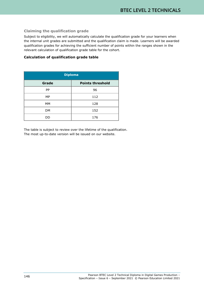## **Claiming the qualification grade**

Subject to eligibility, we will automatically calculate the qualification grade for your learners when the internal unit grades are submitted and the qualification claim is made. Learners will be awarded qualification grades for achieving the sufficient number of points within the ranges shown in the relevant calculation of qualification grade table for the cohort.

## **Calculation of qualification grade table**

| <b>Diploma</b>                   |     |  |  |
|----------------------------------|-----|--|--|
| <b>Points threshold</b><br>Grade |     |  |  |
| <b>PP</b>                        | 96  |  |  |
| МP                               | 112 |  |  |
| MМ                               | 128 |  |  |
| <b>DM</b>                        | 152 |  |  |
| DD                               | 176 |  |  |

The table is subject to review over the lifetime of the qualification. The most up-to-date version will be issued on our website.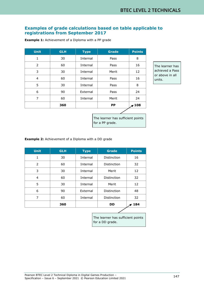# **Examples of grade calculations based on table applicable to registrations from September 2017**

**Example 1:** Achievement of a Diploma with a PP grade

| <b>Unit</b>    | <b>GLH</b> | <b>Grade</b><br><b>Type</b> |           | <b>Points</b> |
|----------------|------------|-----------------------------|-----------|---------------|
| 1              | 30         | Internal                    | Pass      | 8             |
| 2              | 60         | Internal                    | Pass      | 16            |
| 3              | 30         | Internal                    | Merit     | 12            |
| $\overline{4}$ | 60         | Internal                    | Pass      | 16            |
| 5              | 30         | Internal                    | Pass      | 8             |
| 6              | 90         | External                    | Pass      | 24            |
| 7              | 60         | Internal                    | Merit     | 24            |
|                | 360        |                             | <b>PP</b> | 7 108         |

The learner has achieved a Pass or above in all units.

The learner has sufficient points for a PP grade.

**Example 2:** Achievement of a Diploma with a DD grade

| <b>Unit</b>   | <b>GLH</b> | <b>Grade</b><br><b>Type</b> |             | <b>Points</b> |
|---------------|------------|-----------------------------|-------------|---------------|
| 1             | 30         | Internal                    | Distinction | 16            |
| $\mathcal{P}$ | 60         | Internal                    | Distinction | 32            |
| 3             | 30         | Internal                    | Merit       | 12            |
| 4             | 60         | Internal                    | Distinction | 32            |
| 5             | 30         | Internal                    | Merit       | 12            |
| 6             | 90         | External                    | Distinction | 48            |
| 7             | 60         | Internal                    | Distinction | 32            |
|               | 360        |                             | <b>DD</b>   | 184           |

The learner has sufficient points for a DD grade.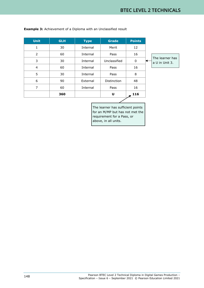| <b>Unit</b>    | <b>GLH</b> | <b>Type</b> | <b>Grade</b> | <b>Points</b> |                                   |
|----------------|------------|-------------|--------------|---------------|-----------------------------------|
| 1              | 30         | Internal    | Merit        | 12            |                                   |
| $\overline{2}$ | 60         | Internal    | Pass         | 16            |                                   |
| 3              | 30         | Internal    | Unclassified | 0             | The learner has<br>a U in Unit 3. |
| 4              | 60         | Internal    | Pass         | 16            |                                   |
| 5              | 30         | Internal    | Pass         | 8             |                                   |
| 6              | 90         | External    | Distinction  | 48            |                                   |
| 7              | 60         | Internal    | Pass         | 16            |                                   |
|                | 360        |             | U            | 116           |                                   |
|                |            |             |              |               |                                   |

**Example 3:** Achievement of a Diploma with an Unclassified result

The learner has sufficient points for an M/MP but has not met the requirement for a Pass, or above, in all units.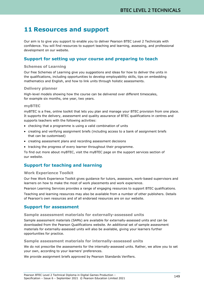# **11 Resources and support**

Our aim is to give you support to enable you to deliver Pearson BTEC Level 2 Technicals with confidence. You will find resources to support teaching and learning, assessing, and professional development on our website.

# **Support for setting up your course and preparing to teach**

## **Schemes of Learning**

Our free Schemes of Learning give you suggestions and ideas for how to deliver the units in the qualifications, including opportunities to develop employability skills, tips on embedding mathematics and English, and how to link units through holistic assessments.

### **Delivery planner**

High-level models showing how the course can be delivered over different timescales, for example six months, one year, two years.

#### **myBTEC**

myBTEC is a free, online toolkit that lets you plan and manage your BTEC provision from one place. It supports the delivery, assessment and quality assurance of BTEC qualifications in centres and supports teachers with the following activities:

- checking that a programme is using a valid combination of units
- creating and verifying assignment briefs (including access to a bank of assignment briefs that can be customised)
- creating assessment plans and recording assessment decisions
- tracking the progress of every learner throughout their programme.

To find out more about myBTEC, visit the myBTEC page on the support services section of our website.

# **Support for teaching and learning**

#### **Work Experience Toolkit**

Our free Work Experience Toolkit gives guidance for tutors, assessors, work-based supervisors and learners on how to make the most of work placements and work experience.

Pearson Learning Services provides a range of engaging resources to support BTEC qualifications.

Teaching and learning resources may also be available from a number of other publishers. Details of Pearson's own resources and of all endorsed resources are on our website.

## **Support for assessment**

#### **Sample assessment materials for externally-assessed units**

Sample assessment materials (SAMs) are available for externally-assessed units and can be downloaded from the Pearson Qualifications website. An additional set of sample assessment materials for externally-assessed units will also be available, giving your learners further opportunities for practice.

## **Sample assessment materials for internally-assessed units**

We do not prescribe the assessments for the internally-assessed units. Rather, we allow you to set your own, according to your learners' preferences.

We provide assignment briefs approved by Pearson Standards Verifiers.